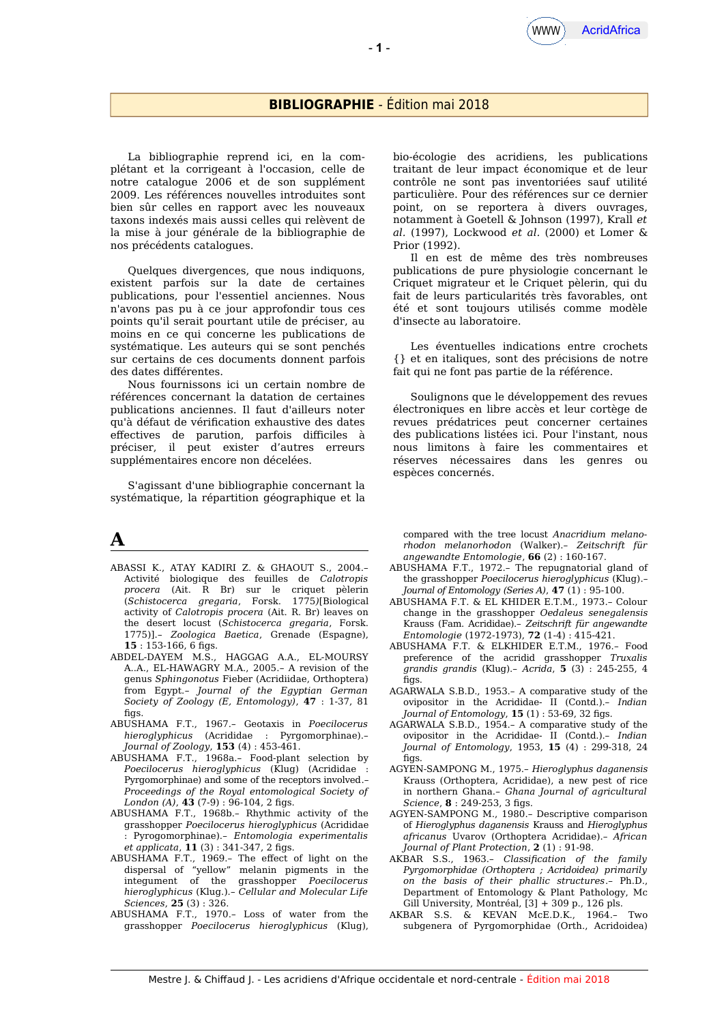#### **BIBLIOGRAPHIE** - Édition mai 2018

La bibliographie reprend ici, en la complétant et la corrigeant à l'occasion, celle de notre catalogue 2006 et de son supplément 2009. Les références nouvelles introduites sont bien sûr celles en rapport avec les nouveaux taxons indexés mais aussi celles qui relèvent de la mise à jour générale de la bibliographie de nos précédents catalogues.

Quelques divergences, que nous indiquons, existent parfois sur la date de certaines publications, pour l'essentiel anciennes. Nous n'avons pas pu à ce jour approfondir tous ces points qu'il serait pourtant utile de préciser, au moins en ce qui concerne les publications de systématique. Les auteurs qui se sont penchés sur certains de ces documents donnent parfois des dates diférentes.

Nous fournissons ici un certain nombre de références concernant la datation de certaines publications anciennes. Il faut d'ailleurs noter qu'à défaut de vérifcation exhaustive des dates efectives de parution, parfois dificiles à préciser, il peut exister d'autres erreurs supplémentaires encore non décelées.

S'agissant d'une bibliographie concernant la systématique, la répartition géographique et la

#### **A**

- ABASSI K., ATAY KADIRI Z. & GHAOUT S., 2004.– Activité biologique des feuilles de *Calotropis procera* (Ait. R Br) sur le criquet pèlerin (*Schistocerca gregaria*, Forsk. 1775*)*[Biological activity of *Calotropis procera* (Ait. R. Br) leaves on the desert locust (*Schistocerca gregaria*, Forsk. 1775)].– *Zoologica Baetica*, Grenade (Espagne), **15** : 153-166, 6 fgs.
- ABDEL-DAYEM M.S., HAGGAG A.A., EL-MOURSY A..A., EL-HAWAGRY M.A., 2005.– A revision of the genus *Sphingonotus* Fieber (Acridiidae, Orthoptera) from Egypt.– *Journal of the Egyptian German Society of Zoology (E, Entomology)*, **47** : 1-37, 81  $fias.$
- ABUSHAMA F.T., 1967.– Geotaxis in *Poecilocerus hieroglyphicus* (Acrididae : Pyrgomorphinae).– *Journal of Zoology*, **153** (4) : 453-461.
- ABUSHAMA F.T., 1968a.– Food-plant selection by *Poecilocerus hieroglyphicus* (Klug) (Acrididae : Pyrgomorphinae) and some of the receptors involved.– *Proceedings of the Royal entomological Society of London (A)*, **43** (7-9): 96-104, 2 figs.
- ABUSHAMA F.T., 1968b.– Rhythmic activity of the grasshopper *Poecilocerus hieroglyphicus* (Acrididae : Pyrogomorphinae).– *Entomologia experimentalis et applicata*, **11** (3): 341-347, 2 figs.
- ABUSHAMA F.T., 1969.– The efect of light on the dispersal of "yellow" melanin pigments in the integument of the grasshopper *Poecilocerus hieroglyphicus* (Klug.).– *Cellular and Molecular Life Sciences*, **25** (3) : 326.
- ABUSHAMA F.T., 1970.– Loss of water from the grasshopper *Poecilocerus hieroglyphicus* (Klug),

bio-écologie des acridiens, les publications traitant de leur impact économique et de leur contrôle ne sont pas inventoriées sauf utilité particulière. Pour des références sur ce dernier point, on se reportera à divers ouvrages, notamment à Goetell & Johnson (1997), Krall *et al.* (1997), Lockwood *et al.* (2000) et Lomer & Prior (1992).

Il en est de même des très nombreuses publications de pure physiologie concernant le Criquet migrateur et le Criquet pèlerin, qui du fait de leurs particularités très favorables, ont été et sont toujours utilisés comme modèle d'insecte au laboratoire.

Les éventuelles indications entre crochets {} et en italiques, sont des précisions de notre fait qui ne font pas partie de la référence.

Soulignons que le développement des revues électroniques en libre accès et leur cortège de revues prédatrices peut concerner certaines des publications listées ici. Pour l'instant, nous nous limitons à faire les commentaires et réserves nécessaires dans les genres ou espèces concernés.

compared with the tree locust *Anacridium melanorhodon melanorhodon* (Walker).– *Zeitschrift für angewandte Entomologie*, **66** (2) : 160-167.

- ABUSHAMA F.T., 1972.– The repugnatorial gland of the grasshopper *Poecilocerus hieroglyphicus* (Klug).– *Journal of Entomology (Series A)*, **47** (1) : 95-100.
- ABUSHAMA F.T. & EL KHIDER E.T.M., 1973.– Colour change in the grasshopper *Oedaleus senegalensis* Krauss (Fam. Acrididae).– *Zeitschrift für angewandte Entomologie* (1972-1973), **72** (1-4) : 415-421.
- ABUSHAMA F.T. & ELKHIDER E.T.M., 1976.– Food preference of the acridid grasshopper *Truxalis grandis grandis* (Klug).– *Acrida*, **5** (3) : 245-255, 4  $fias$ .
- AGARWALA S.B.D., 1953.– A comparative study of the ovipositor in the Acrididae- II (Contd.).– *Indian Journal of Entomology*, **15** (1): 53-69, 32 figs.
- AGARWALA S.B.D., 1954.– A comparative study of the ovipositor in the Acrididae- II (Contd.).– *Indian Journal of Entomology*, 1953, **15** (4) : 299-318, 24  $fins$
- AGYEN-SAMPONG M., 1975.– *Hieroglyphus daganensis* Krauss (Orthoptera, Acrididae), a new pest of rice in northern Ghana.– *Ghana Journal of agricultural Science*, **8** : 249-253, 3 fgs.
- AGYEN-SAMPONG M., 1980.– Descriptive comparison of *Hieroglyphus daganensis* Krauss and *Hieroglyphus africanus* Uvarov (Orthoptera Acrididae).– *African Journal of Plant Protection*, **2** (1) : 91-98.
- AKBAR S.S., 1963.– *Classifcation of the family Pyrgomorphidae (Orthoptera ; Acridoidea) primarily on the basis of their phallic structures*.– Ph.D., Department of Entomology & Plant Pathology, Mc Gill University, Montréal, [3] + 309 p., 126 pls.
- AKBAR S.S. & KEVAN McE.D.K., 1964.– Two subgenera of Pyrgomorphidae (Orth., Acridoidea)

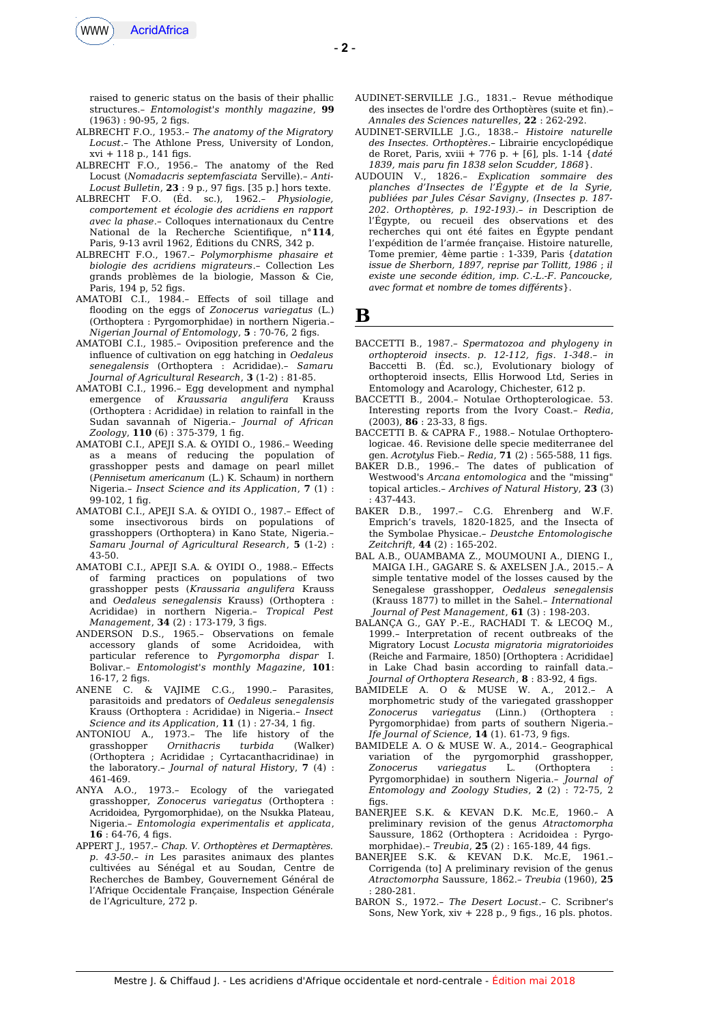

raised to generic status on the basis of their phallic structures.– *Entomologist's monthly magazine*, **99**  $(1963) : 90-95$ , 2 figs.

- ALBRECHT F.O., 1953.– *The anatomy of the Migratory Locust*.– The Athlone Press, University of London,  $xvi + 118$  p., 141 figs.
- ALBRECHT F.O., 1956.– The anatomy of the Red Locust (*Nomadacris septemfasciata* Serville).– *Anti-Locust Bulletin*, **23** : 9 p., 97 fgs. [35 p.] hors texte.
- ALBRECHT F.O. (Éd. sc.), 1962.– *Physiologie, comportement et écologie des acridiens en rapport avec la phase*.– Colloques internationaux du Centre National de la Recherche Scientifique, n°114. Paris, 9-13 avril 1962, Éditions du CNRS, 342 p.
- ALBRECHT F.O., 1967.– *Polymorphisme phasaire et biologie des acridiens migrateurs*.– Collection Les grands problèmes de la biologie, Masson & Cie, Paris, 194 p, 52 figs.
- AMATOBI C.I., 1984.– Efects of soil tillage and flooding on the eggs of *Zonocerus variegatus* (L.) (Orthoptera : Pyrgomorphidae) in northern Nigeria.– *Nigerian Journal of Entomology*, **5** : 70-76, 2 fgs.
- AMATOBI C.I., 1985.– Oviposition preference and the influence of cultivation on egg hatching in *Oedaleus senegalensis* (Orthoptera : Acrididae).– *Samaru Journal of Agricultural Research*, **3** (1-2) : 81-85.
- AMATOBI C.I., 1996.– Egg development and nymphal emergence of *Kraussaria angulifera* Krauss (Orthoptera : Acrididae) in relation to rainfall in the Sudan savannah of Nigeria.– *Journal of African Zoology*, **110** (6) : 375-379, 1 fg.
- AMATOBI C.I., APEJI S.A. & OYIDI O., 1986.– Weeding as a means of reducing the population of grasshopper pests and damage on pearl millet (*Pennisetum americanum* (L.) K. Schaum) in northern Nigeria.– *Insect Science and its Application*, **7** (1) : 99-102, 1 fg.
- AMATOBI C.I., APEJI S.A. & OYIDI O., 1987.– Efect of some insectivorous birds on populations of grasshoppers (Orthoptera) in Kano State, Nigeria.– *Samaru Journal of Agricultural Research*, **5** (1-2) : 43-50.
- AMATOBI C.I., APEJI S.A. & OYIDI O., 1988.– Efects of farming practices on populations of two grasshopper pests (*Kraussaria angulifera* Krauss and *Oedaleus senegalensis* Krauss) (Orthoptera : Acrididae) in northern Nigeria.– *Tropical Pest Management*, **34** (2): 173-179, 3 figs.
- ANDERSON D.S., 1965.– Observations on female accessory glands of some Acridoidea, with particular reference to *Pyrgomorpha dispar* I. Bolivar.– *Entomologist's monthly Magazine*, **101**: 16-17, 2 figs.
- ANENE C. & VAJIME C.G., 1990.– Parasites, parasitoids and predators of *Oedaleus senegalensis* Krauss (Orthoptera : Acrididae) in Nigeria.– *Insect Science and its Application*, **11** (1) : 27-34, 1 fg.
- ANTONIOU A., 1973.– The life history of the grasshopper *Ornithacris turbida* (Walker) (Orthoptera ; Acrididae ; Cyrtacanthacridinae) in the laboratory.– *Journal of natural History*, **7** (4) : 461-469.
- ANYA A.O., 1973.– Ecology of the variegated grasshopper, *Zonocerus variegatus* (Orthoptera : Acridoidea, Pyrgomorphidae), on the Nsukka Plateau, Nigeria.– *Entomologia experimentalis et applicata*, 16 : 64-76, 4 figs.
- APPERT J., 1957.– *Chap. V. Orthoptères et Dermaptères. p. 43-50.– in* Les parasites animaux des plantes cultivées au Sénégal et au Soudan, Centre de Recherches de Bambey, Gouvernement Général de l'Afrique Occidentale Française, Inspection Générale de l'Agriculture, 272 p.
- AUDINET-SERVILLE J.G., 1831.– Revue méthodique des insectes de l'ordre des Orthoptères (suite et fn).– *Annales des Sciences naturelles*, **22** : 262-292.
- AUDINET-SERVILLE J.G., 1838.– *Histoire naturelle des Insectes. Orthoptères*.– Librairie encyclopédique de Roret, Paris, xviii + 776 p. + [6], pls. 1-14 {*daté 1839, mais paru fn 1838 selon Scudder, 1868*}.
- AUDOUIN V., 1826.– *Explication sommaire des planches d'Insectes de l'Égypte et de la Syrie, publiées par Jules César Savigny*, *(Insectes p. 187- 202. Orthoptères, p. 192-193)*.– *in* Description de l'Égypte, ou recueil des observations et des recherches qui ont été faites en Égypte pendant l'expédition de l'armée française. Histoire naturelle, Tome premier, 4ème partie : 1-339, Paris {*datation issue de Sherborn, 1897, reprise par Tollitt, 1986* ; *il existe une seconde édition, imp. C.-L.-F. Pancoucke, avec format et nombre de tomes diférents*}.

**B**

- BACCETTI B., 1987.– *Spermatozoa and phylogeny in orthopteroid insects*. *p. 12-112, fgs. 1-348*.– *in* Baccetti B. (Éd. sc.), Evolutionary biology of orthopteroid insects, Ellis Horwood Ltd, Series in Entomology and Acarology, Chichester, 612 p.
- BACCETTI B., 2004.– Notulae Orthopterologicae. 53. Interesting reports from the Ivory Coast.– *Redia*, (2003), **86** : 23-33, 8 fgs.
- BACCETTI B. & CAPRA F., 1988.– Notulae Orthopterologicae. 46. Revisione delle specie mediterranee del gen. *Acrotylus* Fieb.– *Redia*, **71** (2) : 565-588, 11 fgs.
- BAKER D.B., 1996.– The dates of publication of Westwood's *Arcana entomologica* and the "missing" topical articles*.– Archives of Natural History*, **23** (3) : 437-443.
- BAKER D.B., 1997.– C.G. Ehrenberg and W.F. Emprich's travels, 1820-1825, and the Insecta of the Symbolae Physicae*.– Deustche Entomologische Zeitchrift*, **44** (2) : 165-202.
- BAL A.B., OUAMBAMA Z., MOUMOUNI A., DIENG I., MAIGA I.H., GAGARE S. & AXELSEN J.A., 2015.– A simple tentative model of the losses caused by the Senegalese grasshopper, *Oedaleus senegalensis* (Krauss 1877) to millet in the Sahel.– *International Journal of Pest Management*, **61** (3) : 198-203.
- BALANÇA G., GAY P.-E., RACHADI T. & LECOQ M., 1999.– Interpretation of recent outbreaks of the Migratory Locust *Locusta migratoria migratorioides* (Reiche and Farmaire, 1850) [Orthoptera : Acrididae] in Lake Chad basin according to rainfall data.– *Journal of Orthoptera Research*, **8** : 83-92, 4 fgs.
- BAMIDELE A. O & MUSE W. A., 2012.– A morphometric study of the variegated grasshopper *Zonocerus variegatus* (Linn.) (Orthoptera : Pyrgomorphidae) from parts of southern Nigeria.– *Ife Journal of Science,* **14** (1). 61-73, 9 fgs.
- BAMIDELE A. O & MUSE W. A., 2014.– Geographical variation of the pyrgomorphid grasshopper, *Zonocerus variegatus* L. (Orthoptera : Pyrgomorphidae) in southern Nigeria.– *Journal of Entomology and Zoology Studies*, **2** (2) : 72-75, 2 figs.
- BANERJEE S.K. & KEVAN D.K. Mc.E, 1960.– A preliminary revision of the genus *Atractomorpha* Saussure, 1862 (Orthoptera : Acridoidea : Pyrgomorphidae).– *Treubia*, **25** (2) : 165-189, 44 fgs.
- BANERJEE S.K. & KEVAN D.K. Mc.E, 1961.– Corrigenda (to] A preliminary revision of the genus *Atractomorpha* Saussure, 1862.– *Treubia* (1960), **25** : 280-281.
- BARON S., 1972.– *The Desert Locust*.– C. Scribner's Sons, New York,  $xiv + 228 p$ ., 9 figs., 16 pls. photos.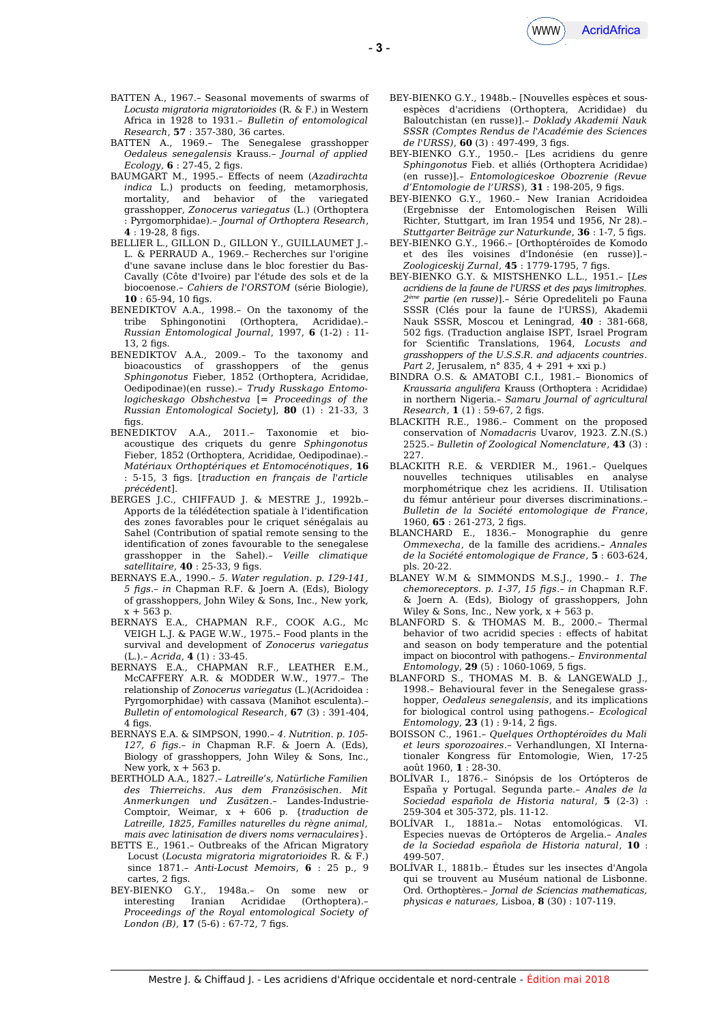- BATTEN A., 1969.– The Senegalese grasshopper *Oedaleus senegalensis* Krauss.– *Journal of applied Ecology*, **6** : 27-45, 2 fgs.
- BAUMGART M., 1995.– Efects of neem (*Azadirachta indica* L.) products on feeding, metamorphosis, mortality, and behavior of the variegated grasshopper, *Zonocerus variegatus* (L.) (Orthoptera : Pyrgomorphidae).– *Journal of Orthoptera Research*, **4** : 19-28, 8 fgs.
- BELLIER L., GILLON D., GILLON Y., GUILLAUMET J.– L. & PERRAUD A., 1969.– Recherches sur l'origine d'une savane incluse dans le bloc forestier du Bas-Cavally (Côte d'Ivoire) par l'étude des sols et de la biocoenose.– *Cahiers de l'ORSTOM* (série Biologie), 10 : 65-94, 10 figs.
- BENEDIKTOV A.A., 1998.– On the taxonomy of the tribe Sphingonotini (Orthoptera, Acrididae).– *Russian Entomological Journal*, 1997, **6** (1-2) : 11-  $13.2$  figs.
- BENEDIKTOV A.A., 2009.– To the taxonomy and bioacoustics of grasshoppers of the genus *Sphingonotus* Fieber, 1852 (Orthoptera, Acrididae, Oedipodinae)(en russe).– *Trudy Russkago Entomologicheskago Obshchestva* [= *Proceedings of the Russian Entomological Society*], **80** (1) : 21-33, 3 figs.
- BENEDIKTOV A.A., 2011.– Taxonomie et bioacoustique des criquets du genre *Sphingonotus* Fieber, 1852 (Orthoptera, Acrididae, Oedipodinae).– *Matériaux Orthoptériques et Entomocénotiques*, **16** : 5-15, 3 fgs. [*traduction en français de l'article précédent*].
- BERGES J.C., CHIFFAUD J. & MESTRE J., 1992b.– Apports de la télédétection spatiale à l'identifcation des zones favorables pour le criquet sénégalais au Sahel (Contribution of spatial remote sensing to the identifcation of zones favourable to the senegalese grasshopper in the Sahel).– *Veille climatique satellitaire*, **40** : 25-33, 9 fgs.
- BERNAYS E.A., 1990.– *5. Water regulation. p. 129-141, 5 fgs*.– *in* Chapman R.F. & Joern A. (Eds), Biology of grasshoppers, John Wiley & Sons, Inc., New york, x + 563 p.
- BERNAYS E.A., CHAPMAN R.F., COOK A.G., Mc VEIGH L.J. & PAGE W.W., 1975.– Food plants in the survival and development of *Zonocerus variegatus* (L.).– *Acrida*, **4** (1) : 33-45.
- BERNAYS E.A., CHAPMAN R.F., LEATHER E.M., McCAFFERY A.R. & MODDER W.W., 1977.– The relationship of *Zonocerus variegatus* (L.)(Acridoidea : Pyrgomorphidae) with cassava (Manihot esculenta).– *Bulletin of entomological Research*, **67** (3) : 391-404,  $4$  figs.
- BERNAYS E.A. & SIMPSON, 1990.– *4. Nutrition. p. 105- 127, 6 fgs*.– *in* Chapman R.F. & Joern A. (Eds), Biology of grasshoppers, John Wiley & Sons, Inc., New york,  $x + 563$  p.
- BERTHOLD A.A., 1827.– *Latreille's, Natürliche Familien des Thierreichs. Aus dem Französischen. Mit Anmerkungen und Zusätzen*.– Landes-Industrie-Comptoir, Weimar, x + 606 p. {*traduction de Latreille, 1825, Familles naturelles du règne animal, mais avec latinisation de divers noms vernaculaires*}.
- BETTS E., 1961.– Outbreaks of the African Migratory Locust (*Locusta migratoria migratorioides* R. & F.) since 1871.– *Anti-Locust Memoirs*, **6** : 25 p., 9 cartes, 2 figs.
- BEY-BIENKO G.Y., 1948a.– On some new or interesting Iranian Acrididae (Orthoptera).– *Proceedings of the Royal entomological Society of London (B)*, **17** (5-6): 67-72, 7 figs.
- BEY-BIENKO G.Y., 1948b.– [Nouvelles espèces et sousespèces d'acridiens (Orthoptera, Acrididae) du Baloutchistan (en russe)].– *Doklady Akademii Nauk SSSR (Comptes Rendus de l'Académie des Sciences* de l'URSS),  $60$  (3): 497-499, 3 figs.
- BEY-BIENKO G.Y., 1950.– [Les acridiens du genre *Sphingonotus* Fieb. et alliés (Orthoptera Acrididae) (en russe)].– *Entomologiceskoe Obozrenie (Revue d'Entomologie de l'URSS*), 31 : 198-205, 9 figs.
- BEY-BIENKO G.Y., 1960.– New Iranian Acridoidea (Ergebnisse der Entomologischen Reisen Willi Richter, Stuttgart, im Iran 1954 und 1956, Nr 28).– *Stuttgarter Beiträge zur Naturkunde*, **36** : 1-7, 5 fgs.
- BEY-BIENKO G.Y., 1966.– [Orthoptéroïdes de Komodo et des îles voisines d'Indonésie (en russe)].– *Zoologiceskij Zurnal*, **45** : 1779-1795, 7 fgs.
- BEY-BIENKO G.Y. & MISTSHENKO L.L., 1951.– [*Les acridiens de la faune de l'URSS et des pays limitrophes. 2 ème partie (en russe)*].– Série Opredeliteli po Fauna SSSR (Clés pour la faune de l'URSS), Akademii Nauk SSSR, Moscou et Leningrad, **40** : 381-668, 502 fgs. (Traduction anglaise ISPT, Israel Program for Scientifc Translations, 1964, *Locusts and grasshoppers of the U.S.S.R. and adjacents countries. Part 2*, Jerusalem, n° 835, 4 + 291 + xxi p.)
- BINDRA O.S. & AMATOBI C.I., 1981.– Bionomics of *Kraussaria angulifera* Krauss (Orthoptera : Acrididae) in northern Nigeria.– *Samaru Journal of agricultural Research*, **1** (1) : 59-67, 2 fgs.
- BLACKITH R.E., 1986.– Comment on the proposed conservation of *Nomadacris* Uvarov, 1923. Z.N.(S.) 2525.– *Bulletin of Zoological Nomenclature*, **43** (3) : 227.
- BLACKITH R.E. & VERDIER M., 1961.– Quelques nouvelles techniques utilisables en analyse morphométrique chez les acridiens. II. Utilisation du fémur antérieur pour diverses discriminations.– *Bulletin de la Société entomologique de France*, 1960, **65** : 261-273, 2 fgs.
- BLANCHARD E., 1836.– Monographie du genre *Ommexecha*, de la famille des acridiens.– *Annales de la Société entomologique de France*, **5** : 603-624, pls. 20-22.
- BLANEY W.M & SIMMONDS M.S.J., 1990.– *1. The chemoreceptors. p. 1-37, 15 fgs*.– *in* Chapman R.F. & Joern A. (Eds), Biology of grasshoppers, John Wiley & Sons, Inc., New york,  $x + 563$  p.
- BLANFORD S. & THOMAS M. B., 2000.– Thermal behavior of two acridid species : effects of habitat and season on body temperature and the potential impact on biocontrol with pathogens.– *Environmental Entomology*, **29** (5): 1060-1069, 5 figs.
- BLANFORD S., THOMAS M. B. & LANGEWALD J., 1998.– Behavioural fever in the Senegalese grasshopper, *Oedaleus senegalensis*, and its implications for biological control using pathogens.– *Ecological Entomology*, **23** (1) : 9-14, 2 figs.
- BOISSON C., 1961.– *Quelques Orthoptéroïdes du Mali et leurs sporozoaires*.– Verhandlungen, XI Internationaler Kongress für Entomologie, Wien, 17-25 août 1960, **1** : 28-30.
- BOLÍVAR I., 1876.– Sinópsis de los Ortópteros de España y Portugal. Segunda parte.– *Anales de la Sociedad española de Historia natural*, **5** (2-3) : 259-304 et 305-372, pls. 11-12.
- BOLÍVAR I., 1881a.– Notas entomológicas. VI. Especies nuevas de Ortópteros de Argelia.– *Anales de la Sociedad española de Historia natural*, **10** : 499-507.
- BOLÍVAR I., 1881b.– Études sur les insectes d'Angola qui se trouvent au Muséum national de Lisbonne. Ord. Orthoptères.– *Jornal de Sciencias mathematicas, physicas e naturaes,* Lisboa, **8** (30) : 107-119.

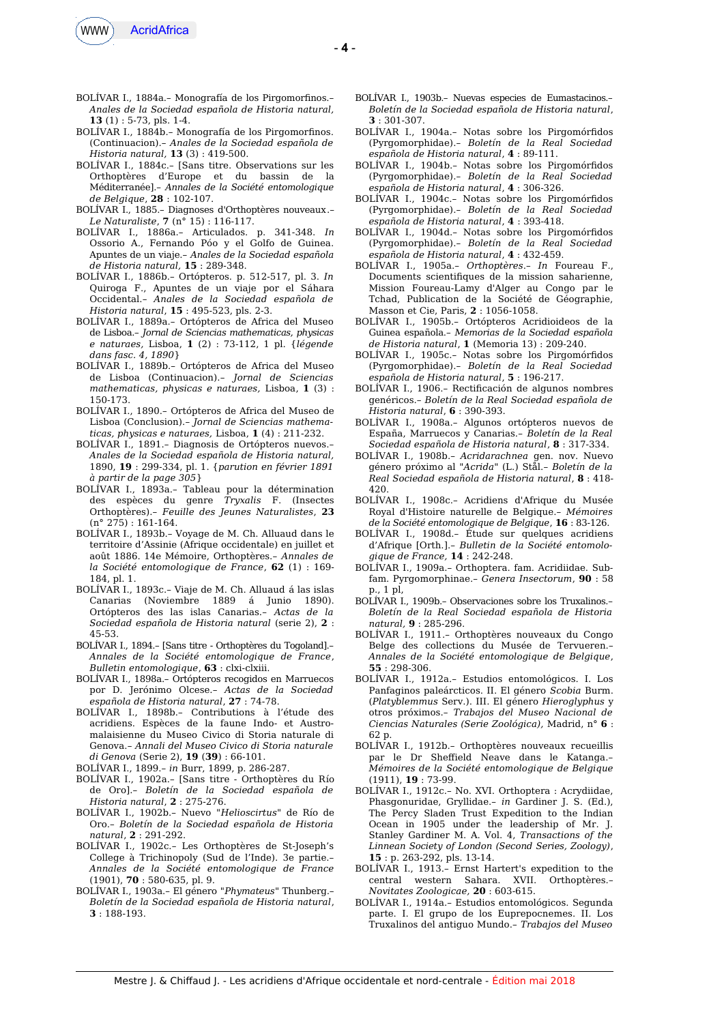

- BOLÍVAR I., 1884a.– Monografía de los Pirgomorfnos.– *Anales de la Sociedad española de Historia natural,* **13** (1) : 5-73, pls. 1-4.
- BOLÍVAR I., 1884b.– Monografía de los Pirgomorfnos. (Continuacion).– *Anales de la Sociedad española de Historia natural,* **13** (3) : 419-500.
- BOLÍVAR I., 1884c.– [Sans titre. Observations sur les Orthoptères d'Europe et du bassin de la Méditerranée].– *Annales de la Société entomologique de Belgique*, **28** : 102-107.
- BOLÍVAR I., 1885.– Diagnoses d'Orthoptères nouveaux.– *Le Naturaliste*, **7** (n° 15) : 116-117.
- BOLÍVAR I., 1886a.– Articulados. p. 341-348. *In* Ossorio A., Fernando Póo y el Golfo de Guinea. Apuntes de un viaje.– *Anales de la Sociedad española de Historia natural,* **15** : 289-348.
- BOLÍVAR I., 1886b.– Ortópteros. p. 512-517, pl. 3. *In* Quiroga F., Apuntes de un viaje por el Sáhara Occidental.– *Anales de la Sociedad española de Historia natural*, **15** : 495-523, pls. 2-3.
- BOLÍVAR I., 1889a.– Ortópteros de Africa del Museo de Lisboa.– *Jornal de Sciencias mathematicas, physicas e naturaes,* Lisboa, **1** (2) : 73-112, 1 pl. {*légende dans fasc. 4, 1890*}
- BOLÍVAR I., 1889b.– Ortópteros de Africa del Museo de Lisboa (Continuacion).– *Jornal de Sciencias mathematicas, physicas e naturaes,* Lisboa, **1** (3) : 150-173.
- BOLÍVAR I., 1890.– Ortópteros de Africa del Museo de Lisboa (Conclusion).– *Jornal de Sciencias mathematicas, physicas e naturaes,* Lisboa, **1** (4) : 211-232.
- BOLÍVAR I., 1891.– Diagnosis de Ortópteros nuevos.– *Anales de la Sociedad española de Historia natural,* 1890, **19** : 299-334, pl. 1. {*parution en février 1891 à partir de la page 305*}
- BOLÍVAR I., 1893a.– Tableau pour la détermination des espèces du genre *Tryxalis* F. (Insectes Orthoptères).– *Feuille des Jeunes Naturalistes*, **23**  $(n^{\circ} 275) : 161-164.$
- BOLÍVAR I., 1893b.– Voyage de M. Ch. Alluaud dans le territoire d'Assinie (Afrique occidentale) en juillet et août 1886. 14e Mémoire, Orthoptères.– *Annales de la Société entomologique de France*, **62** (1) : 169- 184, pl. 1.
- BOLÍVAR I., 1893c.– Viaje de M. Ch. Alluaud á las islas Canarias (Noviembre 1889 á Junio 1890). Ortópteros des las islas Canarias.– *Actas de la Sociedad española de Historia natural* (serie 2), **2** : 45-53.
- BOLÍVAR I., 1894.– [Sans titre Orthoptères du Togoland].– *Annales de la Société entomologique de France*, *Bulletin entomologique*, **63** : clxi-clxiii.
- BOLÍVAR I., 1898a.– Ortópteros recogidos en Marruecos por D. Jerónimo Olcese.– *Actas de la Sociedad española de Historia natural*, **27** : 74-78.
- BOLÍVAR I., 1898b.– Contributions à l'étude des acridiens. Espèces de la faune Indo- et Austromalaisienne du Museo Civico di Storia naturale di Genova.– *Annali del Museo Civico di Storia naturale di Genova* (Serie 2), **19** (**39**) : 66-101.
- BOLÍVAR I., 1899.– *in* Burr, 1899, p. 286-287.
- BOLÍVAR I., 1902a.– [Sans titre Orthoptères du Río de Oro].– *Boletín de la Sociedad española de Historia natural*, **2** : 275-276.
- BOLÍVAR I., 1902b.– Nuevo "*Helioscirtus*" de Río de Oro.– *Boletín de la Sociedad española de Historia natural*, **2** : 291-292.
- BOLÍVAR I., 1902c.– Les Orthoptères de St-Joseph's College à Trichinopoly (Sud de l'Inde). 3e partie.– *Annales de la Société entomologique de France* (1901), **70** : 580-635, pl. 9.
- BOLÍVAR I., 1903a.– El género "*Phymateus*" Thunberg.– *Boletín de la Sociedad española de Historia natural*, **3** : 188-193.
- BOLÍVAR I., 1903b.– Nuevas especies de Eumastacinos.– *Boletín de la Sociedad española de Historia natural*, **3** : 301-307.
- BOLÍVAR I., 1904a.– Notas sobre los Pirgomórfdos (Pyrgomorphidae).– *Boletín de la Real Sociedad española de Historia natural*, **4** : 89-111.
- BOLÍVAR I., 1904b.– Notas sobre los Pirgomórfdos (Pyrgomorphidae).– *Boletín de la Real Sociedad española de Historia natural*, **4** : 306-326.
- BOLÍVAR I., 1904c.– Notas sobre los Pirgomórfdos (Pyrgomorphidae).– *Boletín de la Real Sociedad española de Historia natural*, **4** : 393-418.
- BOLÍVAR I., 1904d.– Notas sobre los Pirgomórfdos (Pyrgomorphidae).– *Boletín de la Real Sociedad española de Historia natural*, **4** : 432-459.
- BOLÍVAR I., 1905a.– *Orthoptères*.– *In* Foureau F., Documents scientifques de la mission saharienne, Mission Foureau-Lamy d'Alger au Congo par le Tchad, Publication de la Société de Géographie, Masson et Cie, Paris, **2** : 1056-1058.
- BOLÍVAR I., 1905b.– Ortópteros Acridioideos de la Guinea española.– *Memorias de la Sociedad española de Historia natural*, **1** (Memoria 13) : 209-240.
- BOLÍVAR I., 1905c.– Notas sobre los Pirgomórfdos (Pyrgomorphidae).– *Boletín de la Real Sociedad española de Historia natural*, **5** : 196-217.
- BOLÍVAR I., 1906.– Rectifcación de algunos nombres genéricos.– *Boletín de la Real Sociedad española de Historia natural*, **6** : 390-393.
- BOLÍVAR I., 1908a.– Algunos ortópteros nuevos de España, Marruecos y Canarias.– *Boletín de la Real Sociedad española de Historia natural*, **8** : 317-334.
- BOLÍVAR I., 1908b.– *Acridarachnea* gen. nov. Nuevo género próximo al "*Acrida*" (L.) Stål.– *Boletín de la Real Sociedad española de Historia natural*, **8** : 418- 420.
- BOLÍVAR I., 1908c.– Acridiens d'Afrique du Musée Royal d'Histoire naturelle de Belgique.– *Mémoires de la Société entomologique de Belgique*, **16** : 83-126.
- BOLÍVAR I., 1908d.– Étude sur quelques acridiens d'Afrique [Orth.].– *Bulletin de la Société entomologique de France,* **14** : 242-248.
- BOLÍVAR I., 1909a.– Orthoptera. fam. Acridiidae. Subfam. Pyrgomorphinae.– *Genera Insectorum*, **90** : 58 p., 1 pl,
- BOLÍVAR I., 1909b.– Observaciones sobre los Truxalinos.– *Boletín de la Real Sociedad española de Historia natural,* **9** : 285-296.
- BOLÍVAR I., 1911.– Orthoptères nouveaux du Congo Belge des collections du Musée de Tervueren.– *Annales de la Société entomologique de Belgique*, **55** : 298-306.
- BOLÍVAR I., 1912a.– Estudios entomológicos. I. Los Panfaginos paleárcticos. II. El género *Scobia* Burm. (*Platyblemmus* Serv.). III. El género *Hieroglyphus* y otros próximos.– *Trabajos del Museo Nacional de Ciencias Naturales (Serie Zoológica),* Madrid, n° **6** : 62 p.
- BOLÍVAR I., 1912b.– Orthoptères nouveaux recueillis par le Dr Shefield Neave dans le Katanga.– *Mémoires de la Société entomologique de Belgique* (1911), **19** : 73-99.
- BOLÍVAR I., 1912c.– No. XVI. Orthoptera : Acrydiidae, Phasgonuridae, Gryllidae.– *in* Gardiner J. S. (Ed.), The Percy Sladen Trust Expedition to the Indian Ocean in 1905 under the leadership of Mr. J. Stanley Gardiner M. A. Vol. 4, *Transactions of the Linnean Society of London (Second Series, Zoology)*, **15** : p. 263-292, pls. 13-14.
- BOLÍVAR I., 1913.– Ernst Hartert's expedition to the central western Sahara. XVII. Orthoptères.– *Novitates Zoologicae,* **20** : 603-615.
- BOLÍVAR I., 1914a.– Estudios entomológicos. Segunda parte. I. El grupo de los Euprepocnemes. II. Los Truxalinos del antiguo Mundo.– *Trabajos del Museo*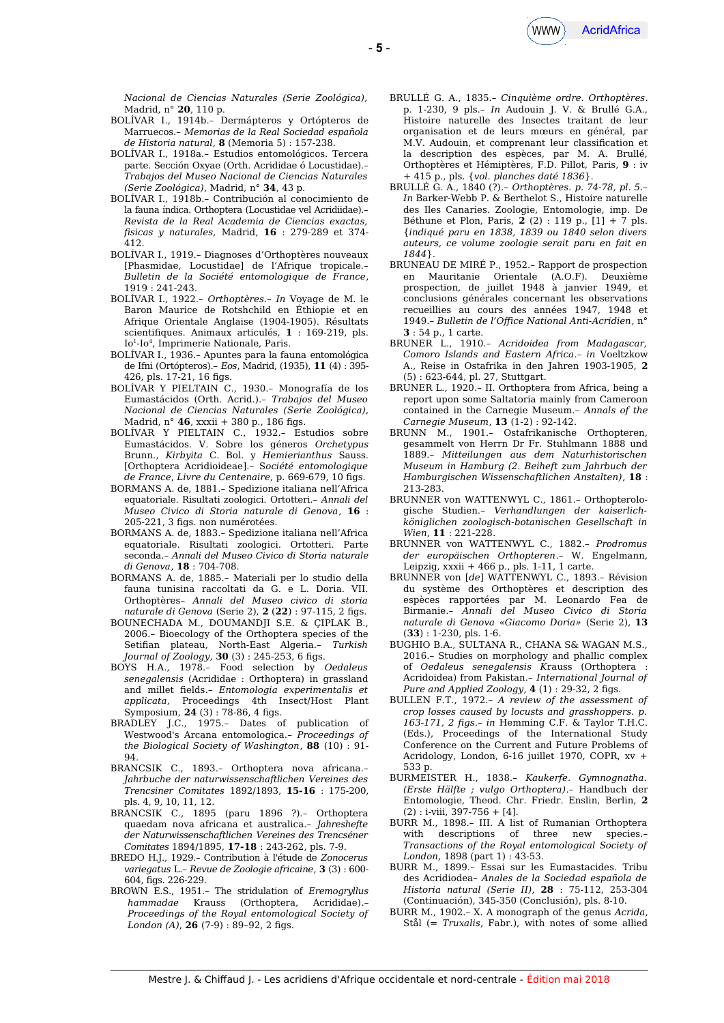

*Nacional de Ciencias Naturales (Serie Zoológica),* Madrid, n° **20**, 110 p.

- BOLÍVAR I., 1914b.– Dermápteros y Ortópteros de Marruecos.– *Memorias de la Real Sociedad española de Historia natural*, **8** (Memoria 5) : 157-238.
- BOLÍVAR I., 1918a.– Estudios entomológicos. Tercera parte. Sección Oxyae (Orth. Acrididae ó Locustidae).– *Trabajos del Museo Nacional de Ciencias Naturales (Serie Zoológica)*, Madrid, n° **34**, 43 p.
- BOLÍVAR I., 1918b.– Contribución al conocimiento de la fauna índica. Orthoptera (Locustidae vel Acridiidae).– *Revista de la Real Academia de Ciencias exactas, fsicas y naturales,* Madrid, **16** : 279-289 et 374- 412.
- BOLÍVAR I., 1919.– Diagnoses d'Orthoptères nouveaux [Phasmidae, Locustidae] de l'Afrique tropicale.– *Bulletin de la Société entomologique de France*, 1919 : 241-243.
- BOLÍVAR I., 1922.– *Orthoptères*.– *In* Voyage de M. le Baron Maurice de Rotshchild en Éthiopie et en Afrique Orientale Anglaise (1904-1905). Résultats scientifques. Animaux articulés, **1** : 169-219, pls. Io<sup>1</sup>-Io<sup>4</sup>, Imprimerie Nationale, Paris.
- BOLÍVAR I., 1936.– Apuntes para la fauna entomológica de Ifni (Ortópteros).– *Eos*, Madrid, (1935), **11** (4) : 395- 426, pls. 17-21, 16 fgs.
- BOLÍVAR Y PIELTAIN C., 1930.– Monografía de los Eumastácidos (Orth. Acrid.).– *Trabajos del Museo Nacional de Ciencias Naturales (Serie Zoológica),* Madrid, n° **46**, xxxii + 380 p., 186 fgs.
- BOLÍVAR Y PIELTAIN C., 1932.– Estudios sobre Eumastácidos. V. Sobre los géneros *Orchetypus* Brunn., *Kirbyita* C. Bol. y *Hemierianthus* Sauss. [Orthoptera Acridioideae].– S*ociété entomologique de France*, *Livre du Centenaire,* p. 669-679, 10 fgs.
- BORMANS A. de, 1881.– Spedizione italiana nell'Africa equatoriale. Risultati zoologici. Ortotteri.– *Annali del Museo Civico di Storia naturale di Genova*, **16** : 205-221, 3 figs. non numérotées.
- BORMANS A. de, 1883.– Spedizione italiana nell'Africa equatoriale. Risultati zoologici. Ortotteri. Parte seconda.– *Annali del Museo Civico di Storia naturale di Genova*, **18** : 704-708.
- BORMANS A. de, 1885.– Materiali per lo studio della fauna tunisina raccoltati da G. e L. Doria. VII. Orthoptères– *Annali del Museo civico di storia naturale di Genova* (Serie 2), **2** (**22**) : 97-115, 2 fgs.
- BOUNECHADA M., DOUMANDJI S.E. & ÇIPLAK B., 2006.– Bioecology of the Orthoptera species of the Setifan plateau, North-East Algeria.– *Turkish Journal of Zoology*, **30** (3) : 245-253, 6 fgs.
- BOYS H.A., 1978.– Food selection by *Oedaleus senegalensis* (Acrididae : Orthoptera) in grassland and millet felds*.– Entomologia experimentalis et applicata*, Proceedings 4th Insect/Host Plant Symposium, **24** (3): 78-86, 4 figs.
- BRADLEY J.C., 1975.– Dates of publication of Westwood's Arcana entomologica.– *Proceedings of the Biological Society of Washington*, **88** (10) : 91- 94.
- BRANCSIK C., 1893.– Orthoptera nova africana.– *Jahrbuche der naturwissenschaftlichen Vereines des Trencsiner Comitates* 1892/1893, **15-16** : 175-200, pls. 4, 9, 10, 11, 12.
- BRANCSIK C., 1895 (paru 1896 ?).– Orthoptera quaedam nova africana et australica.– *Jahreshefte der Naturwissenschaftlichen Vereines des Trencséner Comitates* 1894/1895, **17-18** : 243-262, pls. 7-9.
- BREDO H.J., 1929.– Contribution à l'étude de *Zonocerus variegatus* L.– *Revue de Zoologie africaine*, **3** (3) : 600- 604, fgs. 226-229.
- BROWN E.S., 1951.– The stridulation of *Eremogryllus hammadae* Krauss (Orthoptera, Acrididae).– *Proceedings of the Royal entomological Society of London (A)*,  $26(7-9) : 89-92$ , 2 figs.
- BRULLÉ G. A., 1835.– *Cinquième ordre. Orthoptères*. p. 1-230, 9 pls.– *In* Audouin J. V. & Brullé G.A., Histoire naturelle des Insectes traitant de leur organisation et de leurs mœurs en général, par M.V. Audouin, et comprenant leur classifcation et la description des espèces, par M. A. Brullé, Orthoptères et Hémiptères, F.D. Pillot, Paris, **9** : iv + 415 p., pls. {*vol. planches daté 1836*}.
- BRULLÉ G. A., 1840 (?).– *Orthoptères. p. 74-78, pl. 5.– In* Barker-Webb P. & Berthelot S., Histoire naturelle des Iles Canaries. Zoologie, Entomologie, imp. De Béthune et Plon, Paris, **2** (2) : 119 p., [1] + 7 pls. {*indiqué paru en 1838, 1839 ou 1840 selon divers auteurs, ce volume zoologie serait paru en fait en 1844*}.
- BRUNEAU DE MIRÉ P., 1952.– Rapport de prospection en Mauritanie Orientale (A.O.F). Deuxième prospection, de juillet 1948 à janvier 1949, et conclusions générales concernant les observations recueillies au cours des années 1947, 1948 et 1949.– *Bulletin de l'Ofice National Anti-Acridien*, n° **3** : 54 p., 1 carte.
- BRUNER L., 1910.– *Acridoidea from Madagascar, Comoro Islands and Eastern Africa*.– *in* Voeltzkow A., Reise in Ostafrika in den Jahren 1903-1905, **2** (5) : 623-644, pl. 27, Stuttgart.
- BRUNER L., 1920.– II. Orthoptera from Africa, being a report upon some Saltatoria mainly from Cameroon contained in the Carnegie Museum.– *Annals of the Carnegie Museum*, **13** (1-2) : 92-142.
- BRUNN M., 1901.– Ostafrikanische Orthopteren, gesammelt von Herrn Dr Fr. Stuhlmann 1888 und 1889.– *Mitteilungen aus dem Naturhistorischen Museum in Hamburg (2. Beiheft zum Jahrbuch der Hamburgischen Wissenschaftlichen Anstalten)*, **18** : 213-283.
- BRUNNER von WATTENWYL C., 1861.– Orthopterologische Studien.– *Verhandlungen der kaiserlichköniglichen zoologisch-botanischen Gesellschaft in Wien*, **11** : 221-228.
- BRUNNER von WATTENWYL C., 1882.– *Prodromus der europäischen Orthopteren*.– W. Engelmann, Leipzig,  $xxxi + 466$  p., pls. 1-11, 1 carte.
- BRUNNER von [*de*] WATTENWYL C., 1893.– Révision du système des Orthoptères et description des espèces rapportées par M. Leonardo Fea de Birmanie.– *Annali del Museo Civico di Storia naturale di Genova «Giacomo Doria»* (Serie 2), **13** (**33**) : 1-230, pls. 1-6.
- BUGHIO B.A., SULTANA R., CHANA S& WAGAN M.S., 2016.– Studies on morphology and phallic complex of *Oedaleus senegalensis K*rauss (Orthoptera : Acridoidea) from Pakistan.– *International Journal of Pure and Applied Zoology*,  $4(1): 29-32$ ,  $2$  figs.
- BULLEN F.T., 1972.– *A review of the assessment of crop losses caused by locusts and grasshoppers. p. 163-171, 2 fgs*.– *in* Hemming C.F. & Taylor T.H.C. (Eds.), Proceedings of the International Study Conference on the Current and Future Problems of Acridology, London, 6-16 juillet 1970, COPR, xv + 533 p.
- BURMEISTER H., 1838.– *Kaukerfe. Gymnognatha. (Erste Hälfte ; vulgo Orthoptera)*.– Handbuch der Entomologie, Theod. Chr. Friedr. Enslin, Berlin, **2**  $(2)$ : i-viii, 397-756 + [4].
- BURR M., 1898.– III. A list of Rumanian Orthoptera with descriptions of three new species.– *Transactions of the Royal entomological Society of London,* 1898 (part 1) : 43-53.
- BURR M., 1899.– Essai sur les Eumastacides. Tribu des Acridiodea– *Anales de la Sociedad española de Historia natural (Serie II)*, **28** : 75-112, 253-304 (Continuación), 345-350 (Conclusión), pls. 8-10.
- BURR M., 1902.– X. A monograph of the genus *Acrida*, Stål (= *Truxalis*, Fabr.), with notes of some allied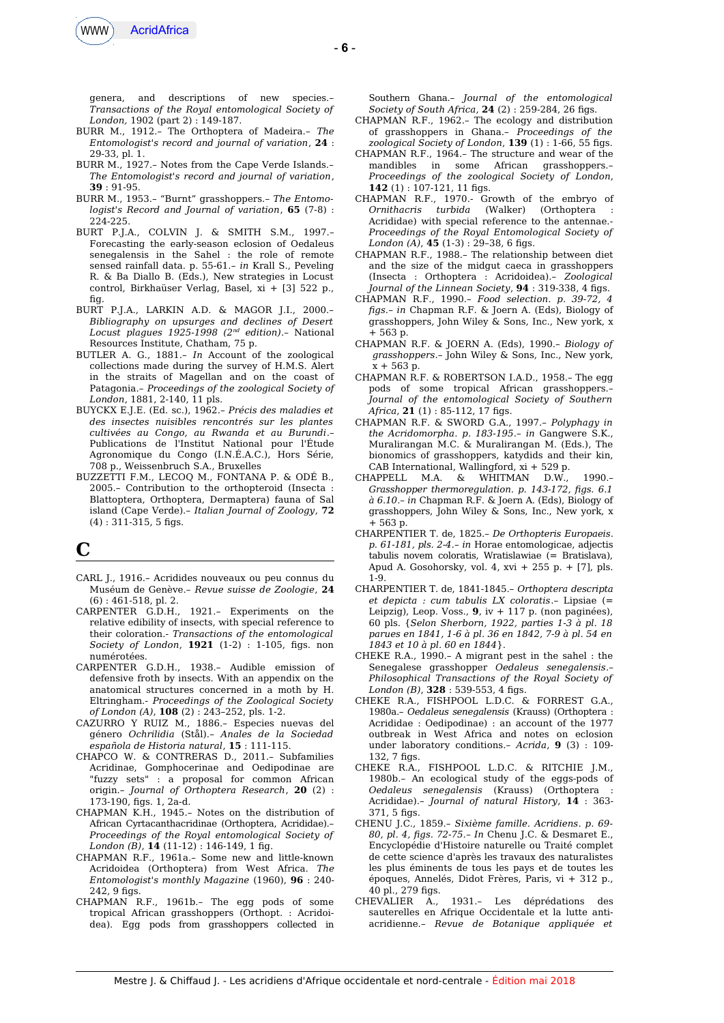

genera, and descriptions of new species.– *Transactions of the Royal entomological Society of London,* 1902 (part 2) : 149-187.

- BURR M., 1912.– The Orthoptera of Madeira.– *The Entomologist's record and journal of variation*, **24** : 29-33, pl. 1.
- BURR M., 1927.– Notes from the Cape Verde Islands.– *The Entomologist's record and journal of variation*, **39** : 91-95.
- BURR M., 1953.– "Burnt" grasshoppers.– *The Entomologist's Record and Journal of variation*, **65** (7-8) : 224-225.
- BURT P.J.A., COLVIN J. & SMITH S.M., 1997.– Forecasting the early-season eclosion of Oedaleus senegalensis in the Sahel : the role of remote sensed rainfall data. p. 55-61.– *in* Krall S., Peveling R. & Ba Diallo B. (Eds.), New strategies in Locust control, Birkhaüser Verlag, Basel, xi + [3] 522 p., fig.
- BURT P.J.A., LARKIN A.D. & MAGOR J.I., 2000.– *Bibliography on upsurges and declines of Desert Locust plagues 1925-1998 (2nd edition)*.– National Resources Institute, Chatham, 75 p.
- BUTLER A. G., 1881.– *In* Account of the zoological collections made during the survey of H.M.S. Alert in the straits of Magellan and on the coast of Patagonia.– *Proceedings of the zoological Society of London*, 1881, 2-140, 11 pls.
- BUYCKX E.J.E. (Ed. sc.), 1962*.– Précis des maladies et des insectes nuisibles rencontrés sur les plantes cultivées au Congo, au Rwanda et au Burundi*.– Publications de l'Institut National pour l'Étude Agronomique du Congo (I.N.É.A.C.), Hors Série, 708 p., Weissenbruch S.A., Bruxelles
- BUZZETTI F.M., LECOQ M., FONTANA P. & ODÉ B., 2005.– Contribution to the orthopteroid (Insecta : Blattoptera, Orthoptera, Dermaptera) fauna of Sal island (Cape Verde).– *Italian Journal of Zoology*, **72**  $(4) : 311-315, 5$  figs.

# **C**

- CARL J., 1916.– Acridides nouveaux ou peu connus du Muséum de Genève.– *Revue suisse de Zoologie*, **24** (6) : 461-518, pl. 2.
- CARPENTER G.D.H., 1921.– Experiments on the relative edibility of insects, with special reference to their coloration.- *Transactions of the entomological Society of London*, **1921** (1-2) : 1-105, fgs. non numérotées.
- CARPENTER G.D.H., 1938.– Audible emission of defensive froth by insects. With an appendix on the anatomical structures concerned in a moth by H. Eltringham.- *Proceedings of the Zoological Society of London (A)*, **108** (2) : 243–252, pls. 1-2.
- CAZURRO Y RUIZ M., 1886.– Especies nuevas del género *Ochrilidia* (Stål).– *Anales de la Sociedad española de Historia natural*, **15** : 111-115.
- CHAPCO W. & CONTRERAS D., 2011.– Subfamilies Acridinae, Gomphocerinae and Oedipodinae are "fuzzy sets" : a proposal for common African origin.– *Journal of Orthoptera Research*, **20** (2) : 173-190, fgs. 1, 2a-d.
- CHAPMAN K.H., 1945.– Notes on the distribution of African Cyrtacanthacridinae (Orthoptera, Acrididae).– *Proceedings of the Royal entomological Society of London (B)*, **14** (11-12) : 146-149, 1 fg.
- CHAPMAN R.F., 1961a.– Some new and little-known Acridoidea (Orthoptera) from West Africa. *The Entomologist's monthly Magazine* (1960), **96** : 240-  $242, 9$  figs.
- CHAPMAN R.F., 1961b.– The egg pods of some tropical African grasshoppers (Orthopt. : Acridoidea). Egg pods from grasshoppers collected in

Southern Ghana.– *Journal of the entomological Society of South Africa*, **24** (2) : 259-284, 26 fgs.

- CHAPMAN R.F., 1962.– The ecology and distribution of grasshoppers in Ghana.– *Proceedings of the zoological Society of London*, **139** (1) : 1-66, 55 fgs.
- CHAPMAN R.F., 1964.– The structure and wear of the mandibles in some African grasshoppers.– *Proceedings of the zoological Society of London*, 142 (1): 107-121, 11 figs.
- CHAPMAN R.F., 1970.- Growth of the embryo of *Ornithacris turbida* (Walker) (Orthoptera : Acrididae) with special reference to the antennae.- *Proceedings of the Royal Entomological Society of London* (A), **45** (1-3): 29-38, 6 figs.
- CHAPMAN R.F., 1988.– The relationship between diet and the size of the midgut caeca in grasshoppers (Insecta : Orthoptera : Acridoidea).– *Zoological Journal of the Linnean Society*, **94** : 319-338, 4 fgs.
- CHAPMAN R.F., 1990.– *Food selection. p. 39-72, 4 fgs*.– *in* Chapman R.F. & Joern A. (Eds), Biology of grasshoppers, John Wiley & Sons, Inc., New york, x + 563 p.
- CHAPMAN R.F. & JOERN A. (Eds), 1990.– *Biology of grasshoppers*.– John Wiley & Sons, Inc., New york,  $x + 563 p$
- CHAPMAN R.F. & ROBERTSON I.A.D., 1958.– The egg pods of some tropical African grasshoppers.– *Journal of the entomological Society of Southern Africa*, **21** (1) : 85-112, 17 fgs.
- CHAPMAN R.F. & SWORD G.A., 1997.– *Polyphagy in the Acridomorpha. p. 183-195*.– *in* Gangwere S.K., Muralirangan M.C. & Muralirangan M. (Eds.), The bionomics of grasshoppers, katydids and their kin, CAB International, Wallingford, xi + 529 p.<br>[APPELL M.A. & WHITMAN D.W.,
- CHAPPELL M.A. & WHITMAN D.W., 1990.– *Grasshopper thermoregulation. p. 143-172, fgs. 6.1 à 6.10*.– *in* Chapman R.F. & Joern A. (Eds), Biology of grasshoppers, John Wiley & Sons, Inc., New york, x + 563 p.
- CHARPENTIER T. de, 1825.– *De Orthopteris Europaeis*. *p. 61-181, pls. 2-4.*– *in* Horae entomologicae, adjectis tabulis novem coloratis, Wratislawiae (= Bratislava), Apud A. Gosohorsky, vol. 4, xvi + 255 p. + [7], pls. 1-9.
- CHARPENTIER T. de, 1841-1845.– *Orthoptera descripta et depicta : cum tabulis LX coloratis*.– Lipsiae (= Leipzig), Leop. Voss., **9**, iv + 117 p. (non paginées), 60 pls. {*Selon Sherborn, 1922, parties 1-3 à pl. 18 parues en 1841, 1-6 à pl. 36 en 1842, 7-9 à pl. 54 en 1843 et 10 à pl. 60 en 1844*}.
- CHEKE R.A., 1990.– A migrant pest in the sahel : the Senegalese grasshopper *Oedaleus senegalensis*.– *Philosophical Transactions of the Royal Society of London (B)*, **328** : 539-553, 4 fgs.
- CHEKE R.A., FISHPOOL L.D.C. & FORREST G.A., 1980a.– *Oedaleus senegalensis* (Krauss) (Orthoptera : Acrididae : Oedipodinae) : an account of the 1977 outbreak in West Africa and notes on eclosion under laboratory conditions.– *Acrida*, **9** (3) : 109-  $132.7$  figs.
- CHEKE R.A., FISHPOOL L.D.C. & RITCHIE J.M., 1980b.– An ecological study of the eggs-pods of *Oedaleus senegalensis* (Krauss) (Orthoptera : Acrididae).– *Journal of natural History*, **14** : 363- 371, 5 figs.
- CHENU J.C., 1859.– *Sixième famille. Acridiens*. *p. 69- 80, pl. 4, fgs. 72-75.– In* Chenu J.C. & Desmaret E., Encyclopédie d'Histoire naturelle ou Traité complet de cette science d'après les travaux des naturalistes les plus éminents de tous les pays et de toutes les époques, Annelés, Didot Frères, Paris, vi + 312 p., 40 pl., 279 figs.
- CHEVALIER A., 1931.– Les déprédations des sauterelles en Afrique Occidentale et la lutte antiacridienne.– *Revue de Botanique appliquée et*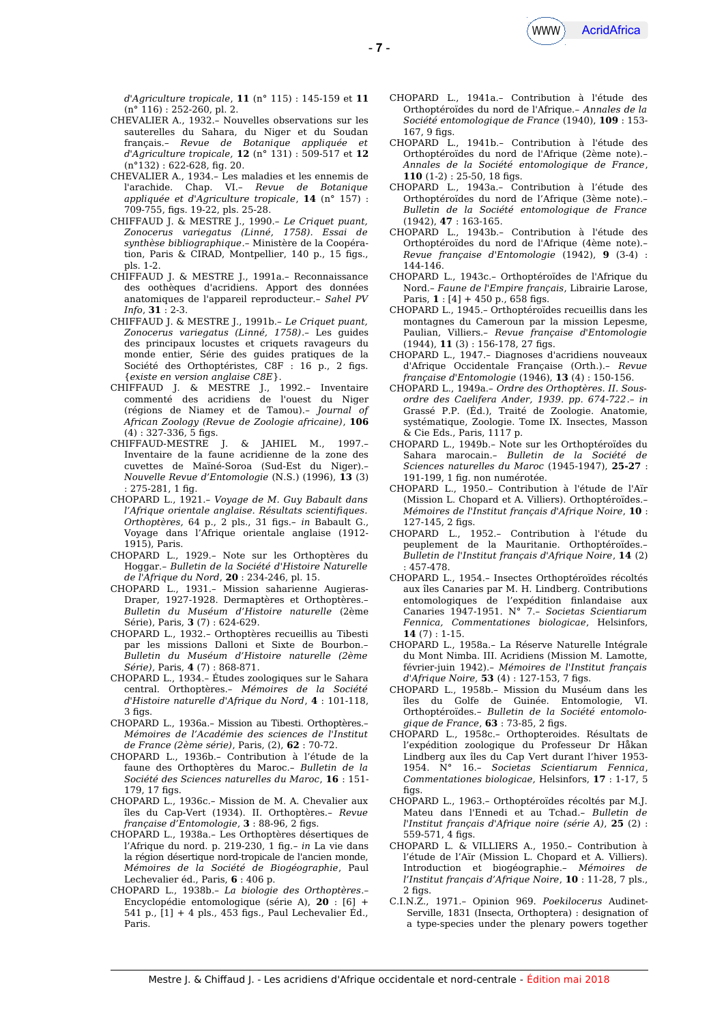

- **7** -

*d'Agriculture tropicale*, **11** (n° 115) : 145-159 et **11** (n° 116) : 252-260, pl. 2.

- CHEVALIER A., 1932.– Nouvelles observations sur les sauterelles du Sahara, du Niger et du Soudan français.– *Revue de Botanique appliquée et d'Agriculture tropicale,* **12** (n° 131) : 509-517 et **12** (n°132) : 622-628, fg. 20.
- CHEVALIER A., 1934.– Les maladies et les ennemis de l'arachide. Chap. VI.– *Revue de Botanique appliquée et d'Agriculture tropicale*, **14** (n° 157) : 709-755, fgs. 19-22, pls. 25-28.
- CHIFFAUD J. & MESTRE J., 1990.– *Le Criquet puant, Zonocerus variegatus (Linné, 1758). Essai de synthèse bibliographique*.– Ministère de la Coopération, Paris & CIRAD, Montpellier, 140 p., 15 figs., pls. 1-2.
- CHIFFAUD J. & MESTRE J., 1991a.– Reconnaissance des oothèques d'acridiens. Apport des données anatomiques de l'appareil reproducteur.– *Sahel PV Info*, **31** : 2-3.
- CHIFFAUD J. & MESTRE J., 1991b.– *Le Criquet puant, Zonocerus variegatus (Linné, 1758)*.– Les guides des principaux locustes et criquets ravageurs du monde entier, Série des guides pratiques de la Société des Orthoptéristes, C8F : 16 p., 2 fgs. {*existe en version anglaise C8E*}.
- CHIFFAUD J. & MESTRE J., 1992.– Inventaire commenté des acridiens de l'ouest du Niger (régions de Niamey et de Tamou).– *Journal of African Zoology (Revue de Zoologie africaine)*, **106**  $(4)$ : 327-336, 5 figs.
- CHIFFAUD-MESTRE J. & JAHIEL M., 1997.– Inventaire de la faune acridienne de la zone des cuvettes de Maïné-Soroa (Sud-Est du Niger).– *Nouvelle Revue d'Entomologie* (N.S.) (1996), **13** (3)  $: 275 - 281.1$  fig.
- CHOPARD L., 1921.– *Voyage de M. Guy Babault dans l'Afrique orientale anglaise. Résultats scientifques. Orthoptères,* 64 p., 2 pls., 31 fgs.– *in* Babault G., Voyage dans l'Afrique orientale anglaise (1912- 1915), Paris.
- CHOPARD L., 1929.– Note sur les Orthoptères du Hoggar.– *Bulletin de la Société d'Histoire Naturelle de l'Afrique du Nord*, **20** : 234-246, pl. 15.
- CHOPARD L., 1931.– Mission saharienne Augieras-Draper, 1927-1928. Dermaptères et Orthoptères.– *Bulletin du Muséum d'Histoire naturelle* (2ème Série), Paris, **3** (7) : 624-629.
- CHOPARD L., 1932.– Orthoptères recueillis au Tibesti par les missions Dalloni et Sixte de Bourbon.– *Bulletin du Muséum d'Histoire naturelle (2ème Série)*, Paris, **4** (7) : 868-871.
- CHOPARD L., 1934.– Études zoologiques sur le Sahara central. Orthoptères.– *Mémoires de la Société d'Histoire naturelle d'Afrique du Nord*, **4** : 101-118, 3 figs.
- CHOPARD L., 1936a.– Mission au Tibesti. Orthoptères.– *Mémoires de l'Académie des sciences de l'Institut de France (2ème série)*, Paris, (2), **62** : 70-72.
- CHOPARD L., 1936b.– Contribution à l'étude de la faune des Orthoptères du Maroc.– *Bulletin de la Société des Sciences naturelles du Maroc*, **16** : 151- 179, 17 figs.
- CHOPARD L., 1936c.– Mission de M. A. Chevalier aux îles du Cap-Vert (1934). II. Orthoptères.– *Revue française d'Entomologie*, **3** : 88-96, 2 fgs.
- CHOPARD L., 1938a.– Les Orthoptères désertiques de l'Afrique du nord. p. 219-230, 1 fg.– *in* La vie dans la région désertique nord-tropicale de l'ancien monde, *Mémoires de la Société de Biogéographie*, Paul Lechevalier éd., Paris, **6** : 406 p.
- CHOPARD L., 1938b.– *La biologie des Orthoptères*.– Encyclopédie entomologique (série A), **20** : [6] + 541 p., [1] + 4 pls., 453 fgs., Paul Lechevalier Éd., Paris.
- CHOPARD L., 1941a.– Contribution à l'étude des Orthoptéroïdes du nord de l'Afrique.– *Annales de la Société entomologique de France* (1940), **109** : 153- 167, 9 fgs.
- CHOPARD L., 1941b.– Contribution à l'étude des Orthoptéroïdes du nord de l'Afrique (2ème note).– *Annales de la Société entomologique de France*, **110** (1-2) : 25-50, 18 fgs.
- CHOPARD L., 1943a.– Contribution à l'étude des Orthoptéroïdes du nord de l'Afrique (3ème note).– *Bulletin de la Société entomologique de France* (1942), **47** : 163-165.
- CHOPARD L., 1943b.– Contribution à l'étude des Orthoptéroïdes du nord de l'Afrique (4ème note).– *Revue française d'Entomologie* (1942), **9** (3-4) : 144-146.
- CHOPARD L., 1943c.– Orthoptéroïdes de l'Afrique du Nord.– *Faune de l'Empire français*, Librairie Larose, Paris, **1** : [4] + 450 p., 658 figs.
- CHOPARD L., 1945.– Orthoptéroïdes recueillis dans les montagnes du Cameroun par la mission Lepesme, Paulian, Villiers.– *Revue française d'Entomologie* (1944), **11** (3) : 156-178, 27 fgs.
- CHOPARD L., 1947.– Diagnoses d'acridiens nouveaux d'Afrique Occidentale Française (Orth.).– *Revue française d'Entomologie* (1946), **13** (4) : 150-156.
- CHOPARD L., 1949a.– *Ordre des Orthoptères. II. Sousordre des Caelifera Ander, 1939. pp. 674-722*.– *in* Grassé P.P. (Éd.), Traité de Zoologie. Anatomie, systématique, Zoologie. Tome IX. Insectes, Masson & Cie Eds., Paris, 1117 p.
- CHOPARD L., 1949b.– Note sur les Orthoptéroïdes du Sahara marocain.– *Bulletin de la Société de Sciences naturelles du Maroc* (1945-1947), **25-27** : 191-199, 1 fg. non numérotée.
- CHOPARD L., 1950.– Contribution à l'étude de l'Aïr (Mission L. Chopard et A. Villiers). Orthoptéroïdes.– *Mémoires de l'Institut français d'Afrique Noire*, **10** : 127-145, 2 figs.
- CHOPARD L., 1952.– Contribution à l'étude du peuplement de la Mauritanie. Orthoptéroïdes.– *Bulletin de l'Institut français d'Afrique Noire*, **14** (2) : 457-478.
- CHOPARD L., 1954.– Insectes Orthoptéroïdes récoltés aux îles Canaries par M. H. Lindberg. Contributions entomologiques de l'expédition fnlandaise aux Canaries 1947-1951. N° 7.– *Societas Scientiarum Fennica, Commentationes biologicae*, Helsinfors, **14** (7) : 1-15.
- CHOPARD L., 1958a.– La Réserve Naturelle Intégrale du Mont Nimba. III. Acridiens (Mission M. Lamotte, février-juin 1942).– *Mémoires de l'Institut français d'Afrique Noire,* **53** (4) : 127-153, 7 fgs.
- CHOPARD L., 1958b.– Mission du Muséum dans les îles du Golfe de Guinée. Entomologie, VI. Orthoptéroïdes.– *Bulletin de la Société entomologique de France*, **63** : 73-85, 2 figs.
- CHOPARD L., 1958c.– Orthopteroides. Résultats de l'expédition zoologique du Professeur Dr Håkan Lindberg aux îles du Cap Vert durant l'hiver 1953- 1954. N° 16.– *Societas Scientiarum Fennica*, *Commentationes biologicae,* Helsinfors, **17** : 1-17, 5 figs.
- CHOPARD L., 1963.– Orthoptéroïdes récoltés par M.J. Mateu dans l'Ennedi et au Tchad.– *Bulletin de l'Institut français d'Afrique noire (série A)*, **25** (2) : 559-571, 4 figs.
- CHOPARD L. & VILLIERS A., 1950.– Contribution à l'étude de l'Aïr (Mission L. Chopard et A. Villiers). Introduction et biogéographie.– *Mémoires de l'Institut français d'Afrique Noire*, **10** : 11-28, 7 pls.,  $2$  figs.
- C.I.N.Z., 1971.– Opinion 969. *Poekilocerus* Audinet-Serville, 1831 (Insecta, Orthoptera) : designation of a type-species under the plenary powers together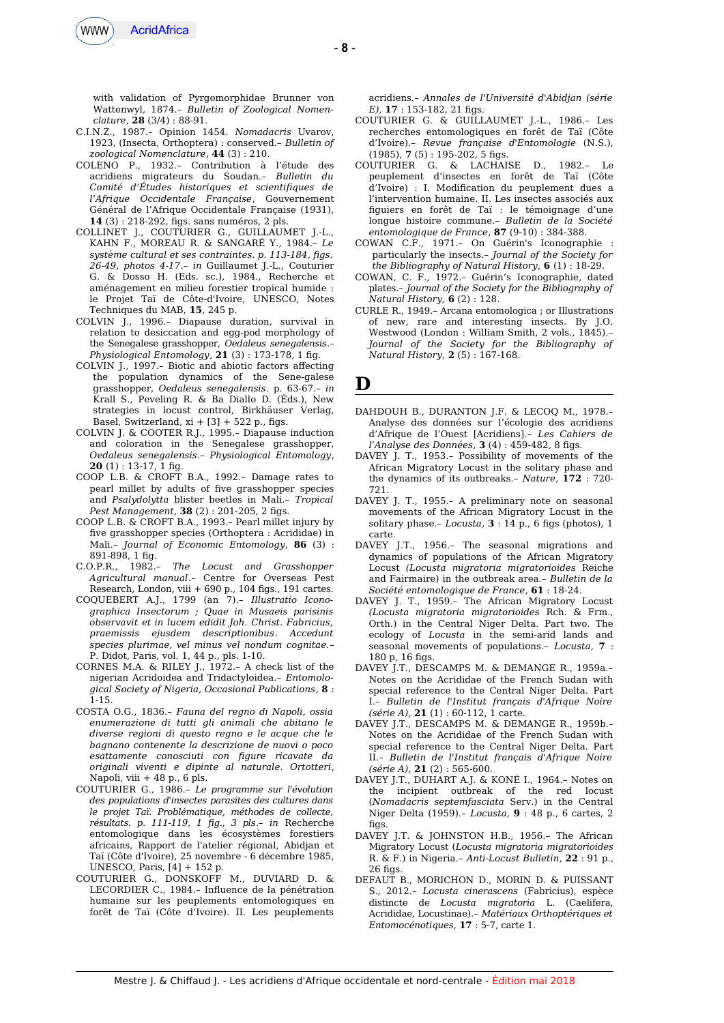

with validation of Pyrgomorphidae Brunner von Wattenwyl, 1874.– *Bulletin of Zoological Nomenclature*, **28** (3/4) : 88-91.

- C.I.N.Z., 1987.– Opinion 1454. *Nomadacris* Uvarov, 1923, (Insecta, Orthoptera) : conserved.– *Bulletin of zoological Nomenclature*, **44** (3) : 210.
- COLENO P., 1932.– Contribution à l'étude des acridiens migrateurs du Soudan.– *Bulletin du Comité d'Études historiques et scientifques de l'Afrique Occidentale Française*, Gouvernement Général de l'Afrique Occidentale Française (1931), **14** (3) : 218-292, fgs. sans numéros, 2 pls.
- COLLINET J., COUTURIER G., GUILLAUMET J.-L., KAHN F., MOREAU R. & SANGARÉ Y., 1984.– *Le système cultural et ses contraintes. p. 113-184, fgs. 26-49, photos 4-17*.– *in* Guillaumet J.-L., Couturier G. & Dosso H. (Eds. sc.), 1984., Recherche et aménagement en milieu forestier tropical humide : le Projet Taï de Côte-d'Ivoire, UNESCO, Notes Techniques du MAB, **15**, 245 p.
- COLVIN J., 1996.– Diapause duration, survival in relation to desiccation and egg-pod morphology of the Senegalese grasshopper, *Oedaleus senegalensis*.– *Physiological Entomology*, **21** (3) : 173-178, 1 fg.
- COLVIN J., 1997.– Biotic and abiotic factors afecting the population dynamics of the Sene-galese grasshopper, *Oedaleus senegalensis*. p. 63-67.– *in* Krall S., Peveling R. & Ba Diallo D. (Éds.), New strategies in locust control, Birkhäuser Verlag, Basel, Switzerland,  $xi + [3] + 522$  p., figs.
- COLVIN J. & COOTER R.J., 1995.– Diapause induction and coloration in the Senegalese grasshopper, *Oedaleus senegalensis*.– *Physiological Entomology*, **20** (1) : 13-17, 1 fg.
- COOP L.B. & CROFT B.A., 1992.– Damage rates to pearl millet by adults of fve grasshopper species and *Psalydolytta* blister beetles in Mali.– *Tropical* Pest Management, 38 (2): 201-205, 2 figs.
- COOP L.B. & CROFT B.A., 1993.– Pearl millet injury by fve grasshopper species (Orthoptera : Acrididae) in Mali.– *Journal of Economic Entomology*, **86** (3) : 891-898, 1 fg.
- C.O.P.R., 1982.– *The Locust and Grasshopper Agricultural manual*.– Centre for Overseas Pest Research, London, viii + 690 p., 104 figs., 191 cartes.
- COQUEBERT A.J., 1799 (an 7).– *Illustratio Iconographica Insectorum ; Quae in Musaeis parisinis observavit et in lucem edidit Joh. Christ. Fabricius, praemissis ejusdem descriptionibus. Accedunt species plurimae, vel minus vel nondum cognitae.*– P. Didot, Paris, vol. 1, 44 p., pls. 1-10.
- CORNES M.A. & RILEY J., 1972.– A check list of the nigerian Acridoidea and Tridactyloidea.– *Entomological Society of Nigeria, Occasional Publications*, **8** : 1-15.
- COSTA O.G., 1836.– *Fauna del regno di Napoli, ossia enumerazione di tutti gli animali che abitano le diverse regioni di questo regno e le acque che le bagnano contenente la descrizione de nuovi o poco esattamente conosciuti con fgure ricavate da originali viventi e dipinte al naturale. Ortotteri*, Napoli, viii + 48 p., 6 pls.
- COUTURIER G., 1986.– *Le programme sur l'évolution des populations d'insectes parasites des cultures dans le projet Taï. Problématique, méthodes de collecte, résultats. p. 111-119, 1 fg., 3 pls*.– *in* Recherche entomologique dans les écosystèmes forestiers africains, Rapport de l'atelier régional, Abidjan et Taï (Côte d'Ivoire), 25 novembre - 6 décembre 1985, UNESCO, Paris, [4] + 152 p.
- COUTURIER G., DONSKOFF M., DUVIARD D. & LECORDIER C., 1984.– Influence de la pénétration humaine sur les peuplements entomologiques en forêt de Taï (Côte d'Ivoire). II. Les peuplements

acridiens.– *Annales de l'Université d'Abidjan (série E)*, **17** : 153-182, 21 figs.

- COUTURIER G. & GUILLAUMET J.-L., 1986.– Les recherches entomologiques en forêt de Taï (Côte d'Ivoire).– *Revue française d'Entomologie* (N.S.), (1985), **7** (5) : 195-202, 5 fgs.
- COUTURIER G. & LACHAISE D., 1982.– Le peuplement d'insectes en forêt de Taï (Côte d'Ivoire) : I. Modifcation du peuplement dues a l'intervention humaine. II. Les insectes associés aux fguiers en forêt de Taï : le témoignage d'une longue histoire commune.– *Bulletin de la Société entomologique de France*, **87** (9-10) : 384-388.
- COWAN C.F., 1971.– On Guérin's Iconographie : particularly the insects.– *Journal of the Society for the Bibliography of Natural History,* **6** (1) : 18-29.
- COWAN, C. F., 1972.– Guérin's Iconographie*,* dated plates.– *Journal of the Society for the Bibliography of Natural History,* **6** (2) : 128.
- CURLE R., 1949.– Arcana entomologica ; or Illustrations of new, rare and interesting insects. By J.O. Westwood (London : William Smith, 2 vols., 1845).– *Journal of the Society for the Bibliography of Natural History*, **2** (5) : 167-168.

## **D**

- DAHDOUH B., DURANTON J.F. & LECOQ M., 1978.– Analyse des données sur l'écologie des acridiens d'Afrique de l'Ouest [Acridiens].– *Les Cahiers de l'Analyse des Données*, **3** (4) : 459-482, 8 fgs.
- DAVEY J. T., 1953.– Possibility of movements of the African Migratory Locust in the solitary phase and the dynamics of its outbreaks.– *Nature*, **172** : 720- 721.
- DAVEY J. T., 1955.– A preliminary note on seasonal movements of the African Migratory Locust in the solitary phase.- Locusta,  $3:14$  p., 6 figs (photos), 1 carte.
- DAVEY J.T., 1956.– The seasonal migrations and dynamics of populations of the African Migratory Locust *(Locusta migratoria migratorioides* Reiche and Fairmaire) in the outbreak area.– *Bulletin de la Société entomologique de France*, **61** : 18-24.
- DAVEY J. T., 1959.– The African Migratory Locust *(Locusta migratoria migratorioides* Rch. & Frm., Orth.) in the Central Niger Delta. Part two. The ecology of *Locusta* in the semi-arid lands and seasonal movements of populations.– *Locusta*, **7** : 180 p, 16 figs.
- DAVEY J.T., DESCAMPS M. & DEMANGE R., 1959a.– Notes on the Acrididae of the French Sudan with special reference to the Central Niger Delta. Part I.– *Bulletin de l'Institut français d'Afrique Noire (série A),* **21** (1) : 60-112, 1 carte.
- DAVEY J.T., DESCAMPS M. & DEMANGE R., 1959b.– Notes on the Acrididae of the French Sudan with special reference to the Central Niger Delta. Part II.– *Bulletin de l'Institut français d'Afrique Noire (série A),* **21** (2) : 565-600.
- DAVEY J.T., DUHART A.J. & KONÉ I., 1964.– Notes on the incipient outbreak of the red locust (*Nomadacris septemfasciata* Serv.) in the Central Niger Delta (1959).– *Locusta*, **9** : 48 p., 6 cartes, 2 fias
- DAVEY J.T. & JOHNSTON H.B., 1956.– The African Migratory Locust (*Locusta migratoria migratorioides* R. & F.) in Nigeria.– *Anti-Locust Bulletin*, **22** : 91 p., 26 figs.
- DEFAUT B., MORICHON D., MORIN D. & PUISSANT S., 2012.– *Locusta cinerascens* (Fabricius), espèce distincte de *Locusta migratoria* L. (Caelifera, Acrididae, Locustinae).– *Matériaux Orthoptériques et Entomocénotiques*, **17** : 5-7, carte 1.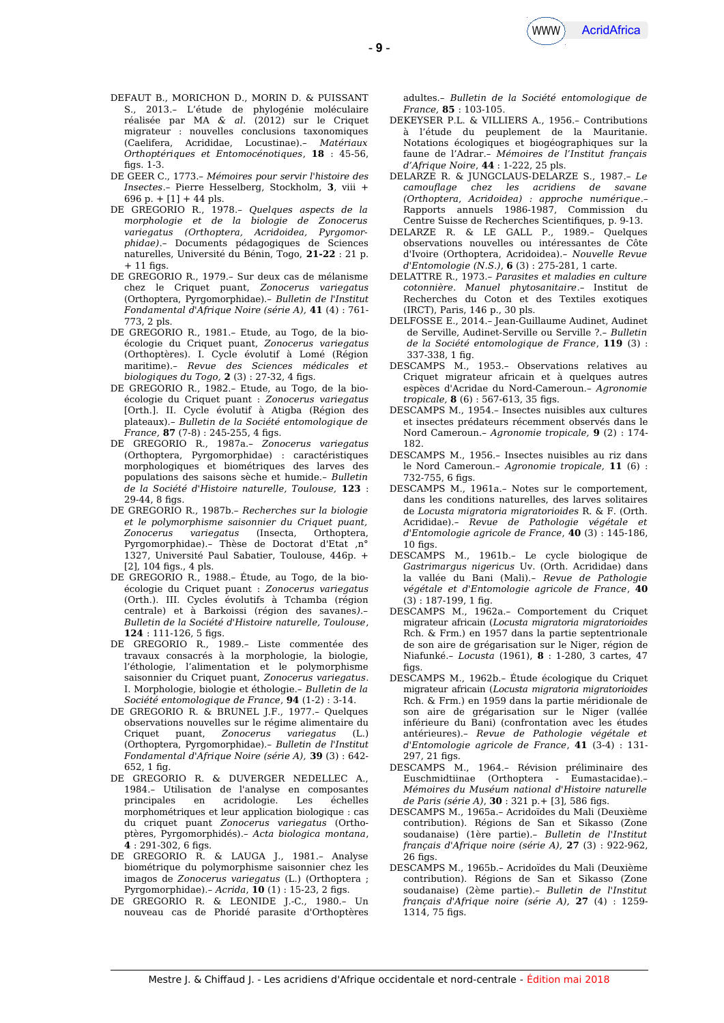- DEFAUT B., MORICHON D., MORIN D. & PUISSANT S., 2013.– L'étude de phylogénie moléculaire réalisée par MA *& al.* (2012) sur le Criquet migrateur : nouvelles conclusions taxonomiques (Caelifera, Acrididae, Locustinae).– *Matériaux Orthoptériques et Entomocénotiques*, **18** : 45-56, figs.  $1-3$ .
- DE GEER C., 1773.– *Mémoires pour servir l'histoire des Insectes*.– Pierre Hesselberg, Stockholm, **3**, viii + 696 p. + [1] + 44 pls.
- DE GREGORIO R., 1978.– *Quelques aspects de la morphologie et de la biologie de Zonocerus variegatus (Orthoptera, Acridoidea, Pyrgomorphidae)*.– Documents pédagogiques de Sciences naturelles, Université du Bénin, Togo, **21-22** : 21 p.  $+11$  figs
- DE GREGORIO R., 1979.– Sur deux cas de mélanisme chez le Criquet puant, *Zonocerus variegatus* (Orthoptera, Pyrgomorphidae).– *Bulletin de l'Institut Fondamental d'Afrique Noire (série A),* **41** (4) : 761- 773, 2 pls.
- DE GREGORIO R., 1981.– Etude, au Togo, de la bioécologie du Criquet puant, *Zonocerus variegatus* (Orthoptères). I. Cycle évolutif à Lomé (Région maritime).– *Revue des Sciences médicales et biologiques du Togo,* **2** (3) : 27-32, 4 fgs.
- DE GREGORIO R., 1982.– Etude, au Togo, de la bioécologie du Criquet puant : *Zonocerus variegatus* [Orth.]. II. Cycle évolutif à Atigba (Région des plateaux).– *Bulletin de la Société entomologique de France*, **87** (7-8): 245-255, 4 figs.
- DE GREGORIO R., 1987a.– *Zonocerus variegatus* (Orthoptera, Pyrgomorphidae) : caractéristiques morphologiques et biométriques des larves des populations des saisons sèche et humide.– *Bulletin de la Société d'Histoire naturelle, Toulouse,* **123** :  $29-44, 8$  figs.
- DE GREGORIO R., 1987b.– *Recherches sur la biologie et le polymorphisme saisonnier du Criquet puant, Zonocerus variegatus* (Insecta, Orthoptera, Pyrgomorphidae).– Thèse de Doctorat d'Etat ,n° 1327, Université Paul Sabatier, Toulouse, 446p. + [2], 104 figs., 4 pls.
- DE GREGORIO R., 1988.– Étude, au Togo, de la bioécologie du Criquet puant : *Zonocerus variegatus* (Orth.). III. Cycles évolutifs à Tchamba (région centrale) et à Barkoissi (région des savanes*).– Bulletin de la Société d'Histoire naturelle, Toulouse*, **124** : 111-126, 5 fgs.
- DE GREGORIO R., 1989.– Liste commentée des travaux consacrés à la morphologie, la biologie, l'éthologie, l'alimentation et le polymorphisme saisonnier du Criquet puant, *Zonocerus variegatus*. I. Morphologie, biologie et éthologie.– *Bulletin de la Société entomologique de France*, **94** (1-2) : 3-14.
- DE GREGORIO R. & BRUNEL J.F., 1977.– Quelques observations nouvelles sur le régime alimentaire du Criquet puant, *Zonocerus variegatus* (L.) (Orthoptera, Pyrgomorphidae).– *Bulletin de l'Institut Fondamental d'Afrique Noire (série A),* **39** (3) : 642-  $652.1$  fig.
- DE GREGORIO R. & DUVERGER NEDELLEC A., 1984.– Utilisation de l'analyse en composantes principales en acridologie. Les échelles morphométriques et leur application biologique : cas du criquet puant *Zonocerus variegatus* (Orthoptères, Pyrgomorphidés).– *Acta biologica montana*, **4** : 291-302, 6 fgs.
- DE GREGORIO R. & LAUGA J., 1981.– Analyse biométrique du polymorphisme saisonnier chez les imagos de *Zonocerus variegatus* (L.) (Orthoptera ; Pyrgomorphidae).– *Acrida*, **10** (1) : 15-23, 2 fgs.
- DE GREGORIO R. & LEONIDE J.-C., 1980.– Un nouveau cas de Phoridé parasite d'Orthoptères

adultes.– *Bulletin de la Société entomologique de France,* **85** : 103-105.

- DEKEYSER P.L. & VILLIERS A., 1956.– Contributions à l'étude du peuplement de la Mauritanie. Notations écologiques et biogéographiques sur la faune de l'Adrar.– *Mémoires de l'Institut français d'Afrique Noire*, **44** : 1-222, 25 pls.
- DELARZE R. & JUNGCLAUS-DELARZE S., 1987*.– Le camoufage chez les acridiens de savane (Orthoptera, Acridoidea) : approche numérique*.– Rapports annuels 1986-1987, Commission du Centre Suisse de Recherches Scientifques, p. 9-13.
- DELARZE R. & LE GALL P., 1989.– Quelques observations nouvelles ou intéressantes de Côte d'Ivoire (Orthoptera, Acridoidea).– *Nouvelle Revue d'Entomologie (N.S.)*, **6** (3) : 275-281, 1 carte.
- DELATTRE R., 1973.– *Parasites et maladies en culture cotonnière. Manuel phytosanitaire*.– Institut de Recherches du Coton et des Textiles exotiques (IRCT), Paris, 146 p., 30 pls.
- DELFOSSE E., 2014.– Jean-Guillaume Audinet, Audinet de Serville, Audinet-Serville ou Serville ?.– *Bulletin de la Société entomologique de France*, **119** (3) : 337-338, 1 fig.
- DESCAMPS M., 1953.– Observations relatives au Criquet migrateur africain et à quelques autres espèces d'Acridae du Nord-Cameroun.– *Agronomie tropicale*, **8** (6): 567-613, 35 figs.
- DESCAMPS M., 1954.– Insectes nuisibles aux cultures et insectes prédateurs récemment observés dans le Nord Cameroun.– *Agronomie tropicale,* **9** (2) : 174- 182.
- DESCAMPS M., 1956.– Insectes nuisibles au riz dans le Nord Cameroun.– *Agronomie tropicale,* **11** (6) : 732-755, 6 figs.
- DESCAMPS M., 1961a.– Notes sur le comportement, dans les conditions naturelles, des larves solitaires de *Locusta migratoria migratorioides* R. & F. (Orth. Acrididae).– *Revue de Pathologie végétale et d'Entomologie agricole de France*, **40** (3) : 145-186,  $10$  figs.
- DESCAMPS M., 1961b.– Le cycle biologique de *Gastrimargus nigericus* Uv. (Orth. Acrididae) dans la vallée du Bani (Mali).– *Revue de Pathologie végétale et d'Entomologie agricole de France*, **40** (3) : 187-199, 1 fg.
- DESCAMPS M., 1962a.– Comportement du Criquet migrateur africain (*Locusta migratoria migratorioides* Rch. & Frm.) en 1957 dans la partie septentrionale de son aire de grégarisation sur le Niger, région de Niafunké.– *Locusta* (1961), **8** : 1-280, 3 cartes, 47 figs
- DESCAMPS M., 1962b.– Étude écologique du Criquet migrateur africain (*Locusta migratoria migratorioides* Rch. & Frm.) en 1959 dans la partie méridionale de son aire de grégarisation sur le Niger (vallée inférieure du Bani) (confrontation avec les études antérieures).– *Revue de Pathologie végétale et d'Entomologie agricole de France*, **41** (3-4) : 131-  $297.21$  figs.
- DESCAMPS M., 1964.– Révision préliminaire des Euschmidtiinae (Orthoptera - Eumastacidae).– *Mémoires du Muséum national d'Histoire naturelle de Paris (série A)*, **30** : 321 p.+ [3], 586 fgs.
- DESCAMPS M., 1965a.– Acridoïdes du Mali (Deuxième contribution). Régions de San et Sikasso (Zone soudanaise) (1ère partie).– *Bulletin de l'Institut français d'Afrique noire (série A),* **27** (3) : 922-962,  $26$  figs.
- DESCAMPS M., 1965b.– Acridoïdes du Mali (Deuxième contribution). Régions de San et Sikasso (Zone soudanaise) (2ème partie).– *Bulletin de l'Institut français d'Afrique noire (série A),* **27** (4) : 1259- 1314, 75 fgs.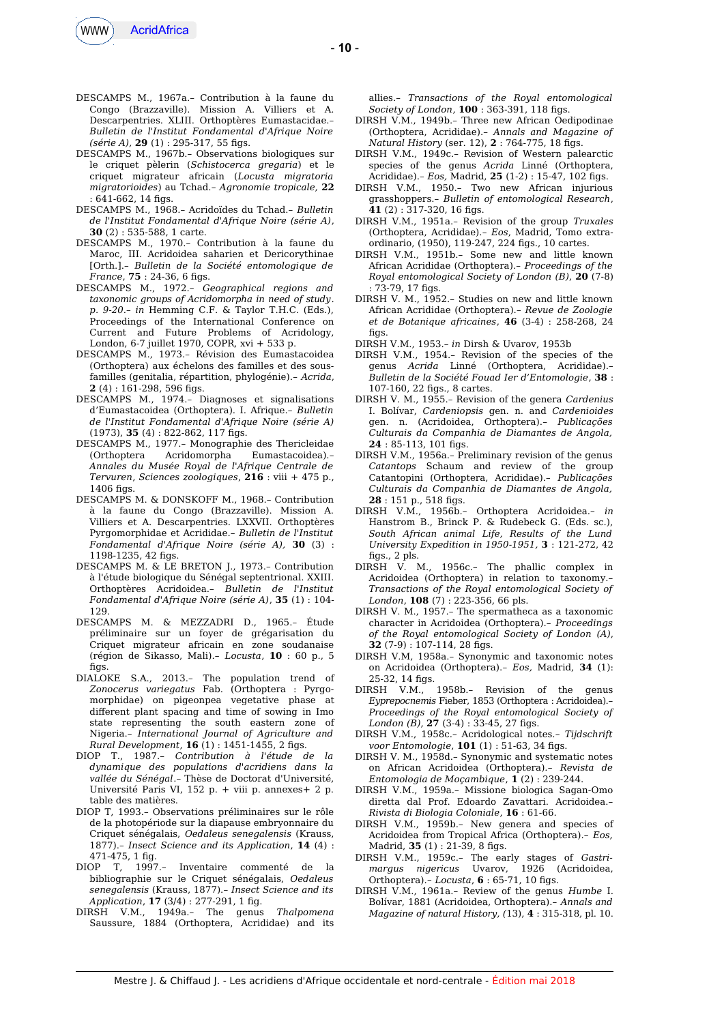

- DESCAMPS M., 1967a.– Contribution à la faune du Congo (Brazzaville). Mission A. Villiers et A. Descarpentries. XLIII. Orthoptères Eumastacidae.– *Bulletin de l'Institut Fondamental d'Afrique Noire (série A),* **29** (1) : 295-317, 55 fgs.
- DESCAMPS M., 1967b.– Observations biologiques sur le criquet pèlerin (*Schistocerca gregaria*) et le criquet migrateur africain (*Locusta migratoria migratorioides*) au Tchad.– *Agronomie tropicale,* **22**  $: 641-662.14$  fias.
- DESCAMPS M., 1968.– Acridoïdes du Tchad.– *Bulletin de l'Institut Fondamental d'Afrique Noire (série A)*, **30** (2) : 535-588, 1 carte.
- DESCAMPS M., 1970.– Contribution à la faune du Maroc, III. Acridoidea saharien et Dericorythinae [Orth.].– *Bulletin de la Société entomologique de France*, **75** : 24-36, 6 figs.
- DESCAMPS M., 1972.– *Geographical regions and taxonomic groups of Acridomorpha in need of study*. *p. 9-20.– in* Hemming C.F. & Taylor T.H.C. (Eds.), Proceedings of the International Conference on Current and Future Problems of Acridology, London, 6-7 juillet 1970, COPR, xvi + 533 p.
- DESCAMPS M., 1973.– Révision des Eumastacoidea (Orthoptera) aux échelons des familles et des sousfamilles (genitalia, répartition, phylogénie).– *Acrida*, **2** (4) : 161-298, 596 fgs.
- DESCAMPS M., 1974.– Diagnoses et signalisations d'Eumastacoidea (Orthoptera). I. Afrique.– *Bulletin de l'Institut Fondamental d'Afrique Noire (série A)* (1973), **35** (4) : 822-862, 117 fgs.
- DESCAMPS M., 1977.– Monographie des Thericleidae (Orthoptera Acridomorpha Eumastacoidea).– *Annales du Musée Royal de l'Afrique Centrale de Tervuren*, *Sciences zoologiques*, **216** : viii + 475 p.,  $1406$  fins.
- DESCAMPS M. & DONSKOFF M., 1968.– Contribution à la faune du Congo (Brazzaville). Mission A. Villiers et A. Descarpentries. LXXVII. Orthoptères Pyrgomorphidae et Acrididae.– *Bulletin de l'Institut Fondamental d'Afrique Noire (série A),* **30** (3) : 1198-1235, 42 figs.
- DESCAMPS M. & LE BRETON J., 1973.– Contribution à l'étude biologique du Sénégal septentrional. XXIII. Orthoptères Acridoidea.– *Bulletin de l'Institut Fondamental d'Afrique Noire (série A)*, **35** (1) : 104- 129.
- DESCAMPS M. & MEZZADRI D., 1965.– Étude préliminaire sur un foyer de grégarisation du Criquet migrateur africain en zone soudanaise (région de Sikasso, Mali).– *Locusta*, **10** : 60 p., 5  $figs$ .
- DIALOKE S.A., 2013.– The population trend of *Zonocerus variegatus* Fab. (Orthoptera : Pyrgomorphidae) on pigeonpea vegetative phase at diferent plant spacing and time of sowing in Imo state representing the south eastern zone of Nigeria.– *International Journal of Agriculture and Rural Development*, **16** (1) : 1451-1455, 2 fgs.
- DIOP T., 1987.– *Contribution à l'étude de la dynamique des populations d'acridiens dans la vallée du Sénégal*.– Thèse de Doctorat d'Université, Université Paris VI, 152 p. + viii p. annexes+ 2 p. table des matières.
- DIOP T, 1993.– Observations préliminaires sur le rôle de la photopériode sur la diapause embryonnaire du Criquet sénégalais, *Oedaleus senegalensis* (Krauss, 1877).– *Insect Science and its Application*, **14** (4) :
- 471-475, 1 fg. Inventaire commenté de la bibliographie sur le Criquet sénégalais, *Oedaleus senegalensis* (Krauss, 1877).– *Insect Science and its Application*, **17** (3/4) : 277-291, 1 fg.
- DIRSH V.M., 1949a.– The genus *Thalpomena* Saussure, 1884 (Orthoptera, Acrididae) and its

allies.– *Transactions of the Royal entomological Society of London*, **100** : 363-391, 118 fgs.

- DIRSH V.M., 1949b.– Three new African Oedipodinae (Orthoptera, Acrididae).– *Annals and Magazine of Natural History* (ser. 12), **2** : 764-775, 18 fgs.
- DIRSH V.M., 1949c.– Revision of Western palearctic species of the genus *Acrida* Linné (Orthoptera, Acrididae).– *Eos,* Madrid, **25** (1-2) : 15-47, 102 fgs.
- DIRSH V.M., 1950.– Two new African injurious grasshoppers.– *Bulletin of entomological Research*, **41** (2) : 317-320, 16 fgs.
- DIRSH V.M., 1951a.– Revision of the group *Truxales* (Orthoptera, Acrididae).– *Eos*, Madrid, Tomo extraordinario, (1950), 119-247, 224 fgs., 10 cartes.
- DIRSH V.M., 1951b.– Some new and little known African Acrididae (Orthoptera).– *Proceedings of the Royal entomological Society of London (B)*, **20** (7-8)  $: 73-79, 17$  figs.
- DIRSH V. M., 1952.– Studies on new and little known African Acrididae (Orthoptera).– *Revue de Zoologie et de Botanique africaines*, **46** (3-4) : 258-268, 24 figs
- DIRSH V.M., 1953.– *in* Dirsh & Uvarov, 1953b
- DIRSH V.M., 1954.– Revision of the species of the genus *Acrida* Linné (Orthoptera, Acrididae).– *Bulletin de la Société Fouad Ier d'Entomologie*, **38** : 107-160, 22 fgs., 8 cartes.
- DIRSH V. M., 1955.– Revision of the genera *Cardenius* I. Bolívar, *Cardeniopsis* gen. n. and *Cardenioides* gen. n. (Acridoidea, Orthoptera).– *Publicações Culturais da Companhia de Diamantes de Angola,* **24** : 85-113, 101 fgs.
- DIRSH V.M., 1956a.– Preliminary revision of the genus *Catantops* Schaum and review of the group Catantopini (Orthoptera, Acrididae).– *Publicações Culturais da Companhia de Diamantes de Angola,* **28** : 151 p., 518 fgs.
- DIRSH V.M., 1956b.– Orthoptera Acridoidea.– *in* Hanstrom B., Brinck P. & Rudebeck G. (Eds. sc.), *South African animal Life, Results of the Lund University Expedition in 1950-1951,* **3** : 121-272, 42 fgs., 2 pls.
- DIRSH V. M., 1956c.– The phallic complex in Acridoidea (Orthoptera) in relation to taxonomy.– *Transactions of the Royal entomological Society of London*, **108** (7) : 223-356, 66 pls.
- DIRSH V. M., 1957.– The spermatheca as a taxonomic character in Acridoidea (Orthoptera).– *Proceedings of the Royal entomological Society of London (A)*, **32** (7-9) : 107-114, 28 fgs.
- DIRSH V.M, 1958a.– Synonymic and taxonomic notes on Acridoidea (Orthoptera).– *Eos,* Madrid, **34** (1): 25-32, 14 figs.<br>DIRSH V.M.,
- 1958b.- Revision of the genus *Eyprepocnemis* Fieber, 1853 (Orthoptera : Acridoidea).– *Proceedings of the Royal entomological Society of London* (*B*),  $27$  (3-4): 33-45, 27 figs.
- DIRSH V.M., 1958c.– Acridological notes.– *Tijdschrift voor Entomologie*, **101** (1) : 51-63, 34 fgs.
- DIRSH V. M., 1958d.– Synonymic and systematic notes on African Acridoidea (Orthoptera).– *Revista de Entomologia de Moçambique*, **1** (2) : 239-244.
- DIRSH V.M., 1959a.– Missione biologica Sagan-Omo diretta dal Prof. Edoardo Zavattari. Acridoidea.– *Rivista di Biologia Coloniale*, **16** : 61-66.
- DIRSH V.M., 1959b.– New genera and species of Acridoidea from Tropical Africa (Orthoptera).– *Eos,* Madrid, **35** (1): 21-39, 8 figs.
- DIRSH V.M., 1959c.– The early stages of *Gastrimargus nigericus* Uvarov, 1926 (Acridoidea, Orthoptera).– *Locusta*, **6** : 65-71, 10 fgs.
- DIRSH V.M., 1961a.– Review of the genus *Humbe* I. Bolívar, 1881 (Acridoidea, Orthoptera).– *Annals and Magazine of natural History, (*13), **4** : 315-318, pl. 10.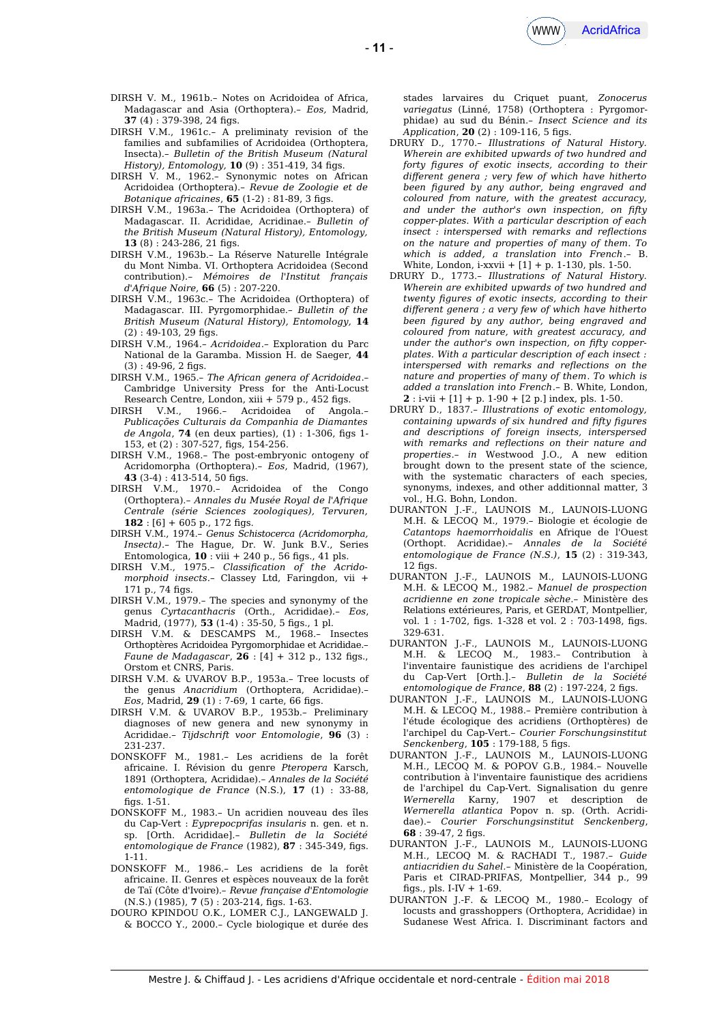

- DIRSH V. M., 1961b.– Notes on Acridoidea of Africa, Madagascar and Asia (Orthoptera).– *Eos,* Madrid, **37** (4) : 379-398, 24 fgs.
- DIRSH V.M., 1961c.– A preliminaty revision of the families and subfamilies of Acridoidea (Orthoptera, Insecta).– *Bulletin of the British Museum (Natural History), Entomology,* **10** (9) : 351-419, 34 fgs.
- DIRSH V. M., 1962.– Synonymic notes on African Acridoidea (Orthoptera).– *Revue de Zoologie et de Botanique africaines*, **65** (1-2) : 81-89, 3 figs.
- DIRSH V.M., 1963a.– The Acridoidea (Orthoptera) of Madagascar. II. Acrididae, Acridinae.– *Bulletin of the British Museum (Natural History), Entomology,* 13 (8): 243-286, 21 figs.
- DIRSH V.M., 1963b.– La Réserve Naturelle Intégrale du Mont Nimba. VI. Orthoptera Acridoidea (Second contribution).– *Mémoires de l'Institut français d'Afrique Noire,* **66** (5) : 207-220.
- DIRSH V.M., 1963c.– The Acridoidea (Orthoptera) of Madagascar. III. Pyrgomorphidae.– *Bulletin of the British Museum (Natural History), Entomology,* **14**  $(2) : 49-103, 29$  figs.
- DIRSH V.M., 1964.– *Acridoidea*.– Exploration du Parc National de la Garamba. Mission H. de Saeger, **44**  $(3) : 49-96, 2$  figs.
- DIRSH V.M., 1965.– *The African genera of Acridoidea*.– Cambridge University Press for the Anti-Locust Research Centre, London, xiii + 579 p., 452 figs.
- DIRSH V.M., 1966.– Acridoidea of Angola.– *Publicações Culturais da Companhia de Diamantes de Angola*, **74** (en deux parties), (1) : 1-306, fgs 1- 153, et (2) : 307-527, fgs, 154-256.
- DIRSH V.M., 1968.– The post-embryonic ontogeny of Acridomorpha (Orthoptera).– *Eos*, Madrid, (1967), **43** (3-4) : 413-514, 50 fgs.
- DIRSH V.M., 1970.– Acridoidea of the Congo (Orthoptera).– *Annales du Musée Royal de l'Afrique Centrale (série Sciences zoologiques), Tervuren,*  $182 : [6] + 605$  p., 172 figs.
- DIRSH V.M., 1974.– *Genus Schistocerca (Acridomorpha, Insecta)*.– The Hague, Dr. W. Junk B.V., Series Entomologica,  $10:$  viii + 240 p., 56 figs., 41 pls.
- DIRSH V.M., 1975.– *Classifcation of the Acridomorphoid insects*.– Classey Ltd, Faringdon, vii + 171 p., 74 figs.
- DIRSH V.M., 1979.– The species and synonymy of the genus *Cyrtacanthacris* (Orth., Acrididae).– *Eos*, Madrid, (1977), **53** (1-4) : 35-50, 5 fgs., 1 pl.
- DIRSH V.M. & DESCAMPS M., 1968.– Insectes Orthoptères Acridoidea Pyrgomorphidae et Acrididae.– *Faune de Madagascar*, **26** : [4] + 312 p., 132 fgs., Orstom et CNRS, Paris.
- DIRSH V.M. & UVAROV B.P., 1953a.– Tree locusts of the genus *Anacridium* (Orthoptera, Acrididae).– *Eos*, Madrid, **29** (1): 7-69, 1 carte, 66 figs.
- DIRSH V.M. & UVAROV B.P., 1953b.– Preliminary diagnoses of new genera and new synonymy in Acrididae.– *Tijdschrift voor Entomologie*, **96** (3) : 231-237.
- DONSKOFF M., 1981.– Les acridiens de la forêt africaine. I. Révision du genre *Pteropera* Karsch, 1891 (Orthoptera, Acrididae)*.– Annales de la Société entomologique de France* (N.S.), **17** (1) : 33-88, fgs. 1-51.
- DONSKOFF M., 1983.– Un acridien nouveau des îles du Cap-Vert : *Eyprepocprifas insularis* n. gen. et n. sp. [Orth. Acrididae].– *Bulletin de la Société entomologique de France* (1982), **87** : 345-349, fgs. 1-11.
- DONSKOFF M., 1986.– Les acridiens de la forêt africaine. II. Genres et espèces nouveaux de la forêt de Taï (Côte d'Ivoire).– *Revue française d'Entomologie* (N.S.) (1985), **7** (5) : 203-214, fgs. 1-63.
- DOURO KPINDOU O.K., LOMER C.J., LANGEWALD J. & BOCCO Y., 2000.– Cycle biologique et durée des

stades larvaires du Criquet puant, *Zonocerus variegatus* (Linné, 1758) (Orthoptera : Pyrgomorphidae) au sud du Bénin.– *Insect Science and its Application*, **20** (2) : 109-116, 5 fgs.

- DRURY D., 1770.– *Illustrations of Natural History. Wherein are exhibited upwards of two hundred and forty fgures of exotic insects, according to their diferent genera ; very few of which have hitherto been fgured by any author, being engraved and coloured from nature, with the greatest accuracy, and under the author's own inspection, on ffty copper-plates. With a particular description of each insect : interspersed with remarks and refections on the nature and properties of many of them. To which is added, a translation into French*.– B. White, London, i-xxvii + [1] + p. 1-130, pls. 1-50.
- DRURY D., 1773.– *Illustrations of Natural History. Wherein are exhibited upwards of two hundred and twenty fgures of exotic insects, according to their diferent genera ; a very few of which have hitherto been fgured by any author, being engraved and coloured from nature, with greatest accuracy, and under the author's own inspection, on ffty copperplates. With a particular description of each insect : interspersed with remarks and refections on the nature and properties of many of them*. *To which is added a translation into French*.– B. White, London,  $2: i$ -vii + [1] + p. 1-90 + [2 p.] index, pls. 1-50.
- DRURY D., 1837.– *Illustrations of exotic entomology, containing upwards of six hundred and ffty fgures and descriptions of foreign insects, interspersed with remarks and refections on their nature and properties*.– *in* Westwood J.O., A new edition brought down to the present state of the science, with the systematic characters of each species, synonyms, indexes, and other additionnal matter, 3 vol., H.G. Bohn, London.
- DURANTON J.-F., LAUNOIS M., LAUNOIS-LUONG M.H. & LECOQ M., 1979.– Biologie et écologie de *Catantops haemorrhoidalis* en Afrique de l'Ouest (Orthopt. Acrididae).– *Annales de la Société entomologique de France (N.S.)*, **15** (2) : 319-343,  $12$  figs.
- DURANTON J.-F., LAUNOIS M., LAUNOIS-LUONG M.H. & LECOQ M., 1982.– *Manuel de prospection acridienne en zone tropicale sèche.–* Ministère des Relations extérieures, Paris, et GERDAT, Montpellier, vol. 1 : 1-702, fgs. 1-328 et vol. 2 : 703-1498, fgs. 329-631.
- DURANTON J.-F., LAUNOIS M., LAUNOIS-LUONG M.H. & LECOQ M., 1983.– Contribution à l'inventaire faunistique des acridiens de l'archipel du Cap-Vert [Orth.].– *Bulletin de la Société entomologique de France*, **88** (2) : 197-224, 2 fgs.
- DURANTON J.-F., LAUNOIS M., LAUNOIS-LUONG M.H. & LECOQ M., 1988.– Première contribution à l'étude écologique des acridiens (Orthoptères) de l'archipel du Cap-Vert.– *Courier Forschungsinstitut Senckenberg*, **105** : 179-188, 5 fgs.
- DURANTON J.-F., LAUNOIS M., LAUNOIS-LUONG M.H., LECOQ M. & POPOV G.B., 1984.– Nouvelle contribution à l'inventaire faunistique des acridiens de l'archipel du Cap-Vert. Signalisation du genre *Wernerella* Karny, 1907 et description de *Wernerella atlantica* Popov n. sp. (Orth. Acrididae).– *Courier Forschungsinstitut Senckenberg*, **68** : 39-47, 2 fgs.
- DURANTON J.-F., LAUNOIS M., LAUNOIS-LUONG M.H., LECOQ M. & RACHADI T., 1987.– *Guide antiacridien du Sahel.–* Ministère de la Coopération, Paris et CIRAD-PRIFAS, Montpellier, 344 p., 99 fgs., pls. I-IV + 1-69.
- DURANTON J.-F. & LECOQ M., 1980.– Ecology of locusts and grasshoppers (Orthoptera, Acrididae) in Sudanese West Africa. I. Discriminant factors and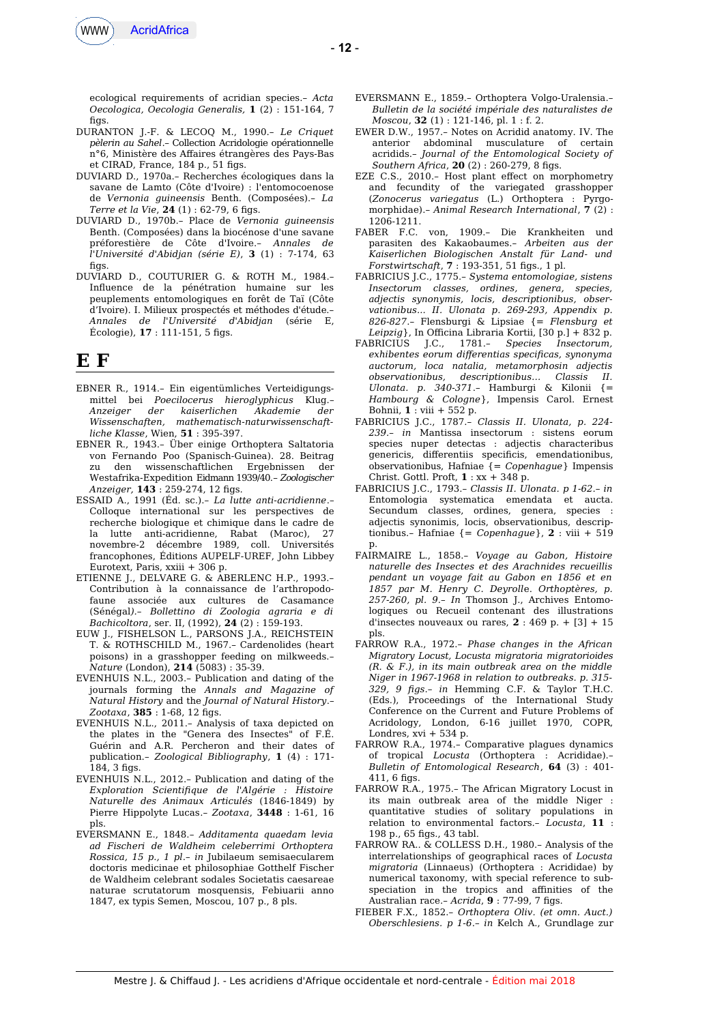

ecological requirements of acridian species.– *Acta Oecologica, Oecologia Generalis,* **1** (2) : 151-164, 7 fins.

- DURANTON J.-F. & LECOQ M., 1990.– *Le Criquet pèlerin au Sahel*.– Collection Acridologie opérationnelle n°6, Ministère des Afaires étrangères des Pays-Bas et CIRAD, France, 184 p., 51 figs.
- DUVIARD D., 1970a.– Recherches écologiques dans la savane de Lamto (Côte d'Ivoire) : l'entomocoenose de *Vernonia guineensis* Benth. (Composées).– *La Terre et la Vie*, **24** (1) : 62-79, 6 figs.
- DUVIARD D., 1970b.– Place de *Vernonia guineensis* Benth. (Composées) dans la biocénose d'une savane préforestière de Côte d'Ivoire.– *Annales de l'Université d'Abidjan (série E)*, **3** (1) : 7-174, 63  $fias$
- DUVIARD D., COUTURIER G. & ROTH M., 1984.– Influence de la pénétration humaine sur les peuplements entomologiques en forêt de Taï (Côte d'Ivoire). I. Milieux prospectés et méthodes d'étude.– *Annales de l'Université d'Abidjan* (série E, Écologie), **17** : 111-151, 5 fgs.

## **E F**

- EBNER R., 1914.– Ein eigentümliches Verteidigungsmittel bei *Poecilocerus hieroglyphicus* Klug.– *Anzeiger der kaiserlichen Akademie der Wissenschaften, mathematisch-naturwissenschaftliche Klasse*, Wien, **51** : 395-397.
- EBNER R., 1943.– Über einige Orthoptera Saltatoria von Fernando Poo (Spanisch-Guinea). 28. Beitrag zu den wissenschaftlichen Ergebnissen der Westafrika-Expedition Eidmann 1939/40.– *Zoologischer Anzeiger,* **143** : 259-274, 12 fgs.
- ESSAID A., 1991 (Éd. sc.).– *La lutte anti-acridienne*.– Colloque international sur les perspectives de recherche biologique et chimique dans le cadre de la lutte anti-acridienne, Rabat (Maroc), 27 novembre-2 décembre 1989, coll. Universités francophones, Éditions AUPELF-UREF, John Libbey Eurotext, Paris, xxiii + 306 p.
- ETIENNE J., DELVARE G. & ABERLENC H.P., 1993.– Contribution à la connaissance de l'arthropodofaune associée aux cultures de Casamance (Sénégal*).– Bollettino di Zoologia agraria e di Bachicoltora*, ser. II, (1992), **24** (2) : 159-193.
- EUW J., FISHELSON L., PARSONS J.A., REICHSTEIN T. & ROTHSCHILD M., 1967.– Cardenolides (heart poisons) in a grasshopper feeding on milkweeds.– *Nature* (London), **214** (5083) : 35-39.
- EVENHUIS N.L., 2003.– Publication and dating of the journals forming the *Annals and Magazine of Natural History* and the *Journal of Natural History*.– *Zootaxa*, **385** : 1-68, 12 fgs.
- EVENHUIS N.L., 2011.– Analysis of taxa depicted on the plates in the "Genera des Insectes" of F.É. Guérin and A.R. Percheron and their dates of publication.– *Zoological Bibliography*, **1** (4) : 171- 184, 3 figs.
- EVENHUIS N.L., 2012.– Publication and dating of the *Exploration Scientifque de l'Algérie : Histoire Naturelle des Animaux Articulés* (1846-1849) by Pierre Hippolyte Lucas.– *Zootaxa*, **3448** : 1-61, 16 pls.
- EVERSMANN E., 1848.– *Additamenta quaedam levia ad Fischeri de Waldheim celeberrimi Orthoptera Rossica, 15 p., 1 pl*.– *in* Jubilaeum semisaecularem doctoris medicinae et philosophiae Gotthelf Fischer de Waldheim celebrant sodales Societatis caesareae naturae scrutatorum mosquensis, Febiuarii anno 1847, ex typis Semen, Moscou, 107 p., 8 pls.
- EVERSMANN E., 1859.– Orthoptera Volgo-Uralensia.– *Bulletin de la société impériale des naturalistes de Moscou*, **32** (1) : 121-146, pl. 1 : f. 2.
- EWER D.W., 1957.– Notes on Acridid anatomy. IV. The anterior abdominal musculature of certain acridids.– *Journal of the Entomological Society of Southern Africa*, **20** (2) : 260-279, 8 fgs.
- EZE C.S., 2010.- Host plant effect on morphometry and fecundity of the variegated grasshopper (*Zonocerus variegatus* (L.) Orthoptera : Pyrgomorphidae).– *Animal Research International*, **7** (2) : 1206-1211.
- FABER F.C. von, 1909.– Die Krankheiten und parasiten des Kakaobaumes.– *Arbeiten aus der Kaiserlichen Biologischen Anstalt für Land- und Forstwirtschaft*, **7** : 193-351, 51 fgs., 1 pl.
- FABRICIUS J.C., 1775.– *Systema entomologiae, sistens Insectorum classes, ordines, genera, species, adjectis synonymis, locis, descriptionibus, observationibus... II. Ulonata p. 269-293, Appendix p. 826-827*.– Flensburgi & Lipsiae {= *Flensburg et Leipzig*}, In Oficina Libraria Kortii, [30 p.] + 832 p.
- FABRICIUS J.C., 1781.– *Species Insectorum, exhibentes eorum diferentias specifcas, synonyma auctorum, loca natalia, metamorphosin adjectis observationibus, descriptionibus… Classis II. Ulonata. p. 340-371*.– Hamburgi & Kilonii {= *Hambourg & Cologne*}, Impensis Carol. Ernest Bohnii, **1** : viii + 552 p.
- FABRICIUS J.C., 1787.– *Classis II. Ulonata, p. 224- 239.– in* Mantissa insectorum : sistens eorum species nuper detectas : adjectis characteribus genericis, diferentiis specifcis, emendationibus, observationibus, Hafniae {= *Copenhague*} Impensis Christ. Gottl. Proft, **1** : xx + 348 p.
- FABRICIUS J.C., 1793.– *Classis II. Ulonata. p 1-62.– in* Entomologia systematica emendata et aucta. Secundum classes, ordines, genera, species : adjectis synonimis, locis, observationibus, descriptionibus.– Hafniae {= *Copenhague*}, **2** : viii + 519 p.
- FAIRMAIRE L., 1858.– *Voyage au Gabon, Histoire naturelle des Insectes et des Arachnides recueillis pendant un voyage fait au Gabon en 1856 et en 1857 par M. Henry C. Deyroll*e. *Orthoptères, p. 257-260, pl. 9*.– *In* Thomson J., Archives Entomologiques ou Recueil contenant des illustrations d'insectes nouveaux ou rares, **2** : 469 p. + [3] + 15 pls.
- FARROW R.A., 1972.– *Phase changes in the African Migratory Locust, Locusta migratoria migratorioides (R. & F.), in its main outbreak area on the middle Niger in 1967-1968 in relation to outbreaks. p. 315- 329, 9 fgs*.– *in* Hemming C.F. & Taylor T.H.C. (Eds.), Proceedings of the International Study Conference on the Current and Future Problems of Acridology, London, 6-16 juillet 1970, COPR, Londres,  $xvi + 534 p$ .
- FARROW R.A., 1974.– Comparative plagues dynamics of tropical *Locusta* (Orthoptera : Acrididae).– *Bulletin of Entomological Research*, **64** (3) : 401-  $411.6$  figs.
- FARROW R.A., 1975.– The African Migratory Locust in its main outbreak area of the middle Niger : quantitative studies of solitary populations in relation to environmental factors.– *Locusta*, **11** : 198 p., 65 fgs., 43 tabl.
- FARROW RA.. & COLLESS D.H., 1980.– Analysis of the interrelationships of geographical races of *Locusta migratoria* (Linnaeus) (Orthoptera : Acrididae) by numerical taxonomy, with special reference to subspeciation in the tropics and afinities of the Australian race.– *Acrida*, **9** : 77-99, 7 fgs.
- FIEBER F.X., 1852.– *Orthoptera Oliv. (et omn. Auct.) Oberschlesiens. p 1-6*.– *in* Kelch A., Grundlage zur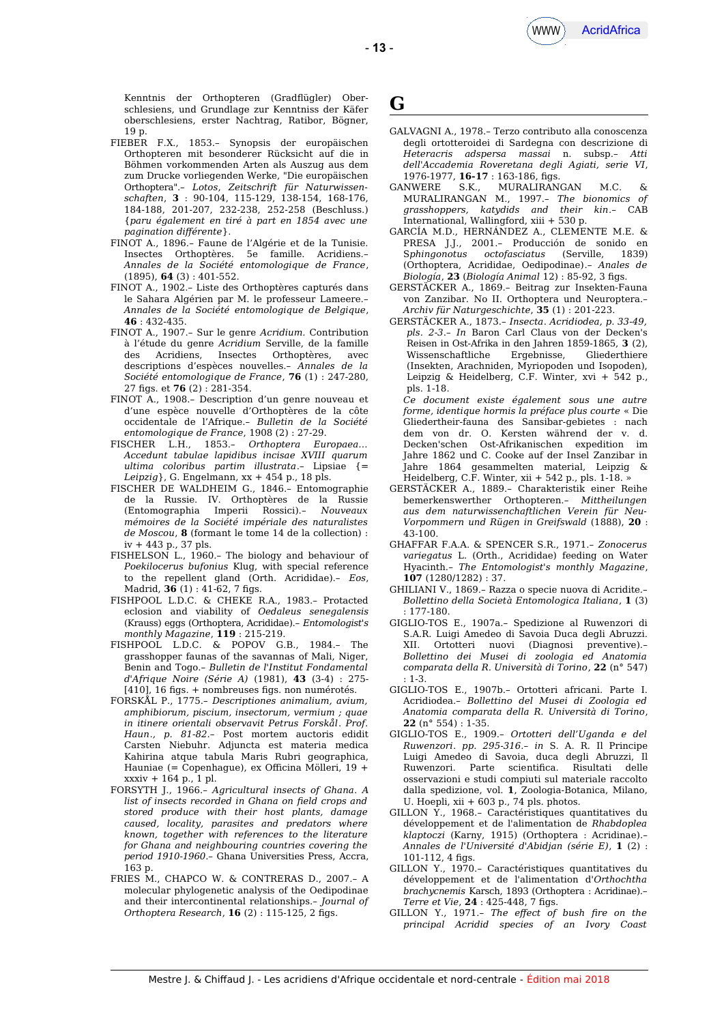Kenntnis der Orthopteren (Gradflügler) Oberschlesiens, und Grundlage zur Kenntniss der Käfer oberschlesiens, erster Nachtrag, Ratibor, Bögner, 19 p.

- FIEBER F.X., 1853.– Synopsis der europäischen Orthopteren mit besonderer Rücksicht auf die in Böhmen vorkommenden Arten als Auszug aus dem zum Drucke vorliegenden Werke, "Die europäischen Orthoptera".– *Lotos*, *Zeitschrift für Naturwissenschaften*, **3** : 90-104, 115-129, 138-154, 168-176, 184-188, 201-207, 232-238, 252-258 (Beschluss.) {*paru également en tiré à part en 1854 avec une pagination diférente*}.
- FINOT A., 1896.– Faune de l'Algérie et de la Tunisie. Insectes Orthoptères. 5e famille. Acridiens.– *Annales de la Société entomologique de France*, (1895), **64** (3) : 401-552.
- FINOT A., 1902.– Liste des Orthoptères capturés dans le Sahara Algérien par M. le professeur Lameere.– *Annales de la Société entomologique de Belgique*, **46** : 432-435.
- FINOT A., 1907.– Sur le genre *Acridium.* Contribution à l'étude du genre *Acridium* Serville, de la famille des Acridiens, Insectes Orthoptères, avec descriptions d'espèces nouvelles.– *Annales de la Société entomologique de France*, **76** (1) : 247-280, 27 fgs. et **76** (2) : 281-354.
- FINOT A., 1908.– Description d'un genre nouveau et d'une espèce nouvelle d'Orthoptères de la côte occidentale de l'Afrique.– *Bulletin de la Société entomologique de France*, 1908 (2) : 27-29.
- FISCHER L.H., 1853.– *Orthoptera Europaea… Accedunt tabulae lapidibus incisae XVIII quarum ultima coloribus partim illustrata*.– Lipsiae {= *Leipzig*}, G. Engelmann, xx + 454 p., 18 pls.
- FISCHER DE WALDHEIM G., 1846.– Entomographie de la Russie. IV. Orthoptères de la Russie (Entomographia Imperii Rossici).– *Nouveaux mémoires de la Société impériale des naturalistes de Moscou*, **8** (formant le tome 14 de la collection) : iv + 443 p., 37 pls.
- FISHELSON L., 1960.– The biology and behaviour of *Poekilocerus bufonius* Klug, with special reference to the repellent gland (Orth. Acrididae).– *Eos*, Madrid, **36** (1): 41-62, 7 figs.
- FISHPOOL L.D.C. & CHEKE R.A., 1983.– Protacted eclosion and viability of *Oedaleus senegalensis* (Krauss) eggs (Orthoptera, Acrididae).– *Entomologist's monthly Magazine*, **119** : 215-219.
- FISHPOOL L.D.C. & POPOV G.B., 1984.– The grasshopper faunas of the savannas of Mali, Niger, Benin and Togo.– *Bulletin de l'Institut Fondamental d'Afrique Noire (Série A)* (1981), **43** (3-4) : 275- [410], 16 fgs. + nombreuses fgs. non numérotés.
- FORSKÅL P., 1775.– *Descriptiones animalium, avium, amphibiorum, piscium, insectorum, vermium ; quae in itinere orientali observavit Petrus Forskål*. *Prof. Haun., p. 81-82.–* Post mortem auctoris edidit Carsten Niebuhr. Adjuncta est materia medica Kahirina atque tabula Maris Rubri geographica, Hauniae (= Copenhague), ex Oficina Mölleri, 19 + xxxiv + 164 p., 1 pl.
- FORSYTH J., 1966.– *Agricultural insects of Ghana. A list of insects recorded in Ghana on feld crops and stored produce with their host plants, damage caused, locality, parasites and predators where known, together with references to the literature for Ghana and neighbouring countries covering the period 1910-1960.–* Ghana Universities Press, Accra, 163 p.
- FRIES M., CHAPCO W. & CONTRERAS D., 2007.– A molecular phylogenetic analysis of the Oedipodinae and their intercontinental relationships.– *Journal of Orthoptera Research*, **16** (2): 115-125, 2 figs.

#### **G**

- GALVAGNI A., 1978.– Terzo contributo alla conoscenza degli ortotteroidei di Sardegna con descrizione di *Heteracris adspersa massai* n. subsp.– *Atti dell'Accademia Roveretana degli Agiati, serie VI*, 1976-1977, **16-17** : 163-186, fgs.
- GANWERE S.K., MURALIRANGAN M.C. & MURALIRANGAN M., 1997.– *The bionomics of grasshoppers, katydids and their kin*.– CAB International, Wallingford, xiii + 530 p.
- GARCÍA M.D., HERNÁNDEZ A., CLEMENTE M.E. & PRESA J.J., 2001.– Producción de sonido en S*phingonotus octofasciatus* (Serville, 1839) (Orthoptera, Acrididae, Oedipodinae).– *Anales de Biología*, **23** (*Biología Animal* 12) : 85-92, 3 fgs.
- GERSTÄCKER A., 1869.– Beitrag zur Insekten-Fauna von Zanzibar. No II. Orthoptera und Neuroptera.– *Archiv für Naturgeschichte*, **35** (1) : 201-223.
- GERSTÄCKER A., 1873.– *Insecta*. *Acridiodea, p. 33-49, pls. 2-3*.– *In* Baron Carl Claus von der Decken's Reisen in Ost-Afrika in den Jahren 1859-1865, **3** (2), Wissenschaftliche (Insekten, Arachniden, Myriopoden und Isopoden), Leipzig & Heidelberg, C.F. Winter, xvi + 542 p., pls. 1-18.
- *Ce document existe également sous une autre forme, identique hormis la préface plus courte* « Die Gliedertheir-fauna des Sansibar-gebietes : nach dem von dr. O. Kersten während der v. d. Decken'schen Ost-Afrikanischen expedition im Jahre 1862 und C. Cooke auf der Insel Zanzibar in Jahre 1864 gesammelten material, Leipzig & Heidelberg, C.F. Winter, xii + 542 p., pls. 1-18. »
- GERSTÄCKER A., 1889.– Charakteristik einer Reihe bemerkenswerther Orthopteren.– *Mittheilungen aus dem naturwissenchaftlichen Verein für Neu-Vorpommern und Rügen in Greifswald* (1888), **20** : 43-100.
- GHAFFAR F.A.A. & SPENCER S.R., 1971.– *Zonocerus variegatus* L. (Orth., Acrididae) feeding on Water Hyacinth.– *The Entomologist's monthly Magazine*, **107** (1280/1282) : 37.
- GHILIANI V., 1869.– Razza o specie nuova di Acridite.– *Bollettino della Società Entomologica Italiana*, **1** (3) : 177-180.
- GIGLIO-TOS E., 1907a.– Spedizione al Ruwenzori di S.A.R. Luigi Amedeo di Savoia Duca degli Abruzzi. XII. Ortotteri nuovi (Diagnosi preventive).– *Bollettino dei Musei di zoologia ed Anatomia comparata della R. Università di Torino*, **22** (n° 547) : 1-3.
- GIGLIO-TOS E., 1907b.– Ortotteri africani. Parte I. Acridiodea.– *Bollettino del Musei di Zoologia ed Anatomia comparata della R. Università di Torino*, **22** (n° 554) : 1-35.
- GIGLIO-TOS E., 1909.– *Ortotteri dell'Uganda e del Ruwenzori*. *pp. 295-316.– in* S. A. R. Il Principe Luigi Amedeo di Savoia, duca degli Abruzzi, Il Ruwenzori. Parte scientifca. Risultati delle osservazioni e studi compiuti sul materiale raccolto dalla spedizione, vol. **1**, Zoologia-Botanica, Milano, U. Hoepli, xii + 603 p., 74 pls. photos.
- GILLON Y., 1968.– Caractéristiques quantitatives du développement et de l'alimentation de *Rhabdoplea klaptoczi* (Karny, 1915) (Orthoptera : Acridinae).– *Annales de l'Université d'Abidjan (série E)*, **1** (2) : 101-112, 4 figs.
- GILLON Y., 1970.– Caractéristiques quantitatives du développement et de l'alimentation d'*Orthochtha brachycnemis* Karsch, 1893 (Orthoptera : Acridinae).– *Terre et Vie*, **24** : 425-448, 7 fgs.
- GILLON Y., 1971.– *The efect of bush fre on the principal Acridid species of an Ivory Coast*

- **13** -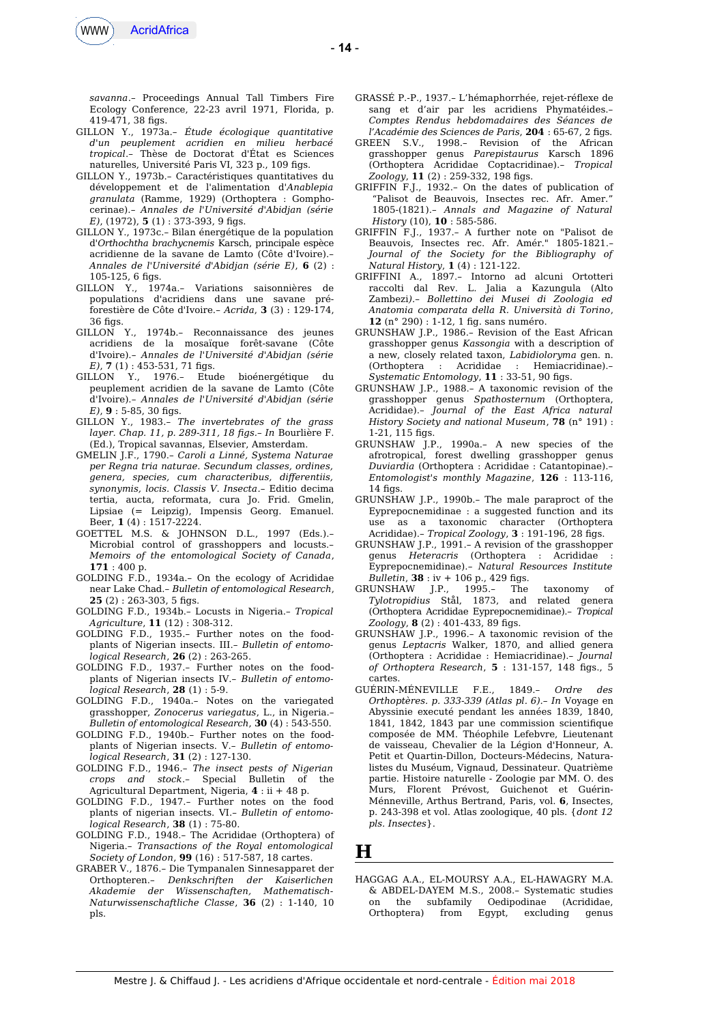

*savanna*.– Proceedings Annual Tall Timbers Fire Ecology Conference, 22-23 avril 1971, Florida, p. 419-471, 38 figs.

- GILLON Y., 1973a.– *Étude écologique quantitative d'un peuplement acridien en milieu herbacé tropical*.– Thèse de Doctorat d'État es Sciences naturelles, Université Paris VI, 323 p., 109 fgs.
- GILLON Y., 1973b.– Caractéristiques quantitatives du développement et de l'alimentation d'*Anablepia granulata* (Ramme, 1929) (Orthoptera : Gomphocerinae).– *Annales de l'Université d'Abidjan (série E)*, (1972), **5** (1) : 373-393, 9 fgs.
- GILLON Y., 1973c.– Bilan énergétique de la population d'*Orthochtha brachycnemis* Karsch, principale espèce acridienne de la savane de Lamto (Côte d'Ivoire).– *Annales de l'Université d'Abidjan (série E)*, **6** (2) :  $105 - 125$ , 6 figs.
- GILLON Y., 1974a.– Variations saisonnières de populations d'acridiens dans une savane préforestière de Côte d'Ivoire.– *Acrida*, **3** (3) : 129-174,  $36$  figs.
- GILLON Y., 1974b.– Reconnaissance des jeunes acridiens de la mosaïque forêt-savane (Côte d'Ivoire).– *Annales de l'Université d'Abidjan (série E*), 7(1): 453-531, 71 figs.
- GILLON Y., 1976.– Etude bioénergétique du peuplement acridien de la savane de Lamto (Côte d'Ivoire).– *Annales de l'Université d'Abidjan (série E)*, **9** : 5-85, 30 fgs.
- GILLON Y., 1983.– *The invertebrates of the grass layer. Chap. 11, p. 289-311, 18 fgs.– In* Bourlière F. (Ed.), Tropical savannas, Elsevier, Amsterdam.
- GMELIN J.F., 1790.– *Caroli a Linné, Systema Naturae per Regna tria naturae. Secundum classes, ordines, genera, species, cum characteribus, diferentiis, synonymis, locis. Classis V. Insecta.–* Editio decima tertia, aucta, reformata, cura Jo. Frid. Gmelin, Lipsiae (= Leipzig), Impensis Georg. Emanuel. Beer, **1** (4) : 1517-2224.
- GOETTEL M.S. & JOHNSON D.L., 1997 (Eds.).– Microbial control of grasshoppers and locusts.– *Memoirs of the entomological Society of Canada*, **171** : 400 p.
- GOLDING F.D., 1934a.– On the ecology of Acrididae near Lake Chad.– *Bulletin of entomological Research*,  $25$  (2): 263-303, 5 figs.
- GOLDING F.D., 1934b.– Locusts in Nigeria.– *Tropical Agriculture*, **11** (12) : 308-312.
- GOLDING F.D., 1935.– Further notes on the foodplants of Nigerian insects. III.– *Bulletin of entomological Research*, **26** (2) : 263-265.
- GOLDING F.D., 1937.– Further notes on the foodplants of Nigerian insects IV.– *Bulletin of entomological Research*, **28** (1) : 5-9.
- GOLDING F.D., 1940a.– Notes on the variegated grasshopper, *Zonocerus variegatus*, L., in Nigeria.– *Bulletin of entomological Research*, **30** (4) : 543-550.
- GOLDING F.D., 1940b.– Further notes on the foodplants of Nigerian insects. V.– *Bulletin of entomological Research*, **31** (2) : 127-130.
- GOLDING F.D., 1946.– *The insect pests of Nigerian crops and stock*.– Special Bulletin of the Agricultural Department, Nigeria, **4** : ii + 48 p.
- GOLDING F.D., 1947.– Further notes on the food plants of nigerian insects. VI.– *Bulletin of entomological Research*, **38** (1) : 75-80.
- GOLDING F.D., 1948.– The Acrididae (Orthoptera) of Nigeria.– *Transactions of the Royal entomological Society of London*, **99** (16) : 517-587, 18 cartes.
- GRABER V., 1876.– Die Tympanalen Sinnesapparet der Orthopteren.– *Denkschriften der Kaiserlichen Akademie der Wissenschaften, Mathematisch-Naturwissenschaftliche Classe*, **36** (2) : 1-140, 10 pls.
- GRASSÉ P.-P., 1937.– L'hémaphorrhée, rejet-réflexe de sang et d'air par les acridiens Phymatéides.– *Comptes Rendus hebdomadaires des Séances de l'Académie des Sciences de Paris*, **204** : 65-67, 2 fgs.
- GREEN S.V., 1998.– Revision of the African grasshopper genus *Parepistaurus* Karsch 1896 (Orthoptera Acrididae Coptacridinae).– *Tropical Zoology*, **11** (2) : 259-332, 198 fgs.
- GRIFFIN F.J., 1932.– On the dates of publication of "Palisot de Beauvois, Insectes rec. Afr. Amer." 1805-(1821).– *Annals and Magazine of Natural History* (10), **10** : 585-586.
- GRIFFIN F.J., 1937.– A further note on "Palisot de Beauvois, Insectes rec. Afr. Amér." 1805-1821.– *Journal of the Society for the Bibliography of Natural History*, **1** (4) : 121-122.
- GRIFFINI A., 1897.– Intorno ad alcuni Ortotteri raccolti dal Rev. L. Jalia a Kazungula (Alto Zambezi*).– Bollettino dei Musei di Zoologia ed Anatomia comparata della R. Università di Torino*, **12** (n° 290) : 1-12, 1 fg. sans numéro.
- GRUNSHAW J.P., 1986.– Revision of the East African grasshopper genus *Kassongia* with a description of a new, closely related taxon, *Labidioloryma* gen. n. (Orthoptera : Acrididae : Hemiacridinae).– *Systematic Entomology*, **11** : 33-51, 90 fgs.
- GRUNSHAW J.P., 1988.– A taxonomic revision of the grasshopper genus *Spathosternum* (Orthoptera, Acrididae).– *Journal of the East Africa natural History Society and national Museum*, **78** (n° 191) : 1-21, 115 fgs.
- GRUNSHAW J.P., 1990a.– A new species of the afrotropical, forest dwelling grasshopper genus *Duviardia* (Orthoptera : Acrididae : Catantopinae).– *Entomologist's monthly Magazine*, **126** : 113-116,  $14$  fins.
- GRUNSHAW J.P., 1990b.– The male paraproct of the Eyprepocnemidinae : a suggested function and its use as a taxonomic character (Orthoptera Acrididae).– *Tropical Zoology*, **3** : 191-196, 28 fgs.
- GRUNSHAW J.P., 1991.– A revision of the grasshopper genus *Heteracris* (Orthoptera : Acrididae : Eyprepocnemidinae).– *Natural Resources Institute Bulletin*, **38** : iv + 106 p., 429 fgs.
- GRUNSHAW J.P., 1995.– The taxonomy of *Tylotropidius* Stål, 1873, and related genera (Orthoptera Acrididae Eyprepocnemidinae).– *Tropical Zoology*, **8** (2) : 401-433, 89 fgs.
- GRUNSHAW J.P., 1996.– A taxonomic revision of the genus *Leptacris* Walker, 1870, and allied genera (Orthoptera : Acrididae : Hemiacridinae).– *Journal of Orthoptera Research*, **5** : 131-157, 148 fgs., 5 cartes.
- GUÉRIN-MÉNEVILLE F.E., 1849.– *Ordre des Orthoptères. p. 333-339 (Atlas pl. 6).– In* Voyage en Abyssinie executé pendant les années 1839, 1840, 1841, 1842, 1843 par une commission scientifque composée de MM. Théophile Lefebvre, Lieutenant de vaisseau, Chevalier de la Légion d'Honneur, A. Petit et Quartin-Dillon, Docteurs-Médecins, Naturalistes du Muséum, Vignaud, Dessinateur. Quatrième partie. Histoire naturelle - Zoologie par MM. O. des Murs, Florent Prévost, Guichenot et Guérin-Ménneville, Arthus Bertrand, Paris, vol. **6**, Insectes, p. 243-398 et vol. Atlas zoologique, 40 pls. {*dont 12 pls. Insectes*}.

**H**

HAGGAG A.A., EL-MOURSY A.A., EL-HAWAGRY M.A. & ABDEL-DAYEM M.S., 2008.– Systematic studies on the subfamily Oedipodinae (Acrididae, Orthoptera) from Egypt, excluding genus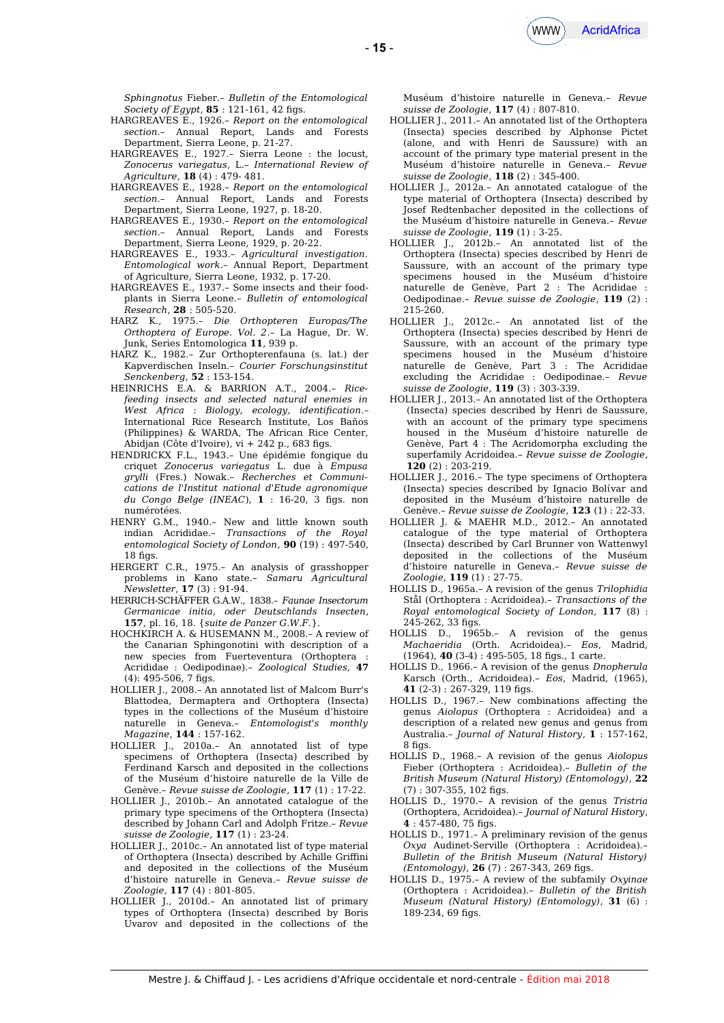*Sphingnotus* Fieber.– *Bulletin of the Entomological Society of Egypt*, **85** : 121-161, 42 figs.

- HARGREAVES E., 1926.– *Report on the entomological section.–* Annual Report, Lands and Forests Department, Sierra Leone, p. 21-27.
- HARGREAVES E., 1927.– Sierra Leone : the locust, *Zonocerus variegatus*, L.– *International Review of Agriculture*, **18** (4) : 479- 481.
- HARGREAVES E., 1928.– *Report on the entomological section.–* Annual Report, Lands and Forests Department, Sierra Leone, 1927, p. 18-20.
- HARGREAVES E., 1930.– *Report on the entomological section.–* Annual Report, Lands and Forests Department, Sierra Leone, 1929, p. 20-22.
- HARGREAVES E., 1933.– *Agricultural investigation. Entomological work*.– Annual Report, Department of Agriculture, Sierra Leone, 1932, p. 17-20.
- HARGREAVES E., 1937.– Some insects and their foodplants in Sierra Leone.– *Bulletin of entomological Research*, **28** : 505-520.
- HARZ K., 1975.– *Die Orthopteren Europas/The Orthoptera of Europe. Vol. 2*.– La Hague, Dr. W. Junk, Series Entomologica **11**, 939 p.
- HARZ K., 1982.– Zur Orthopterenfauna (s. lat.) der Kapverdischen Inseln.– *Courier Forschungsinstitut Senckenberg*, **52** : 153-154.
- HEINRICHS E.A. & BARRION A.T., 2004.– *Ricefeeding insects and selected natural enemies in West Africa : Biology, ecology, identifcation*.– International Rice Research Institute, Los Baños (Philippines) & WARDA, The African Rice Center, Abidjan (Côte d'Ivoire), vi + 242 p., 683 fgs.
- HENDRICKX F.L., 1943.– Une épidémie fongique du criquet *Zonocerus variegatus* L. due à *Empusa grylli* (Fres.) Nowak*.– Recherches et Communications de l'Institut national d'Etude agronomique du Congo Belge (INEAC*), **1** : 16-20, 3 fgs. non numérotées.
- HENRY G.M., 1940.– New and little known south indian Acrididae.– *Transactions of the Royal entomological Society of London*, **90** (19) : 497-540,  $18$  fins.
- HERGERT C.R., 1975.– An analysis of grasshopper problems in Kano state.– *Samaru Agricultural Newsletter*, **17** (3) : 91-94.
- HERRICH-SCHÄFFER G.A.W., 1838.– *Faunae Insectorum Germanicae initia, oder Deutschlands Insecten*, **157**, pl. 16, 18. {*suite de Panzer G.W.F.*}.
- HOCHKIRCH A. & HUSEMANN M., 2008.– A review of the Canarian Sphingonotini with description of a new species from Fuerteventura (Orthoptera : Acrididae : Oedipodinae).– *Zoological Studies,* **47** (4): 495-506, 7 figs.
- HOLLIER J., 2008.– An annotated list of Malcom Burr's Blattodea, Dermaptera and Orthoptera (Insecta) types in the collections of the Muséum d'histoire naturelle in Geneva.– *Entomologist's monthly Magazine*, **144** : 157-162.
- HOLLIER J., 2010a.– An annotated list of type specimens of Orthoptera (Insecta) described by Ferdinand Karsch and deposited in the collections of the Muséum d'histoire naturelle de la Ville de Genève.– *Revue suisse de Zoologie*, **117** (1) : 17-22.
- HOLLIER J., 2010b.– An annotated catalogue of the primary type specimens of the Orthoptera (Insecta) described by Johann Carl and Adolph Fritze.– *Revue suisse de Zoologie*, **117** (1) : 23-24.
- HOLLIER J., 2010c.– An annotated list of type material of Orthoptera (Insecta) described by Achille Grifini and deposited in the collections of the Muséum d'histoire naturelle in Geneva.– *Revue suisse de Zoologie*, **117** (4) : 801-805.
- HOLLIER J., 2010d.– An annotated list of primary types of Orthoptera (Insecta) described by Boris Uvarov and deposited in the collections of the

Muséum d'histoire naturelle in Geneva.– *Revue suisse de Zoologie*, **117** (4) : 807-810.

- HOLLIER J., 2011.– An annotated list of the Orthoptera (Insecta) species described by Alphonse Pictet (alone, and with Henri de Saussure) with an account of the primary type material present in the Muséum d'histoire naturelle in Geneva.– *Revue suisse de Zoologie*, **118** (2) : 345-400.
- HOLLIER J., 2012a.– An annotated catalogue of the type material of Orthoptera (Insecta) described by Josef Redtenbacher deposited in the collections of the Muséum d'histoire naturelle in Geneva.– *Revue suisse de Zoologie*, **119** (1) : 3-25.
- HOLLIER J., 2012b.– An annotated list of the Orthoptera (Insecta) species described by Henri de Saussure, with an account of the primary type specimens housed in the Muséum d'histoire naturelle de Genève, Part 2 : The Acrididae : Oedipodinae.– *Revue suisse de Zoologie*, **119** (2) : 215-260.
- HOLLIER J., 2012c.– An annotated list of the Orthoptera (Insecta) species described by Henri de Saussure, with an account of the primary type specimens housed in the Muséum d'histoire naturelle de Genève, Part 3 : The Acrididae excluding the Acrididae : Oedipodinae.– *Revue suisse de Zoologie*, **119** (3) : 303-339.
- HOLLIER J., 2013.– An annotated list of the Orthoptera (Insecta) species described by Henri de Saussure, with an account of the primary type specimens housed in the Muséum d'histoire naturelle de Genève, Part 4 : The Acridomorpha excluding the superfamily Acridoidea.– *Revue suisse de Zoologie*, **120** (2) : 203-219.
- HOLLIER J., 2016.– The type specimens of Orthoptera (Insecta) species described by Ignacio Bolίvar and deposited in the Muséum d'histoire naturelle de Genève.– *Revue suisse de Zoologie*, **123** (1) : 22-33.
- HOLLIER J. & MAEHR M.D., 2012.– An annotated catalogue of the type material of Orthoptera (Insecta) described by Carl Brunner von Wattenwyl deposited in the collections of the Muséum d'histoire naturelle in Geneva.– *Revue suisse de Zoologie*, **119** (1) : 27-75.
- HOLLIS D., 1965a.– A revision of the genus *Trilophidia* Stål (Orthoptera : Acridoidea).– *Transactions of the Royal entomological Society of London,* **117** (8) : 245-262, 33 figs.
- HOLLIS D., 1965b.– A revision of the genus *Machaeridia* (Orth. Acridoidea).– *Eos*, Madrid, (1964), **40** (3-4) : 495-505, 18 fgs., 1 carte.
- HOLLIS D., 1966.– A revision of the genus *Dnopherula* Karsch (Orth., Acridoidea).– *Eos*, Madrid, (1965), **41** (2-3) : 267-329, 119 fgs.
- HOLLIS D., 1967.– New combinations afecting the genus *Aiolopus* (Orthoptera : Acridoidea) and a description of a related new genus and genus from Australia.– *Journal of Natural History*, **1** : 157-162, 8 fgs.
- HOLLIS D., 1968.– A revision of the genus *Aiolopus* Fieber (Orthoptera : Acridoidea).– *Bulletin of the British Museum (Natural History) (Entomology)*, **22**  $(7): 307-355, 102$  figs.
- HOLLIS D., 1970.– A revision of the genus *Tristria* (Orthoptera, Acridoidea).– *Journal of Natural History*, **4** : 457-480, 75 fgs.
- HOLLIS D., 1971.– A preliminary revision of the genus *Oxya* Audinet-Serville (Orthoptera : Acridoidea).– *Bulletin of the British Museum (Natural History) (Entomology)*, **26** (7) : 267-343, 269 fgs.
- HOLLIS D., 1975.– A review of the subfamily *Oxyinae* (Orthoptera : Acridoidea).– *Bulletin of the British Museum (Natural History) (Entomology)*, **31** (6) : 189-234, 69 fgs.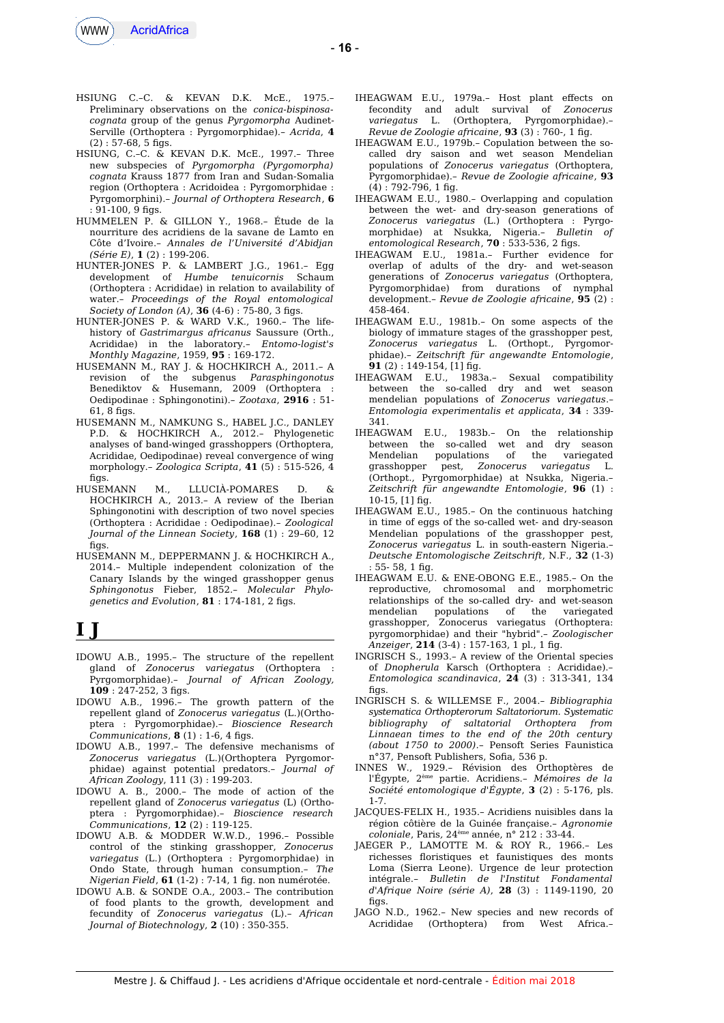

- HSIUNG C.–C. & KEVAN D.K. McE., 1975.– Preliminary observations on the *conica-bispinosacognata* group of the genus *Pyrgomorpha* Audinet-Serville (Orthoptera : Pyrgomorphidae).– *Acrida*, **4**  $(2): 57-68, 5$  figs.
- HSIUNG, C.–C. & KEVAN D.K. McE., 1997.– Three new subspecies of *Pyrgomorpha (Pyrgomorpha) cognata* Krauss 1877 from Iran and Sudan-Somalia region (Orthoptera : Acridoidea : Pyrgomorphidae : Pyrgomorphini).– *Journal of Orthoptera Research*, **6**  $: 91-100.9$  figs.
- HUMMELEN P. & GILLON Y., 1968.– Étude de la nourriture des acridiens de la savane de Lamto en Côte d'Ivoire.– *Annales de l'Université d'Abidjan (Série E)*, **1** (2) : 199-206.
- HUNTER-JONES P. & LAMBERT J.G., 1961.– Egg development of *Humbe tenuicornis* Schaum (Orthoptera : Acrididae) in relation to availability of water.– *Proceedings of the Royal entomological Society of London (A)*, **36** (4-6) : 75-80, 3 fgs.
- HUNTER-JONES P. & WARD V.K., 1960.– The lifehistory of *Gastrimargus africanus* Saussure (Orth., Acrididae) in the laboratory.– *Entomo-logist's Monthly Magazine*, 1959, **95** : 169-172.
- HUSEMANN M., RAY J. & HOCHKIRCH A., 2011.– A revision of the subgenus *Parasphingonotus* Benediktov & Husemann, 2009 (Orthoptera : Oedipodinae : Sphingonotini).– *Zootaxa*, **2916** : 51-  $61.8$  figs.
- HUSEMANN M., NAMKUNG S., HABEL J.C., DANLEY P.D. & HOCHKIRCH A., 2012.– Phylogenetic analyses of band-winged grasshoppers (Orthoptera, Acrididae, Oedipodinae) reveal convergence of wing morphology.– *Zoologica Scripta*, **41** (5) : 515-526, 4  $fias$ .
- HUSEMANN M., LLUCIÀ-POMARES D. & HOCHKIRCH A., 2013.– A review of the Iberian Sphingonotini with description of two novel species (Orthoptera : Acrididae : Oedipodinae).– *Zoological Journal of the Linnean Society*, **168** (1) : 29–60, 12  $fias$ .
- HUSEMANN M., DEPPERMANN J. & HOCHKIRCH A., 2014.– Multiple independent colonization of the Canary Islands by the winged grasshopper genus *Sphingonotus* Fieber, 1852.– *Molecular Phylo* $q$ enetics and Evolution,  $81$ : 174-181, 2 figs.

# **I J**

- IDOWU A.B., 1995.– The structure of the repellent gland of *Zonocerus variegatus* (Orthoptera : Pyrgomorphidae).– *Journal of African Zoology,* **109** : 247-252, 3 fgs.
- IDOWU A.B., 1996.– The growth pattern of the repellent gland of *Zonocerus variegatus* (L.)(Orthoptera : Pyrgomorphidae).– *Bioscience Research Communications*, **8** (1) : 1-6, 4 figs.
- IDOWU A.B., 1997.– The defensive mechanisms of *Zonocerus variegatus* (L.)(Orthoptera Pyrgomorphidae) against potential predators.– *Journal of African Zoology*, 111 (3) : 199-203.
- IDOWU A. B., 2000.– The mode of action of the repellent gland of *Zonocerus variegatus* (L) (Orthoptera : Pyrgomorphidae).– *Bioscience research Communications*, **12** (2) : 119-125.
- IDOWU A.B. & MODDER W.W.D., 1996.– Possible control of the stinking grasshopper, *Zonocerus variegatus* (L.) (Orthoptera : Pyrgomorphidae) in Ondo State, through human consumption.– *The Nigerian Field*, **61** (1-2) : 7-14, 1 fg. non numérotée.
- IDOWU A.B. & SONDE O.A., 2003.– The contribution of food plants to the growth, development and fecundity of *Zonocerus variegatus* (L).– *African Journal of Biotechnology*, **2** (10) : 350-355.
- IHEAGWAM E.U., 1979a.– Host plant efects on fecondity and adult survival of *Zonocerus variegatus* L. (Orthoptera, Pyrgomorphidae).– *Revue de Zoologie africaine*, **93** (3) : 760-, 1 fg.
- IHEAGWAM E.U., 1979b.– Copulation between the socalled dry saison and wet season Mendelian populations of *Zonocerus variegatus* (Orthoptera, Pyrgomorphidae).– *Revue de Zoologie africaine*, **93**  $(4)$ : 792-796, 1 fig.
- IHEAGWAM E.U., 1980.– Overlapping and copulation between the wet- and dry-season generations of *Zonocerus variegatus* (L.) (Orthoptera : Pyrgomorphidae) at Nsukka, Nigeria.– *Bulletin of entomological Research*, **70** : 533-536, 2 fgs.
- IHEAGWAM E.U., 1981a.– Further evidence for overlap of adults of the dry- and wet-season generations of *Zonocerus variegatus* (Orthoptera, Pyrgomorphidae) from durations of nymphal development.– *Revue de Zoologie africaine*, **95** (2) : 458-464.
- IHEAGWAM E.U., 1981b.– On some aspects of the biology of immature stages of the grasshopper pest, *Zonocerus variegatus* L. (Orthopt., Pyrgomorphidae).– *Zeitschrift für angewandte Entomologie*, **91** (2) : 149-154, [1] fg.
- IHEAGWAM E.U., 1983a.– Sexual compatibility between the so-called dry and wet season mendelian populations of *Zonocerus variegatus*.– *Entomologia experimentalis et applicata*, **34** : 339- 341.
- IHEAGWAM E.U., 1983b.– On the relationship between the so-called wet and dry season Mendelian populations of the variegated grasshopper pest, *Zonocerus variegatus* L. (Orthopt., Pyrgomorphidae) at Nsukka, Nigeria.– *Zeitschrift für angewandte Entomologie*, **96** (1) : 10-15, [1] fg.
- IHEAGWAM E.U., 1985.– On the continuous hatching in time of eggs of the so-called wet- and dry-season Mendelian populations of the grasshopper pest, *Zonocerus variegatus* L. in south-eastern Nigeria.– *Deutsche Entomologische Zeitschrift*, N.F., **32** (1-3)  $55 - 58$ , 1 fig.
- IHEAGWAM E.U. & ENE-OBONG E.E., 1985.– On the reproductive, chromosomal and morphometric relationships of the so-called dry- and wet-season mendelian populations of the variegated grasshopper, Zonocerus variegatus (Orthoptera: pyrgomorphidae) and their "hybrid".– *Zoologischer Anzeiger*, **214** (3-4) : 157-163, 1 pl., 1 fg.
- INGRISCH S., 1993.– A review of the Oriental species of *Dnopherula* Karsch (Orthoptera : Acrididae).– *Entomologica scandinavica*, **24** (3) : 313-341, 134  $fins$
- INGRISCH S. & WILLEMSE F., 2004.– *Bibliographia systematica Orthopterorum Saltatoriorum. Systematic bibliography of saltatorial Orthoptera from Linnaean times to the end of the 20th century (about 1750 to 2000)*.– Pensoft Series Faunistica n°37, Pensoft Publishers, Sofa, 536 p.
- INNES W., 1929.– Révision des Orthoptères de l'Égypte, 2ème partie. Acridiens.– *Mémoires de la Société entomologique d'Égypte*, **3** (2) : 5-176, pls. 1-7.
- JACQUES-FELIX H., 1935.– Acridiens nuisibles dans la région côtière de la Guinée française.– *Agronomie coloniale*, Paris*,* 24ème année, n° 212 : 33-44.
- JAEGER P., LAMOTTE M. & ROY R., 1966.– Les richesses floristiques et faunistiques des monts Loma (Sierra Leone). Urgence de leur protection intégrale.– *Bulletin de l'Institut Fondamental d'Afrique Noire (série A)*, **28** (3) : 1149-1190, 20 figs.
- JAGO N.D., 1962.- New species and new records of<br>Acrididae (Orthoptera) from West Africa.-Acrididae (Orthoptera)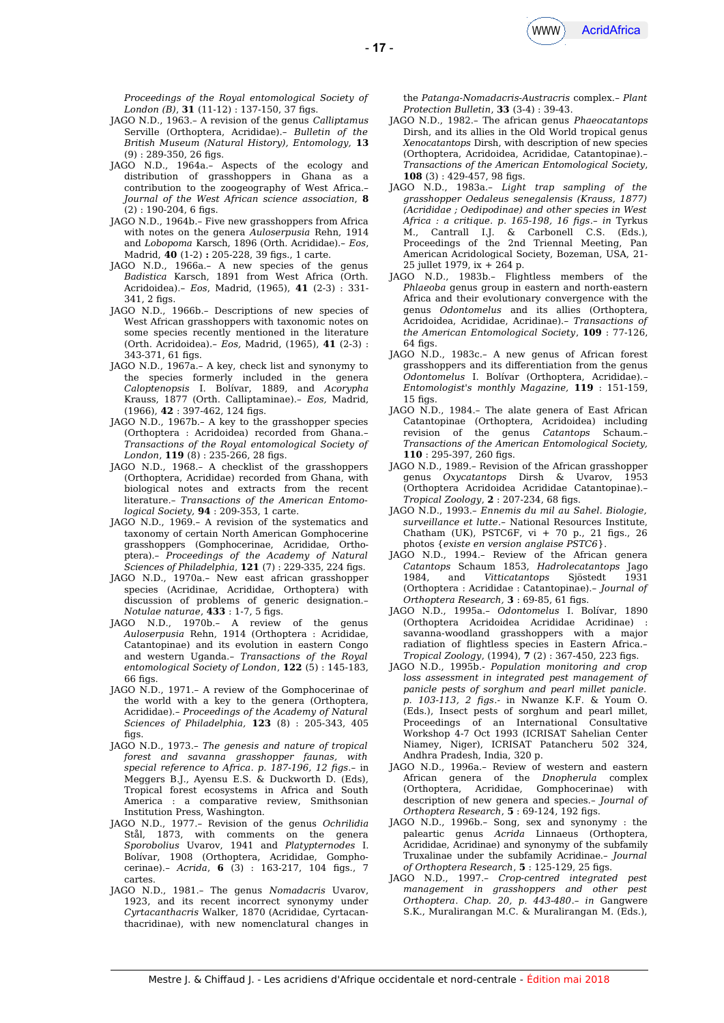

*Proceedings of the Royal entomological Society of London (B)*, **31** (11-12) : 137-150, 37 figs.

- JAGO N.D., 1963.– A revision of the genus *Calliptamus* Serville (Orthoptera, Acrididae).– *Bulletin of the British Museum (Natural History), Entomology,* **13**  $(9) : 289-350, 26$  figs.
- JAGO N.D., 1964a.– Aspects of the ecology and distribution of grasshoppers in Ghana as a contribution to the zoogeography of West Africa.– *Journal of the West African science association*, **8**  $(2)$ : 190-204, 6 figs.
- JAGO N.D., 1964b.– Five new grasshoppers from Africa with notes on the genera *Auloserpusia* Rehn, 1914 and *Lobopoma* Karsch, 1896 (Orth. Acrididae).– *Eos*, Madrid, **40** (1-2) **:** 205-228, 39 fgs., 1 carte.
- JAGO N.D., 1966a.– A new species of the genus *Badistica* Karsch, 1891 from West Africa (Orth. Acridoidea).– *Eos*, Madrid, (1965), **41** (2-3) : 331-  $341, 2$  figs.
- JAGO N.D., 1966b.– Descriptions of new species of West African grasshoppers with taxonomic notes on some species recently mentioned in the literature (Orth. Acridoidea).– *Eos,* Madrid, (1965), **41** (2-3) :  $343 - 371$ , 61 figs.
- JAGO N.D., 1967a.– A key, check list and synonymy to the species formerly included in the genera *Caloptenopsis* I. Bolívar, 1889, and *Acorypha* Krauss, 1877 (Orth. Calliptaminae).– *Eos,* Madrid, (1966), **42** : 397-462, 124 fgs.
- JAGO N.D., 1967b.– A key to the grasshopper species (Orthoptera : Acridoidea) recorded from Ghana.– *Transactions of the Royal entomological Society of* London, **119** (8): 235-266, 28 figs.
- JAGO N.D., 1968.– A checklist of the grasshoppers (Orthoptera, Acrididae) recorded from Ghana, with biological notes and extracts from the recent literature.– *Transactions of the American Entomological Society,* **94** : 209-353, 1 carte.
- JAGO N.D., 1969.– A revision of the systematics and taxonomy of certain North American Gomphocerine grasshoppers (Gomphocerinae, Acrididae, Orthoptera).– *Proceedings of the Academy of Natural Sciences of Philadelphia*, **121** (7) : 229-335, 224 fgs.
- JAGO N.D., 1970a.– New east african grasshopper species (Acridinae, Acrididae, Orthoptera) with discussion of problems of generic designation.– *Notulae naturae*, **433** : 1-7, 5 fgs.
- JAGO N.D., 1970b.– A review of the genus *Auloserpusia* Rehn, 1914 (Orthoptera : Acrididae, Catantopinae) and its evolution in eastern Congo and western Uganda.– *Transactions of the Royal entomological Society of London*, **122** (5) : 145-183,  $66$  figs.
- JAGO N.D., 1971.– A review of the Gomphocerinae of the world with a key to the genera (Orthoptera, Acrididae).*– Proceedings of the Academy of Natural Sciences of Philadelphia,* **123** (8) : 205-343, 405 figs.
- JAGO N.D., 1973.– *The genesis and nature of tropical forest and savanna grasshopper faunas, with special reference to Africa. p. 187-196, 12 fgs*.– in Meggers B.J., Ayensu E.S. & Duckworth D. (Eds), Tropical forest ecosystems in Africa and South America : a comparative review, Smithsonian Institution Press, Washington.
- JAGO N.D., 1977.– Revision of the genus *Ochrilidia* Stål, 1873, with comments on the genera *Sporobolius* Uvarov, 1941 and *Platypternodes* I. Bolívar, 1908 (Orthoptera, Acrididae, Gomphocerinae).– *Acrida*, **6** (3) : 163-217, 104 fgs., 7 cartes.
- JAGO N.D., 1981.– The genus *Nomadacris* Uvarov, 1923, and its recent incorrect synonymy under *Cyrtacanthacris* Walker, 1870 (Acrididae, Cyrtacanthacridinae), with new nomenclatural changes in

the *Patanga-Nomadacris-Austracris* complex.– *Plant Protection Bulletin*, **33** (3-4) : 39-43.

- JAGO N.D., 1982.– The african genus *Phaeocatantops* Dirsh, and its allies in the Old World tropical genus *Xenocatantops* Dirsh, with description of new species (Orthoptera, Acridoidea, Acrididae, Catantopinae).– *Transactions of the American Entomological Society*, **108** (3) : 429-457, 98 fgs.
- JAGO N.D., 1983a.– *Light trap sampling of the grasshopper Oedaleus senegalensis (Krauss, 1877) (Acrididae ; Oedipodinae) and other species in West Africa : a critique. p. 165-198, 16 fgs*.– *in* Tyrkus M., Cantrall I.J. & Carbonell C.S. (Eds.), Proceedings of the 2nd Triennal Meeting, Pan American Acridological Society, Bozeman, USA, 21- 25 jullet 1979, ix + 264 p.
- JAGO N.D., 1983b.– Flightless members of the *Phlaeoba* genus group in eastern and north-eastern Africa and their evolutionary convergence with the genus *Odontomelus* and its allies (Orthoptera, Acridoidea, Acrididae, Acridinae).– *Transactions of the American Entomological Society*, **109** : 77-126,  $64$  figs.
- JAGO N.D., 1983c.– A new genus of African forest grasshoppers and its diferentiation from the genus *Odontomelus* I. Bolívar (Orthoptera, Acrididae).– *Entomologist's monthly Magazine,* **119** : 151-159,  $15$  figs.
- JAGO N.D., 1984.– The alate genera of East African Catantopinae (Orthoptera, Acridoidea) including revision of the genus *Catantops Transactions of the American Entomological Society,* **110** : 295-397, 260 fgs.
- JAGO N.D., 1989.– Revision of the African grasshopper genus *Oxycatantops* Dirsh & Uvarov, 1953 (Orthoptera Acridoidea Acrididae Catantopinae).– *Tropical Zoology*, **2** : 207-234, 68 fgs.
- JAGO N.D., 1993.– *Ennemis du mil au Sahel. Biologie, surveillance et lutte*.– National Resources Institute, Chatham (UK), PSTC6F, vi + 70 p., 21 figs., 26 photos {*existe en version anglaise PSTC6*}.
- JAGO N.D., 1994.– Review of the African genera *Catantops* Schaum 1853, *Hadrolecatantops* Jago 1984, and *Vitticatantops* Sjöstedt (Orthoptera : Acrididae : Catantopinae).– *Journal of Orthoptera Research,* **3** : 69-85, 61 fgs.
- JAGO N.D., 1995a.– *Odontomelus* I. Bolívar, 1890 (Orthoptera Acridoidea Acrididae Acridinae) : savanna-woodland grasshoppers with a major radiation of flightless species in Eastern Africa.– *Tropical Zoology*, (1994), **7** (2) : 367-450, 223 fgs.
- JAGO N.D., 1995b.- *Population monitoring and crop loss assessment in integrated pest management of panicle pests of sorghum and pearl millet panicle. p. 103-113, 2 fgs*.- in Nwanze K.F. & Youm O. (Eds.), Insect pests of sorghum and pearl millet, Proceedings of an International Consultative Workshop 4-7 Oct 1993 (ICRISAT Sahelian Center Niamey, Niger), ICRISAT Patancheru 502 324, Andhra Pradesh, India, 320 p.
- JAGO N.D., 1996a.– Review of western and eastern African genera of the *Dnopherula* complex (Orthoptera, Acrididae, Gomphocerinae) with description of new genera and species.– *Journal of Orthoptera Research*, **5** : 69-124, 192 fgs.
- JAGO N.D., 1996b.– Song, sex and synonymy : the paleartic genus *Acrida* Linnaeus (Orthoptera, Acrididae, Acridinae) and synonymy of the subfamily Truxalinae under the subfamily Acridinae.– *Journal of Orthoptera Research*, **5** : 125-129, 25 fgs.
- JAGO N.D., 1997.– *Crop-centred integrated pest management in grasshoppers and other pest Orthoptera*. *Chap. 20, p. 443-480*.– *in* Gangwere S.K., Muralirangan M.C. & Muralirangan M. (Eds.),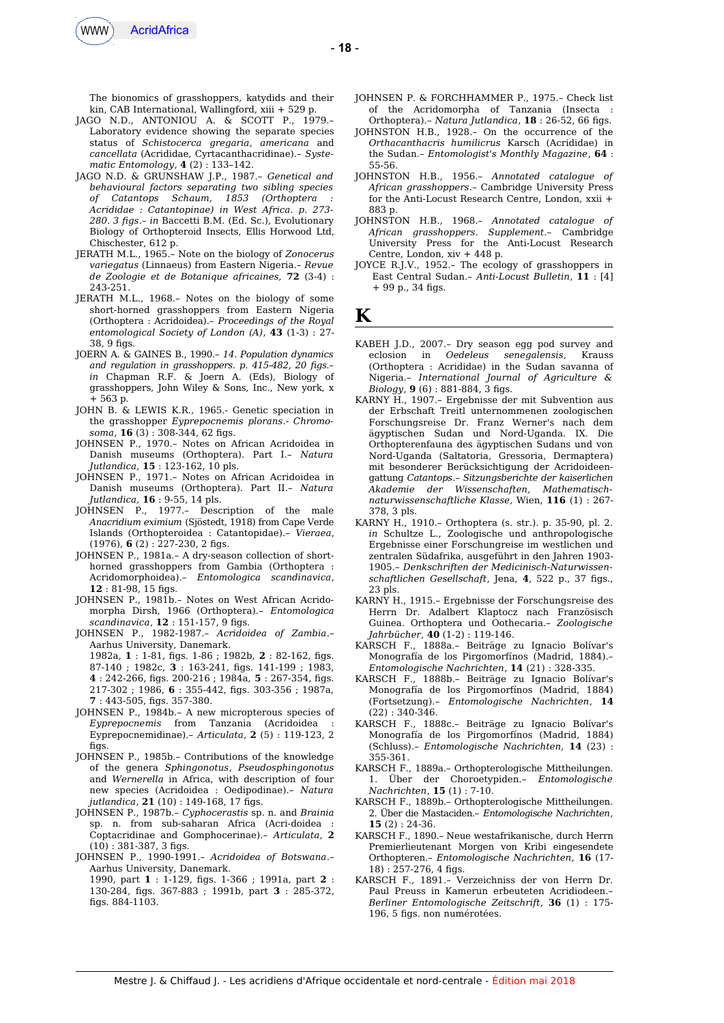

The bionomics of grasshoppers, katydids and their kin, CAB International, Wallingford, xiii + 529 p.

- JAGO N.D., ANTONIOU A. & SCOTT P., 1979.– Laboratory evidence showing the separate species status of *Schistocerca gregaria*, *americana* and *cancellata* (Acrididae, Cyrtacanthacridinae).– *Systematic Entomology*, **4** (2) : 133–142.
- JAGO N.D. & GRUNSHAW J.P., 1987.– *Genetical and behavioural factors separating two sibling species of Catantops Schaum, 1853 (Orthoptera : Acrididae : Catantopinae) in West Africa. p. 273- 280. 3 fgs*.– *in* Baccetti B.M. (Ed. Sc.), Evolutionary Biology of Orthopteroid Insects, Ellis Horwood Ltd, Chischester, 612 p.
- JERATH M.L., 1965.– Note on the biology of *Zonocerus variegatus* (Linnaeus) from Eastern Nigeria.– *Revue de Zoologie et de Botanique africaines,* **72** (3-4) : 243-251.
- JERATH M.L., 1968.– Notes on the biology of some short-horned grasshoppers from Eastern Nigeria (Orthoptera : Acridoidea).– *Proceedings of the Royal entomological Society of London (A)*, **43** (1-3) : 27-  $38.9$  figs.
- JOERN A. & GAINES B., 1990.– *14. Population dynamics and regulation in grasshoppers. p. 415-482, 20 fgs.– in* Chapman R.F. & Joern A. (Eds), Biology of grasshoppers, John Wiley & Sons, Inc., New york, x + 563 p.
- JOHN B. & LEWIS K.R., 1965.- Genetic speciation in the grasshopper *Eyprepocnemis plorans*.- *Chromo*soma, **16** (3): 308-344, 62 figs.
- JOHNSEN P., 1970.– Notes on African Acridoidea in Danish museums (Orthoptera). Part I.– *Natura Jutlandica,* **15** : 123-162, 10 pls.
- JOHNSEN P., 1971.– Notes on African Acridoidea in Danish museums (Orthoptera). Part II.– *Natura Jutlandica,* **16** : 9-55, 14 pls.
- JOHNSEN P., 1977.– Description of the male *Anacridium eximium* (Sjöstedt, 1918) from Cape Verde Islands (Orthopteroidea : Catantopidae).– *Vieraea*, (1976), **6** (2) : 227-230, 2 fgs.
- JOHNSEN P., 1981a.– A dry-season collection of shorthorned grasshoppers from Gambia (Orthoptera : Acridomorphoidea).– *Entomologica scandinavica*, **12** : 81-98, 15 fgs.
- JOHNSEN P., 1981b.– Notes on West African Acridomorpha Dirsh, 1966 (Orthoptera).– *Entomologica scandinavica*, **12** : 151-157, 9 fgs.
- JOHNSEN P., 1982-1987.– *Acridoidea of Zambia*.– Aarhus University, Danemark. 1982a, **1** : 1-81, fgs. 1-86 ; 1982b, **2** : 82-162, fgs. 87-140 ; 1982c, **3** : 163-241, fgs. 141-199 ; 1983, **4** : 242-266, fgs. 200-216 ; 1984a, **5** : 267-354, fgs. 217-302 ; 1986, **6** : 355-442, fgs. 303-356 ; 1987a, **7** : 443-505, fgs. 357-380.
- JOHNSEN P., 1984b.– A new micropterous species of *Eyprepocnemis* from Tanzania (Acridoidea : Eyprepocnemidinae).– *Articulata*, **2** (5) : 119-123, 2 figs.
- JOHNSEN P., 1985b.– Contributions of the knowledge of the genera *Sphingonotus*, *Pseudosphingonotus* and *Wernerella* in Africa, with description of four new species (Acridoidea : Oedipodinae).– *Natura jutlandica*, **21** (10) : 149-168, 17 fgs.
- JOHNSEN P., 1987b.– *Cyphocerastis* sp. n. and *Brainia* sp. n. from sub-saharan Africa (Acri-doidea Coptacridinae and Gomphocerinae).– *Articulata*, **2**  $(10): 381-387, 3$  figs.
- JOHNSEN P., 1990-1991.– *Acridoidea of Botswana*.– Aarhus University, Danemark. 1990, part **1** : 1-129, fgs. 1-366 ; 1991a, part **2** : 130-284, fgs. 367-883 ; 1991b, part **3** : 285-372, fgs. 884-1103.
- JOHNSEN P. & FORCHHAMMER P., 1975.– Check list of the Acridomorpha of Tanzania (Insecta : Orthoptera).– *Natura Jutlandica*, **18** : 26-52, 66 fgs.
- JOHNSTON H.B., 1928.– On the occurrence of the *Orthacanthacris humilicrus* Karsch (Acrididae) in the Sudan.– *Entomologist's Monthly Magazine*, **64** : 55-56.
- JOHNSTON H.B., 1956.– *Annotated catalogue of African grasshoppers*.– Cambridge University Press for the Anti-Locust Research Centre, London, xxii + 883 p.
- JOHNSTON H.B., 1968.– *Annotated catalogue of African grasshoppers. Supplement.–* Cambridge University Press for the Anti-Locust Research Centre, London, xiv + 448 p.
- JOYCE R.J.V., 1952.– The ecology of grasshoppers in East Central Sudan.– *Anti-Locust Bulletin*, **11** : [4]  $+99$  p., 34 figs.
- **K**
- KABEH J.D., 2007.– Dry season egg pod survey and eclosion in *Oedeleus senegalensis*, Krauss (Orthoptera : Acrididae) in the Sudan savanna of Nigeria.– *International Journal of Agriculture & Biology*, **9** (6): 881-884, 3 figs.
- KARNY H., 1907.– Ergebnisse der mit Subvention aus der Erbschaft Treitl unternommenen zoologischen Forschungsreise Dr. Franz Werner's nach dem ägyptischen Sudan und Nord-Uganda. IX. Die Orthopterenfauna des ägyptischen Sudans und von Nord-Uganda (Saltatoria, Gressoria, Dermaptera) mit besonderer Berücksichtigung der Acridoideengattung *Catantops*.– *Sitzungsberichte der kaiserlichen Akademie der Wissenschaften, Mathematischnaturwissenschaftliche Klasse,* Wien, **116** (1) : 267- 378, 3 pls.
- KARNY H., 1910.– Orthoptera (s. str.). p. 35-90, pl. 2. *in* Schultze L., Zoologische und anthropologische Ergebnisse einer Forschungreise im westlichen und zentralen Südafrika, ausgeführt in den Jahren 1903- 1905.– *Denkschriften der Medicinisch-Naturwissenschaftlichen Gesellschaft*, Jena, **4**, 522 p., 37 fgs., 23 pls.
- KARNY H., 1915.– Ergebnisse der Forschungsreise des Herrn Dr. Adalbert Klaptocz nach Französisch Guinea. Orthoptera und Oothecaria.– *Zoologische Jahrbücher*, **40** (1-2) : 119-146.
- KARSCH F., 1888a.– Beiträge zu Ignacio Bolívar's Monografía de los Pirgomorfínos (Madrid, 1884).– *Entomologische Nachrichten*, **14** (21) : 328-335.
- KARSCH F., 1888b.– Beiträge zu Ignacio Bolívar's Monografía de los Pirgomorfínos (Madrid, 1884) (Fortsetzung).– *Entomologische Nachrichten*, **14** (22) : 340-346.
- KARSCH F., 1888c.– Beiträge zu Ignacio Bolívar's Monografía de los Pirgomorfínos (Madrid, 1884) (Schluss).– *Entomologische Nachrichten,* **14** (23) : 355-361.
- KARSCH F., 1889a.– Orthopterologische Mittheilungen. 1. Über der Choroetypiden.– *Entomologische Nachrichten*, **15** (1) : 7-10.
- KARSCH F., 1889b.– Orthopterologische Mittheilungen. 2. Über die Mastaciden.– *Entomologische Nachrichten*, **15** (2) : 24-36.
- KARSCH F., 1890.– Neue westafrikanische, durch Herrn Premierlieutenant Morgen von Kribi eingesendete Orthopteren.– *Entomologische Nachrichten*, **16** (17- 18) : 257-276, 4 fgs.
- KARSCH F., 1891.– Verzeichniss der von Herrn Dr. Paul Preuss in Kamerun erbeuteten Acridiodeen.– *Berliner Entomologische Zeitschrift*, **36** (1) : 175- 196, 5 fgs. non numérotées.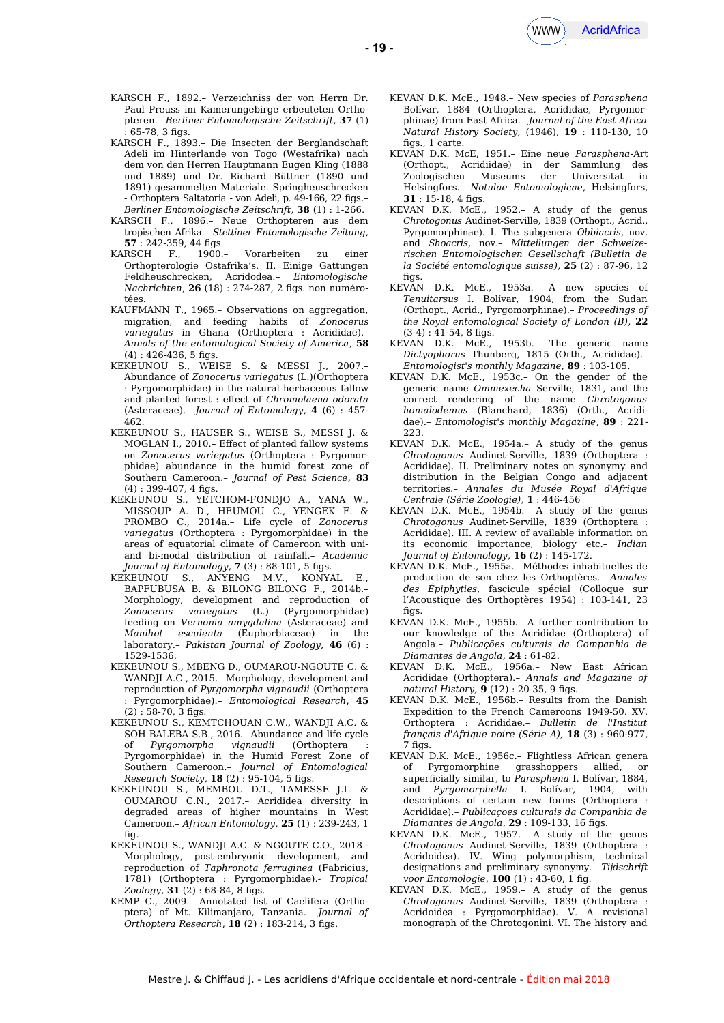

- KARSCH F., 1892.– Verzeichniss der von Herrn Dr. Paul Preuss im Kamerungebirge erbeuteten Orthopteren.– *Berliner Entomologische Zeitschrift*, **37** (1)  $65-78.3$  figs.
- KARSCH F., 1893.– Die Insecten der Berglandschaft Adeli im Hinterlande von Togo (Westafrika) nach dem von den Herren Hauptmann Eugen Kling (1888 und 1889) und Dr. Richard Büttner (1890 und 1891) gesammelten Materiale. Springheuschrecken *-* Orthoptera Saltatoria *-* von Adeli, p. 49-166, 22 fgs.– *Berliner Entomologische Zeitschrift*, **38** (1) : 1-266.
- KARSCH F., 1896.– Neue Orthopteren aus dem tropischen Afrika.– *Stettiner Entomologische Zeitung*, **57** : 242-359, 44 fgs.
- KARSCH F., 1900.– Vorarbeiten zu einer Orthopterologie Ostafrika's. II. Einige Gattungen Feldheuschrecken, Acridodea.– *Entomologische Nachrichten*, **26** (18) : 274-287, 2 fgs. non numérotées.
- KAUFMANN T., 1965.– Observations on aggregation, migration, and feeding habits of *Zonocerus variegatus* in Ghana (Orthoptera : Acrididae).– *Annals of the entomological Society of America*, **58**  $(4)$ : 426-436, 5 figs.
- KEKEUNOU S., WEISE S. & MESSI J., 2007.– Abundance of *Zonocerus variegatus* (L.)(Orthoptera : Pyrgomorphidae) in the natural herbaceous fallow and planted forest : efect of *Chromolaena odorata* (Asteraceae).– *Journal of Entomology*, **4** (6) : 457- 462.
- KEKEUNOU S., HAUSER S., WEISE S., MESSI J. & MOGLAN I., 2010.– Efect of planted fallow systems on *Zonocerus variegatus* (Orthoptera : Pyrgomorphidae) abundance in the humid forest zone of Southern Cameroon.– *Journal of Pest Science*, **83**  $(4) : 399-407, 4 figs.$
- KEKEUNOU S., YETCHOM-FONDJO A., YANA W., MISSOUP A. D., HEUMOU C., YENGEK F. & PROMBO C., 2014a.– Life cycle of *Zonocerus variegatu*s (Orthoptera : Pyrgomorphidae) in the areas of equatorial climate of Cameroon with uniand bi-modal distribution of rainfall.– *Academic Journal of Entomology*, **7** (3) : 88-101, 5 fgs.
- KEKEUNOU S., ANYENG M.V., KONYAL E., BAPFUBUSA B. & BILONG BILONG F., 2014b.– Morphology, development and reproduction of *Zonocerus variegatus* (L.) (Pyrgomorphidae) feeding on *Vernonia amygdalina* (Asteraceae) and *Manihot esculenta* (Euphorbiaceae) in the laboratory.– *Pakistan Journal of Zoology,* **46** (6) : 1529-1536.
- KEKEUNOU S., MBENG D., OUMAROU-NGOUTE C. & WANDJI A.C., 2015.– Morphology, development and reproduction of *Pyrgomorpha vignaudii* (Orthoptera : Pyrgomorphidae).– *Entomological Research*, **45**  $(2) : 58-70, 3$  figs.
- KEKEUNOU S., KEMTCHOUAN C.W., WANDJI A.C. & SOH BALEBA S.B., 2016.– Abundance and life cycle of *Pyrgomorpha vignaudii* (Orthoptera : Pyrgomorphidae) in the Humid Forest Zone of Southern Cameroon.– *Journal of Entomological Research Society*, **18** (2): 95-104, 5 figs.
- KEKEUNOU S., MEMBOU D.T., TAMESSE J.L. & OUMAROU C.N., 2017.– Acrididea diversity in degraded areas of higher mountains in West Cameroon.– *African Entomology*, **25** (1) : 239-243, 1 fig.
- KEKEUNOU S., WANDJI A.C. & NGOUTE C.O., 2018.- Morphology, post-embryonic development, and reproduction of *Taphronota ferruginea* (Fabricius, 1781) (Orthoptera : Pyrgomorphidae).- *Tropical Zoology*, **31** (2) : 68-84, 8 fgs.
- KEMP C., 2009.– Annotated list of Caelifera (Orthoptera) of Mt. Kilimanjaro, Tanzania.– *Journal of Orthoptera Research*, **18** (2) : 183-214, 3 fgs.
- KEVAN D.K. McE., 1948.– New species of *Parasphena* Bolívar, 1884 (Orthoptera, Acrididae, Pyrgomorphinae) from East Africa.– *Journal of the East Africa Natural History Society,* (1946), **19** : 110-130, 10  $f$ figs., 1 carte.
- KEVAN D.K. McE, 1951.– Eine neue *Parasphena*-Art (Orthopt., Acridiidae) in der Sammlung des Zoologischen Museums der Universität in Helsingfors.– *Notulae Entomologicae*, Helsingfors, **31** : 15-18, 4 fgs.
- KEVAN D.K. McE., 1952.– A study of the genus *Chrotogonus* Audinet-Serville, 1839 (Orthopt., Acrid., Pyrgomorphinae). I. The subgenera *Obbiacris*, nov. and *Shoacris*, nov.– *Mitteilungen der Schweizerischen Entomologischen Gesellschaft (Bulletin de la Société entomologique suisse)*, **25** (2) : 87-96, 12 figs.
- KEVAN D.K. McE., 1953a.– A new species of *Tenuitarsus* I. Bolívar, 1904, from the Sudan (Orthopt., Acrid., Pyrgomorphinae).– *Proceedings of the Royal entomological Society of London (B)*, **22**  $(3-4): 41-54, 8$  figs.
- KEVAN D.K. McE., 1953b.– The generic name *Dictyophorus* Thunberg, 1815 (Orth., Acrididae).– *Entomologist's monthly Magazine,* **89** : 103-105.
- KEVAN D.K. McE., 1953c.– On the gender of the generic name *Ommexecha* Serville, 1831, and the correct rendering of the name *Chrotogonus homalodemus* (Blanchard, 1836) (Orth., Acrididae).– *Entomologist's monthly Magazine*, **89** : 221- 223.
- KEVAN D.K. McE., 1954a.– A study of the genus *Chrotogonus* Audinet-Serville, 1839 (Orthoptera : Acrididae). II. Preliminary notes on synonymy and distribution in the Belgian Congo and adjacent territories.– *Annales du Musée Royal d'Afrique Centrale (Série Zoologie)*, **1** : 446-456
- KEVAN D.K. McE., 1954b.– A study of the genus *Chrotogonus* Audinet-Serville, 1839 (Orthoptera : Acrididae). III. A review of available information on its economic importance, biology etc.– *Indian Journal of Entomology*, **16** (2) : 145-172.
- KEVAN D.K. McE., 1955a.– Méthodes inhabituelles de production de son chez les Orthoptères.– *Annales des Épiphyties*, fascicule spécial (Colloque sur l'Acoustique des Orthoptères 1954) : 103-141, 23 fias
- KEVAN D.K. McE., 1955b.– A further contribution to our knowledge of the Acrididae (Orthoptera) of Angola.– *Publicações culturais da Companhia de Diamantes de Angola*, **24** : 61-82.
- KEVAN D.K. McE., 1956a.– New East African Acrididae (Orthoptera).– *Annals and Magazine of natural History*, **9** (12): 20-35, 9 figs.
- KEVAN D.K. McE., 1956b.– Results from the Danish Expedition to the French Cameroons 1949-50. XV. Orthoptera : Acrididae.– *Bulletin de l'Institut français d'Afrique noire (Série A),* **18** (3) : 960-977, 7 figs.
- KEVAN D.K. McE., 1956c.– Flightless African genera of Pyrgomorphine grasshoppers allied, or superficially similar, to *Parasphena* I. Bolívar, 1884, and *Pyrgomorphella* I. Bolívar, 1904, with descriptions of certain new forms (Orthoptera : Acrididae).– *Publicaçoes culturais da Companhia de Diamantes de Angola*, **29** : 109-133, 16 fgs.
- KEVAN D.K. McE., 1957.– A study of the genus *Chrotogonus* Audinet-Serville, 1839 (Orthoptera : Acridoidea). IV. Wing polymorphism, technical designations and preliminary synonymy.– *Tijdschrift voor Entomologie*, **100** (1) : 43-60, 1 fg.
- KEVAN D.K. McE., 1959.– A study of the genus *Chrotogonus* Audinet-Serville, 1839 (Orthoptera : Acridoidea : Pyrgomorphidae). V. A revisional monograph of the Chrotogonini. VI. The history and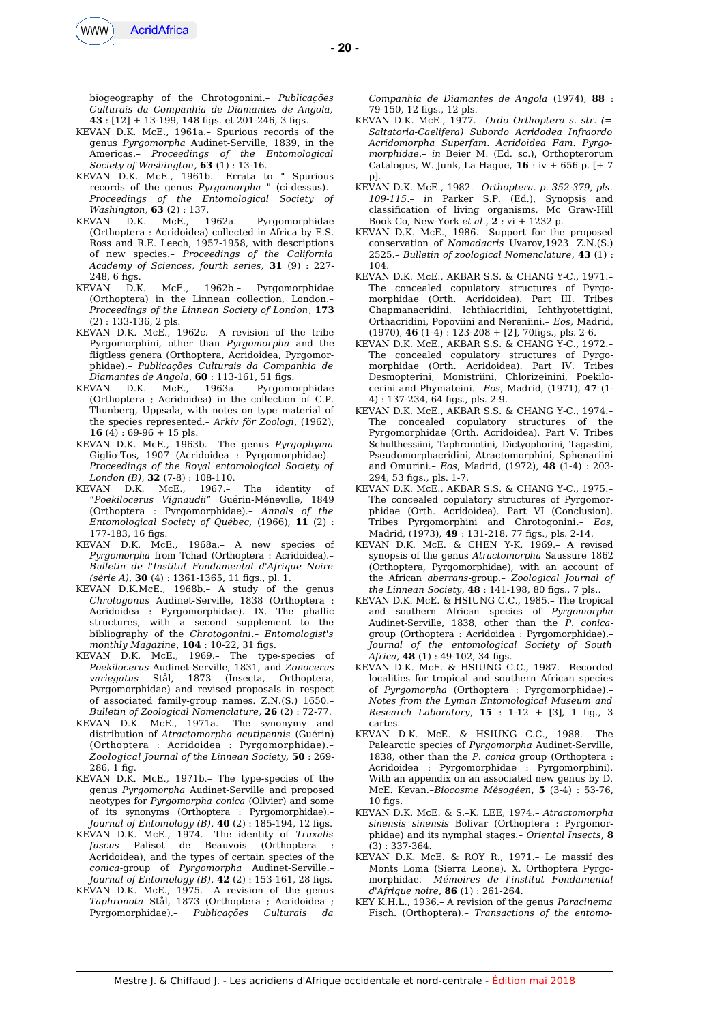

biogeography of the Chrotogonini.– *Publicações Culturais da Companhia de Diamantes de Angola,* **43** : [12] + 13-199, 148 fgs. et 201-246, 3 fgs.

- KEVAN D.K. McE., 1961a.– Spurious records of the genus *Pyrgomorpha* Audinet-Serville, 1839, in the Americas*.– Proceedings of the Entomological Society of Washington*, **63** (1) : 13-16.
- KEVAN D.K. McE., 1961b.– Errata to " Spurious records of the genus *Pyrgomorpha "* (ci-dessus).*– Proceedings of the Entomological Society of Washington*, **63** (2) : 137.
- KEVAN D.K. McE., 1962a.– Pyrgomorphidae (Orthoptera : Acridoidea) collected in Africa by E.S. Ross and R.E. Leech, 1957-1958, with descriptions of new species.– *Proceedings of the California Academy of Sciences, fourth series,* **31** (9) : 227- 248, 6 fgs.
- KEVAN D.K. McE., 1962b.– Pyrgomorphidae (Orthoptera) in the Linnean collection, London.– *Proceedings of the Linnean Society of London*, **173** (2) : 133-136, 2 pls.
- KEVAN D.K. McE., 1962c.– A revision of the tribe Pyrgomorphini, other than *Pyrgomorpha* and the fligtless genera (Orthoptera, Acridoidea, Pyrgomorphidae).– *Publicações Culturais da Companhia de Diamantes de Angola*, **60** : 113-161, 51 fgs.
- KEVAN D.K. McE., 1963a.– Pyrgomorphidae (Orthoptera ; Acridoidea) in the collection of C.P. Thunberg, Uppsala, with notes on type material of the species represented.– *Arkiv för Zoologi*, (1962), **16** (4) : 69-96 + 15 pls.
- KEVAN D.K. McE., 1963b.– The genus *Pyrgophyma* Giglio-Tos, 1907 (Acridoidea : Pyrgomorphidae).– *Proceedings of the Royal entomological Society of London (B)*, **32** (7-8) : 108-110.<br>*KEVAN* DK *McF* 1967 -
- $D.K.$  McE., 1967.- The identity of "*Poekilocerus Vignaudii*" Guérin-Méneville, 1849 (Orthoptera : Pyrgomorphidae).– *Annals of the Entomological Society of Québec,* (1966), **11** (2) : 177-183, 16 figs.
- KEVAN D.K. McE., 1968a.– A new species of *Pyrgomorpha* from Tchad (Orthoptera : Acridoidea).– *Bulletin de l'Institut Fondamental d'Afrique Noire (série A),* **30** (4) : 1361-1365, 11 fgs., pl. 1.
- KEVAN D.K.McE., 1968b.– A study of the genus *Chrotogonus* Audinet-Serville, 1838 (Orthoptera : Acridoidea : Pyrgomorphidae). IX. The phallic structures, with a second supplement to the bibliography of the *Chrotogonini*.– *Entomologist's monthly Magazine*, **104** : 10-22, 31 fgs.
- KEVAN D.K. McE., 1969.– The type-species of *Poekilocerus* Audinet-Serville, 1831, and *Zonocerus variegatus* Stål, 1873 (Insecta, Orthoptera, Pyrgomorphidae) and revised proposals in respect of associated family-group names. Z.N.(S.) 1650.– *Bulletin of Zoological Nomenclature*, **26** (2) : 72-77.
- KEVAN D.K. McE., 1971a.– The synonymy and distribution of *Atractomorpha acutipennis* (Guérin) (Orthoptera : Acridoidea : Pyrgomorphidae).– *Zoological Journal of the Linnean Society,* **50** : 269- 286, 1 fg.
- KEVAN D.K. McE., 1971b.– The type-species of the genus *Pyrgomorpha* Audinet-Serville and proposed neotypes for *Pyrgomorpha conica* (Olivier) and some of its synonyms (Orthoptera : Pyrgomorphidae).– *Journal of Entomology (B)*, **40** (2) : 185-194, 12 fgs.
- KEVAN D.K. McE., 1974.– The identity of *Truxalis fuscus* Palisot de Beauvois (Orthoptera : Acridoidea), and the types of certain species of the *conica*-group of *Pyrgomorpha* Audinet-Serville.– *Journal of Entomology (B)*, **42** (2) : 153-161, 28 fgs.
- KEVAN D.K. McE., 1975.– A revision of the genus *Taphronota* Stål, 1873 (Orthoptera ; Acridoidea ; Pyrgomorphidae).– *Publicações Culturais da*

*Companhia de Diamantes de Angola* (1974), **88** : 79-150, 12 fgs., 12 pls.

- KEVAN D.K. McE., 1977.– *Ordo Orthoptera s. str. (= Saltatoria-Caelifera) Subordo Acridodea Infraordo Acridomorpha Superfam. Acridoidea Fam. Pyrgomorphidae*.– *in* Beier M. (Ed. sc.), Orthopterorum Catalogus, W. Junk, La Hague, **16** : iv + 656 p. [+ 7 p].
- KEVAN D.K. McE., 1982.– *Orthoptera. p. 352-379, pls. 109-115*.– *in* Parker S.P. (Ed.), Synopsis and classifcation of living organisms, Mc Graw-Hill Book Co, New-York *et al*., **2** : vi + 1232 p.
- KEVAN D.K. McE., 1986.– Support for the proposed conservation of *Nomadacris* Uvarov,1923. Z.N.(S.) 2525.– *Bulletin of zoological Nomenclature*, **43** (1) : 104.
- KEVAN D.K. McE., AKBAR S.S. & CHANG Y-C., 1971.– The concealed copulatory structures of Pyrgomorphidae (Orth. Acridoidea). Part III. Tribes Chapmanacridini, Ichthiacridini, Ichthyotettigini, Orthacridini, Popoviini and Nereniini.– *Eos*, Madrid,  $(1970)$ , **46**  $(1-4)$ : 123-208 + [2], 70figs., pls. 2-6.
- KEVAN D.K. McE., AKBAR S.S. & CHANG Y-C., 1972.– The concealed copulatory structures of Pyrgomorphidae (Orth. Acridoidea). Part IV. Tribes Desmopterini, Monistriini, Chlorizeinini, Poekilocerini and Phymateini.– *Eos*, Madrid, (1971), **47** (1- 4) : 137-234, 64 fgs., pls. 2-9.
- KEVAN D.K. McE., AKBAR S.S. & CHANG Y-C., 1974.– The concealed copulatory structures of the Pyrgomorphidae (Orth. Acridoidea). Part V. Tribes Schulthessiini, Taphronotini, Dictyophorini, Tagastini, Pseudomorphacridini, Atractomorphini, Sphenariini and Omurini.– *Eos*, Madrid, (1972), **48** (1-4) : 203- 294, 53 fgs., pls. 1-7.
- KEVAN D.K. McE., AKBAR S.S. & CHANG Y-C., 1975.– The concealed copulatory structures of Pyrgomorphidae (Orth. Acridoidea). Part VI (Conclusion). Tribes Pyrgomorphini and Chrotogonini*.– Eos*, Madrid, (1973), **49** : 131-218, 77 fgs., pls. 2-14.
- KEVAN D.K. McE. & CHEN Y-K, 1969.– A revised synopsis of the genus *Atractomorpha* Saussure 1862 (Orthoptera, Pyrgomorphidae), with an account of the African *aberrans*-group.– *Zoological Journal of the Linnean Society*, **48** : 141-198, 80 fgs., 7 pls..
- KEVAN D.K. McE. & HSIUNG C.C., 1985.– The tropical and southern African species of *Pyrgomorpha* Audinet-Serville, 1838, other than the *P. conica*group (Orthoptera : Acridoidea : Pyrgomorphidae).– *Journal of the entomological Society of South Africa*, **48** (1) : 49-102, 34 fgs.
- KEVAN D.K. McE. & HSIUNG C.C., 1987.– Recorded localities for tropical and southern African species of *Pyrgomorpha* (Orthoptera : Pyrgomorphidae).– *Notes from the Lyman Entomological Museum and Research Laboratory*, **15** : 1-12 + [3], 1 fg., 3 cartes.
- KEVAN D.K. McE. & HSIUNG C.C., 1988.– The Palearctic species of *Pyrgomorpha* Audinet-Serville, 1838, other than the *P. conica* group (Orthoptera : Acridoidea : Pyrgomorphidae : Pyrgomorphini). With an appendix on an associated new genus by D. McE. Kevan.–*Biocosme Mésogéen*, **5** (3-4) : 53-76,  $10$  figs.
- KEVAN D.K. McE. & S.–K. LEE, 1974.– *Atractomorpha sinensis sinensis* Bolivar (Orthoptera : Pyrgomorphidae) and its nymphal stages.– *Oriental Insects*, **8**  $(3): 337-364.$
- KEVAN D.K. McE. & ROY R., 1971.– Le massif des Monts Loma (Sierra Leone). X. Orthoptera Pyrgomorphidae.– *Mémoires de l'institut Fondamental d'Afrique noire*, **86** (1) : 261-264.
- KEY K.H.L., 1936.– A revision of the genus *Paracinema* Fisch. (Orthoptera).– *Transactions of the entomo-*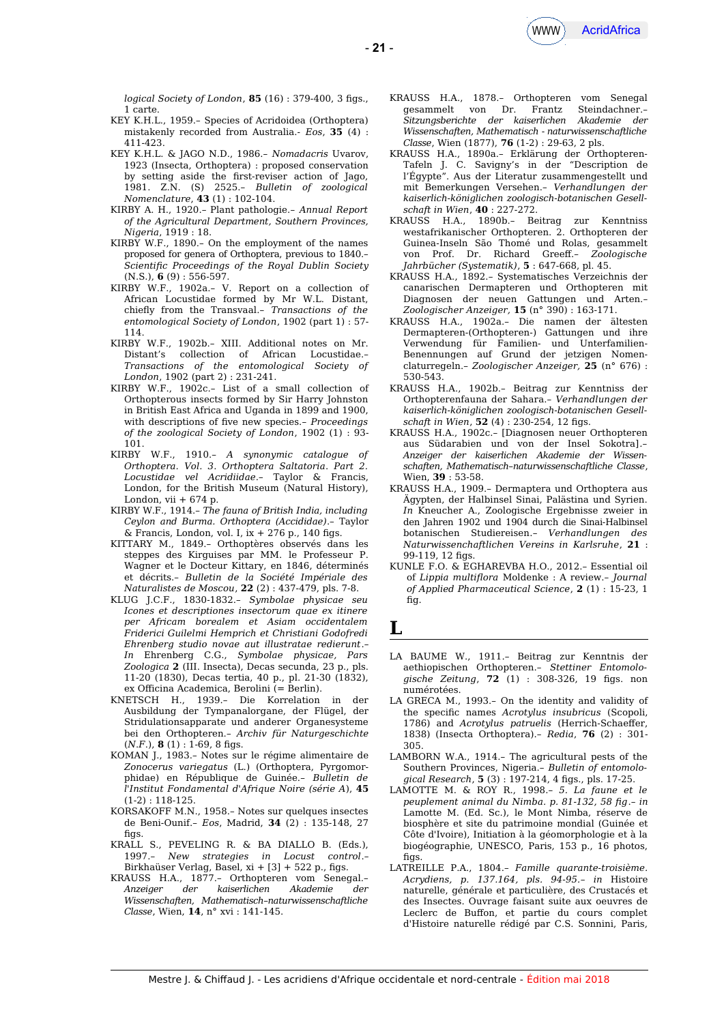

*logical Society of London*, **85** (16) : 379-400, 3 fgs., 1 carte.

- KEY K.H.L., 1959.– Species of Acridoidea (Orthoptera) mistakenly recorded from Australia.- *Eos*, **35** (4) : 411-423.
- KEY K.H.L. & JAGO N.D., 1986.– *Nomadacris* Uvarov, 1923 (Insecta, Orthoptera) : proposed conservation by setting aside the frst-reviser action of Jago, 1981. Z.N. (S) 2525.– *Bulletin of zoological Nomenclature*, **43** (1) : 102-104.
- KIRBY A. H., 1920.– Plant pathologie.– *Annual Report of the Agricultural Department, Southern Provinces, Nigeria*, 1919 : 18.
- KIRBY W.F., 1890.– On the employment of the names proposed for genera of Orthoptera, previous to 1840.– *Scientifc Proceedings of the Royal Dublin Society* (N.S.), **6** (9) : 556-597.
- KIRBY W.F., 1902a.– V. Report on a collection of African Locustidae formed by Mr W.L. Distant, chiefly from the Transvaal.– *Transactions of the entomological Society of London*, 1902 (part 1) : 57- 114.
- KIRBY W.F., 1902b.– XIII. Additional notes on Mr. Distant's collection of African Locustidae.– *Transactions of the entomological Society of London*, 1902 (part 2) : 231-241.
- KIRBY W.F., 1902c.– List of a small collection of Orthopterous insects formed by Sir Harry Johnston in British East Africa and Uganda in 1899 and 1900, with descriptions of fve new species.– *Proceedings of the zoological Society of London*, 1902 (1) : 93- 101.
- KIRBY W.F., 1910.– *A synonymic catalogue of Orthoptera. Vol. 3. Orthoptera Saltatoria*. *Part 2. Locustidae vel Acridiidae*.– Taylor & Francis, London, for the British Museum (Natural History), London, vii  $+674$  p.
- KIRBY W.F., 1914.– *The fauna of British India, including Ceylon and Burma. Orthoptera (Accididae)*.– Taylor  $\&$  Francis, London, vol. L ix  $+276$  p., 140 figs.
- KITTARY M., 1849.– Orthoptères observés dans les steppes des Kirguises par MM. le Professeur P. Wagner et le Docteur Kittary, en 1846, déterminés et décrits.– *Bulletin de la Société Impériale des Naturalistes de Moscou*, **22** (2) : 437-479, pls. 7-8.
- KLUG J.C.F., 1830-1832.– *Symbolae physicae seu Icones et descriptiones insectorum quae ex itinere per Africam borealem et Asiam occidentalem Friderici Guilelmi Hemprich et Christiani Godofredi Ehrenberg studio novae aut illustratae redierunt*.– *In* Ehrenberg C.G., *Symbolae physicae, Pars Zoologica* **2** (III. Insecta), Decas secunda, 23 p., pls. 11-20 (1830), Decas tertia, 40 p., pl. 21-30 (1832), ex Oficina Academica, Berolini (= Berlin).
- KNETSCH H., 1939.– Die Korrelation in der Ausbildung der Tympanalorgane, der Flügel, der Stridulationsapparate und anderer Organesysteme bei den Orthopteren.– *Archiv für Naturgeschichte*  $(N.F.)$ , **8** (1) : 1-69, 8 figs.
- KOMAN J., 1983.– Notes sur le régime alimentaire de *Zonocerus variegatus* (L.) (Orthoptera, Pyrgomorphidae) en République de Guinée.– *Bulletin de l'Institut Fondamental d'Afrique Noire (série A*), **45** (1-2) : 118-125.
- KORSAKOFF M.N., 1958.– Notes sur quelques insectes de Beni-Ounif.– *Eos*, Madrid, **34** (2) : 135-148, 27 figs.
- KRALL S., PEVELING R. & BA DIALLO B. (Eds.), 1997.– *New strategies in Locust control*.– Birkhaüser Verlag, Basel, xi + [3] + 522 p., fgs.
- KRAUSS H.A., 1877.– Orthopteren vom Senegal.– *Anzeiger der kaiserlichen Akademie der Wissenschaften, Mathematisch–naturwissenschaftliche Classe*, Wien, **14**, n° xvi : 141-145.
- KRAUSS H.A., 1878.– Orthopteren vom Senegal gesammelt von Dr. Frantz Steindachner.– *Sitzungsberichte der kaiserlichen Akademie der Wissenschaften, Mathematisch - naturwissenschaftliche Classe*, Wien (1877), **76** (1-2) : 29-63, 2 pls.
- KRAUSS H.A., 1890a.– Erklärung der Orthopteren-Tafeln J. C. Savigny's in der "Description de l'Égypte". Aus der Literatur zusammengestellt und mit Bemerkungen Versehen.– *Verhandlungen der kaiserlich-königlichen zoologisch-botanischen Gesellschaft in Wien*, **40** : 227-272.
- KRAUSS H.A., 1890b.– Beitrag zur Kenntniss westafrikanischer Orthopteren. 2. Orthopteren der Guinea-Inseln São Thomé und Rolas, gesammelt von Prof. Dr. Richard Greef.– *Zoologische Jahrbücher (Systematik)*, **5** : 647-668, pl. 45.
- KRAUSS H.A., 1892.– Systematisches Verzeichnis der canarischen Dermapteren und Orthopteren mit Diagnosen der neuen Gattungen und Arten.– *Zoologischer Anzeiger,* **15** (n° 390) : 163-171.
- KRAUSS H.A., 1902a.– Die namen der ältesten Dermapteren-(Orthopteren-) Gattungen und ihre Verwendung für Familien- und Unterfamilien-Benennungen auf Grund der jetzigen Nomenclaturregeln.– *Zoologischer Anzeiger,* **25** (n° 676) : 530-543.
- KRAUSS H.A., 1902b.– Beitrag zur Kenntniss der Orthopterenfauna der Sahara.– *Verhandlungen der kaiserlich-königlichen zoologisch-botanischen Gesellschaft in Wien*, **52** (4): 230-254, 12 figs.
- KRAUSS H.A., 1902c.– [Diagnosen neuer Orthopteren aus Südarabien und von der Insel Sokotra]*.– Anzeiger der kaiserlichen Akademie der Wissenschaften, Mathematisch–naturwissenschaftliche Classe*, Wien, **39** : 53-58.
- KRAUSS H.A., 1909.– Dermaptera und Orthoptera aus Ägypten, der Halbinsel Sinai, Palästina und Syrien. *In* Kneucher A., Zoologische Ergebnisse zweier in den Jahren 1902 und 1904 durch die Sinai-Halbinsel botanischen Studiereisen.– *Verhandlungen des Naturwissenchaftlichen Vereins in Karlsruhe*, **21** : 99-119, 12 figs.
- KUNLE F.O. & EGHAREVBA H.O., 2012.– Essential oil of *Lippia multifora* Moldenke : A review.– *Journal of Applied Pharmaceutical Science*, **2** (1) : 15-23, 1 fig.

## **L**

- LA BAUME W., 1911.– Beitrag zur Kenntnis der aethiopischen Orthopteren.– *Stettiner Entomologische Zeitung*, **72** (1) : 308-326, 19 fgs. non numérotées.
- LA GRECA M., 1993.– On the identity and validity of the specifc names *Acrotylus insubricus* (Scopoli, 1786) and *Acrotylus patruelis* (Herrich-Schaeffer, 1838) (Insecta Orthoptera).– *Redia*, **76** (2) : 301- 305.
- LAMBORN W.A., 1914.– The agricultural pests of the Southern Provinces, Nigeria.– *Bulletin of entomological Research*, **5** (3) : 197-214, 4 fgs., pls. 17-25.
- LAMOTTE M. & ROY R., 1998*.– 5. La faune et le peuplement animal du Nimba. p. 81-132, 58 fg*.– *in* Lamotte M. (Ed. Sc.), le Mont Nimba, réserve de biosphère et site du patrimoine mondial (Guinée et Côte d'Ivoire), Initiation à la géomorphologie et à la biogéographie, UNESCO, Paris, 153 p., 16 photos, figs
- LATREILLE P.A., 1804.– *Famille quarante-troisième. Acrydiens, p. 137.164, pls. 94-95.*– *in* Histoire naturelle, générale et particulière, des Crustacés et des Insectes. Ouvrage faisant suite aux oeuvres de Leclerc de Bufon, et partie du cours complet d'Histoire naturelle rédigé par C.S. Sonnini, Paris,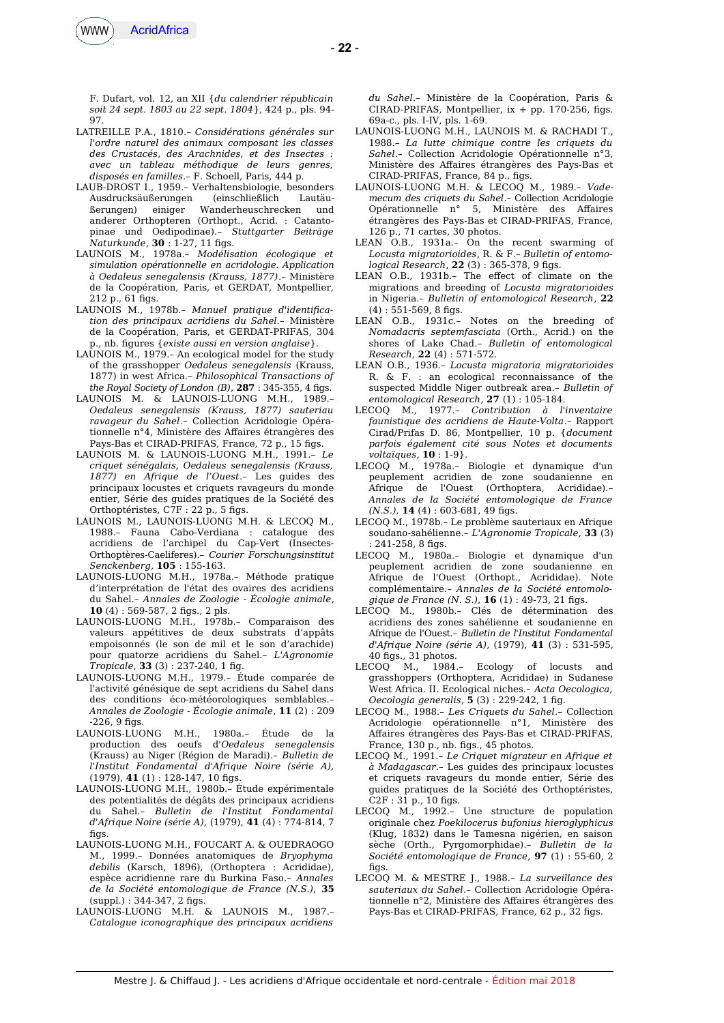

- **22** -

F. Dufart, vol. 12, an XII {*du calendrier républicain soit 24 sept. 1803 au 22 sept. 1804*}, 424 p., pls. 94- 97.

- LATREILLE P.A., 1810.– *Considérations générales sur l'ordre naturel des animaux composant les classes des Crustacés, des Arachnides, et des Insectes : avec un tableau méthodique de leurs genres, disposés en familles*.– F. Schoell, Paris, 444 p.
- LAUB-DROST I., 1959.– Verhaltensbiologie, besonders Ausdrucksäußerungen (einschließlich Lautäußerungen) einiger Wanderheuschrecken und anderer Orthopteren (Orthopt., Acrid. : Catantopinae und Oedipodinae).– *Stuttgarter Beiträge Naturkunde*, **30** : 1-27, 11 fgs.
- LAUNOIS M., 1978a.– *Modélisation écologique et simulation opérationnelle en acridologie. Application à Oedaleus senegalensis (Krauss, 1877)*.– Ministère de la Coopération, Paris, et GERDAT, Montpellier, 212 p., 61 figs.
- LAUNOIS M., 1978b.– *Manuel pratique d'identifcation des principaux acridiens du Sahel.–* Ministère de la Coopération, Paris, et GERDAT-PRIFAS, 304 p., nb. fgures {*existe aussi en version anglaise*}.
- LAUNOIS M., 1979.– An ecological model for the study of the grasshopper *Oedaleus senegalensis* (Krauss, 1877) in west Africa.– *Philosophical Transactions of the Royal Society of London (B)*, **287** : 345-355, 4 fgs.
- LAUNOIS M. & LAUNOIS-LUONG M.H., 1989.– *Oedaleus senegalensis (Krauss, 1877) sauteriau ravageur du Sahel*.– Collection Acridologie Opérationnelle n°4, Ministère des Afaires étrangères des Pays-Bas et CIRAD-PRIFAS, France, 72 p., 15 figs.
- LAUNOIS M. & LAUNOIS-LUONG M.H., 1991.– *Le criquet sénégalais, Oedaleus senegalensis (Krauss, 1877) en Afrique de l'Ouest*.– Les guides des principaux locustes et criquets ravageurs du monde entier, Série des guides pratiques de la Société des Orthoptéristes, C7F : 22 p., 5 figs.
- LAUNOIS M., LAUNOIS-LUONG M.H. & LECOQ M., 1988.– Fauna Cabo-Verdiana : catalogue des acridiens de l'archipel du Cap-Vert (Insectes-Orthoptères-Caeliferes).– *Courier Forschungsinstitut Senckenberg*, **105** : 155-163.
- LAUNOIS-LUONG M.H., 1978a.– Méthode pratique d'interprétation de l'état des ovaires des acridiens du Sahel.– *Annales de Zoologie - Écologie animale*, **10** (4) : 569-587, 2 figs., 2 pls.
- LAUNOIS-LUONG M.H., 1978b.– Comparaison des valeurs appétitives de deux substrats d'appâts empoisonnés (le son de mil et le son d'arachide) pour quatorze acridiens du Sahel.– *L'Agronomie Tropicale*, **33** (3) : 237-240, 1 fg.
- LAUNOIS-LUONG M.H., 1979.– Étude comparée de l'activité génésique de sept acridiens du Sahel dans des conditions éco-météorologiques semblables.– *Annales de Zoologie - Écologie animale*, **11** (2) : 209  $-226, 9$  figs.
- LAUNOIS-LUONG M.H., 1980a.– Étude de la production des oeufs d'*Oedaleus senegalensis* (Krauss) au Niger (Région de Maradi).– *Bulletin de l'Institut Fondamental d'Afrique Noire (série A),* (1979), **41** (1): 128-147, 10 figs.
- LAUNOIS-LUONG M.H., 1980b.– Étude expérimentale des potentialités de dégâts des principaux acridiens du Sahel.– *Bulletin de l'Institut Fondamental d'Afrique Noire (série A),* (1979), **41** (4) : 774-814, 7 figs.
- LAUNOIS-LUONG M.H., FOUCART A. & OUEDRAOGO M., 1999.– Données anatomiques de *Bryophyma debilis* (Karsch, 1896), (Orthoptera : Acrididae), espèce acridienne rare du Burkina Faso.– *Annales de la Société entomologique de France (N.S.),* **35**  $(suppl.) : 344-347, 2 figs.$
- LAUNOIS-LUONG M.H. & LAUNOIS M., 1987.– *Catalogue iconographique des principaux acridiens*

*du Sahel*.– Ministère de la Coopération, Paris & CIRAD-PRIFAS, Montpellier,  $ix + pp$ . 170-256, figs. 69a-c., pls. I-IV, pls. 1-69.

- LAUNOIS-LUONG M.H., LAUNOIS M. & RACHADI T., 1988.– *La lutte chimique contre les criquets du Sahel*.– Collection Acridologie Opérationnelle n°3, Ministère des Afaires étrangères des Pays-Bas et CIRAD-PRIFAS, France, 84 p., fgs.
- LAUNOIS-LUONG M.H. & LECOQ M., 1989.– *Vademecum des criquets du Sahel*.– Collection Acridologie Opérationnelle n° 5, Ministère des Afaires étrangères des Pays-Bas et CIRAD-PRIFAS, France, 126 p., 71 cartes, 30 photos.
- LEAN O.B., 1931a.– On the recent swarming of *Locusta migratorioides*, R. & F*.– Bulletin of entomological Research*, 22 (3): 365-378, 9 figs.
- LEAN O.B., 1931b.– The efect of climate on the migrations and breeding of *Locusta migratorioides* in Nigeria.– *Bulletin of entomological Research*, **22**  $(4): 551-569, 8$  figs.
- LEAN O.B., 1931c.– Notes on the breeding of *Nomadacris septemfasciata* (Orth., Acrid.) on the shores of Lake Chad.– *Bulletin of entomological Research*, **22** (4) : 571-572.
- LEAN O.B., 1936.– *Locusta migratoria migratorioides* R. & F. : an ecological reconnaissance of the suspected Middle Niger outbreak area.– *Bulletin of entomological Research*, **27** (1) : 105-184.
- LECOQ M., 1977.– *Contribution à l'inventaire faunistique des acridiens de Haute-Volta*.– Rapport Cirad/Prifas D. 86, Montpellier, 10 p. {*document parfois également cité sous Notes et documents voltaïques*, **10** : 1-9}.
- LECOQ M., 1978a.– Biologie et dynamique d'un peuplement acridien de zone soudanienne en Afrique de l'Ouest (Orthoptera, Acrididae).– *Annales de la Société entomologique de France (N.S.)*, **14** (4): 603-681, 49 figs.
- LECOQ M., 1978b.– Le problème sauteriaux en Afrique soudano-sahélienne.– *L'Agronomie Tropicale*, **33** (3) 241-258, 8 figs.
- LECOQ M., 1980a.– Biologie et dynamique d'un peuplement acridien de zone soudanienne en Afrique de l'Ouest (Orthopt., Acrididae). Note complémentaire.– *Annales de la Société entomologique de France (N. S.),* **16** (1) : 49-73, 21 figs.
- LECOQ M., 1980b.– Clés de détermination des acridiens des zones sahélienne et soudanienne en Afrique de l'Ouest.– *Bulletin de l'Institut Fondamental d'Afrique Noire (série A)*, (1979), **41** (3) : 531-595, 40 fgs., 31 photos.
- LECOQ M., 1984.– Ecology of locusts and grasshoppers (Orthoptera, Acrididae) in Sudanese West Africa. II. Ecological niches.– *Acta Oecologica, Oecologia generalis*, **5** (3) : 229-242, 1 fg.
- LECOQ M., 1988.– *Les Criquets du Sahel*.– Collection Acridologie opérationnelle n°1, Ministère des Afaires étrangères des Pays-Bas et CIRAD-PRIFAS, France, 130 p., nb. fgs., 45 photos.
- LECOQ M., 1991.– *Le Criquet migrateur en Afrique et à Madagascar*.– Les guides des principaux locustes et criquets ravageurs du monde entier, Série des guides pratiques de la Société des Orthoptéristes,  $C2F : 31 p., 10 figs.$
- LECOQ M., 1992.– Une structure de population originale chez *Poekilocerus bufonius hieroglyphicus* (Klug, 1832) dans le Tamesna nigérien, en saison sèche (Orth., Pyrgomorphidae).– *Bulletin de la Société entomologique de France*, **97** (1) : 55-60, 2 fias
- LECOQ M. & MESTRE J., 1988.– *La surveillance des sauteriaux du Sahel*.– Collection Acridologie Opérationnelle n°2, Ministère des Afaires étrangères des Pays-Bas et CIRAD-PRIFAS, France, 62 p., 32 figs.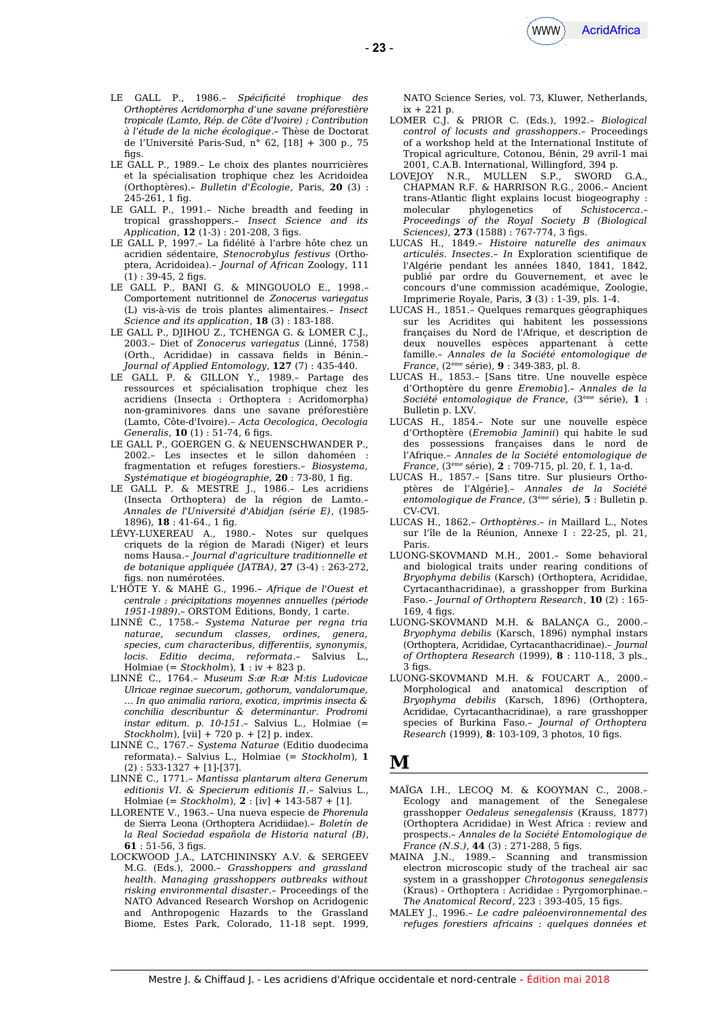

- LE GALL P., 1986.– *Spécifcité trophique des Orthoptères Acridomorpha d'une savane préforestière tropicale (Lamto, Rép. de Côte d'Ivoire) ; Contribution à l'étude de la niche écologique*.– Thèse de Doctorat de l'Université Paris-Sud, n° 62, [18] + 300 p., 75  $fins.$
- LE GALL P., 1989.– Le choix des plantes nourricières et la spécialisation trophique chez les Acridoidea (Orthoptères).– *Bulletin d'Écologie*, Paris, **20** (3) : 245-261, 1 fg.
- LE GALL P., 1991.– Niche breadth and feeding in tropical grasshoppers.– *Insect Science and its Application*, **12** (1-3) : 201-208, 3 fgs.
- LE GALL P, 1997.– La fdélité à l'arbre hôte chez un acridien sédentaire, *Stenocrobylus festivus* (Orthoptera, Acridoidea).– *Journal of African* Zoology, 111  $(1)$ : 39-45, 2 figs.
- LE GALL P., BANI G. & MINGOUOLO E., 1998.– Comportement nutritionnel de *Zonocerus variegatus* (L) vis-à-vis de trois plantes alimentaires.– *Insect Science and its application*, **18** (3) : 183-188.
- LE GALL P., DJIHOU Z., TCHENGA G. & LOMER C.J., 2003.– Diet of *Zonocerus variegatus* (Linné, 1758) (Orth., Acrididae) in cassava felds in Bénin.– *Journal of Applied Entomology*, **127** (7) : 435-440.
- LE GALL P. & GILLON Y., 1989.– Partage des ressources et spécialisation trophique chez les acridiens (Insecta : Orthoptera : Acridomorpha) non-graminivores dans une savane préforestière (Lamto, Côte-d'Ivoire).– *Acta Oecologica*, *Oecologia Generalis*, **10** (1): 51-74, 6 figs.
- LE GALL P., GOERGEN G. & NEUENSCHWANDER P., 2002.– Les insectes et le sillon dahoméen : fragmentation et refuges forestiers.– *Biosystema, Systématique et biogéographie,* **20** : 73-80, 1 fg.
- LE GALL P. & MESTRE J., 1986.- Les acridiens (Insecta Orthoptera) de la région de Lamto.– *Annales de l'Université d'Abidjan (série E)*, (1985- 1896), **18** : 41-64., 1 fg.
- LÉVY-LUXEREAU A., 1980.– Notes sur quelques criquets de la région de Maradi (Niger) et leurs noms Hausa.– *Journal d'agriculture traditionnelle et de botanique appliquée (JATBA)*, **27** (3-4) : 263-272, figs. non numérotées.
- L'HÔTE Y. & MAHÉ G., 1996.– *Afrique de l'Ouest et centrale : précipitations moyennes annuelles (période 1951-1989)*.– ORSTOM Éditions, Bondy, 1 carte.
- LINNÉ C., 1758.– *Systema Naturae per regna tria naturae, secundum classes, ordines, genera, species, cum characteribus, diferentiis, synonymis, locis*. *Editio decima, reformata*.– Salvius L., Holmiae (= *Stockholm*), **1** : iv + 823 p.
- LINNÉ C., 1764.– *Museum S:æ R:æ M:tis Ludovicae Ulricae reginae suecorum, gothorum, vandalorumque, … In quo animalia rariora, exotica, imprimis insecta & conchilia describuntur & determinantur. Prodromi instar editum. p. 10-151*.– Salvius L., Holmiae (= *Stockholm*), [vii] + 720 p. + [2] p. index.
- LINNÉ C., 1767.– *Systema Naturae* (Editio duodecima reformata).– Salvius L., Holmiae (= *Stockholm*), **1** (2) : 533-1327 + [1]-[37].
- LINNÉ C., 1771.– *Mantissa plantarum altera Generum editionis VI. & Specierum editionis II*.– Salvius L., Holmiae (= *Stockholm*), **2** : [iv] **+** 143-587 + [1].
- LLORENTE V., 1963.– Una nueva especie de *Phorenula* de Sierra Leona (Orthoptera Acridiidae).– *Boletín de la Real Sociedad española de Historia natural (B)*, **61** : 51-56, 3 figs.
- LOCKWOOD J.A., LATCHININSKY A.V. & SERGEEV M.G. (Eds.), 2000.– *Grasshoppers and grassland health. Managing grasshoppers outbreaks without risking environmental disaster*.– Proceedings of the NATO Advanced Research Worshop on Acridogenic and Anthropogenic Hazards to the Grassland Biome, Estes Park, Colorado, 11-18 sept. 1999,

NATO Science Series, vol. 73, Kluwer, Netherlands,  $ix + 221 p.$ 

- LOMER C.J. & PRIOR C. (Eds.), 1992.– *Biological control of locusts and grasshoppers*.– Proceedings of a workshop held at the International Institute of Tropical agriculture, Cotonou, Bénin, 29 avril-1 mai 2001, C.A.B. International, Willingford, 394 p.
- LOVEJOY N.R., MULLEN S.P., SWORD G.A., CHAPMAN R.F. & HARRISON R.G., 2006.– Ancient trans-Atlantic flight explains locust biogeography : molecular phylogenetics of *Schistocerca*.– *Proceedings of the Royal Society B (Biological Sciences*), **273** (1588) : 767-774, 3 figs.
- LUCAS H., 1849.– *Histoire naturelle des animaux articulés. Insectes*.– *In* Exploration scientifque de l'Algérie pendant les années 1840, 1841, 1842, publié par ordre du Gouvernement, et avec le concours d'une commission académique, Zoologie, Imprimerie Royale, Paris, **3** (3) : 1-39, pls. 1-4.
- LUCAS H., 1851.– Quelques remarques géographiques sur les Acridites qui habitent les possessions françaises du Nord de l'Afrique, et description de deux nouvelles espèces appartenant à cette famille.– *Annales de la Société entomologique de France*, (2ème série), **9** : 349-383, pl. 8.
- LUCAS H., 1853.– [Sans titre. Une nouvelle espèce d'Orthoptère du genre *Eremobia*].– *Annales de la Société entomologique de France,* (3ème série), **1** : Bulletin p. LXV.
- LUCAS H., 1854.– Note sur une nouvelle espèce d'Orthoptère (*Eremobia Jaminii*) qui habite le sud des possessions françaises dans le nord de l'Afrique.– *Annales de la Société entomologique de France*, (3ème série), **2** : 709-715, pl. 20, f. 1, 1a-d.
- LUCAS H., 1857.– [Sans titre. Sur plusieurs Orthoptères de l'Algérie].– *Annales de la Société entomologique de France*, (3ème série), **5** : Bulletin p. CV-CVI.
- LUCAS H., 1862.– *Orthoptères*.– *in* Maillard L., Notes sur l'île de la Réunion, Annexe I : 22-25, pl. 21, Paris.
- LUONG-SKOVMAND M.H., 2001.– Some behavioral and biological traits under rearing conditions of *Bryophyma debilis* (Karsch) (Orthoptera, Acrididae, Cyrtacanthacridinae), a grasshopper from Burkina Faso.– *Journal of Orthoptera Research*, **10** (2) : 165-  $169.4$  figs.
- LUONG-SKOVMAND M.H. & BALANÇA G., 2000.– *Bryophyma debilis* (Karsch, 1896) nymphal instars (Orthoptera, Acrididae, Cyrtacanthacridinae).– *Journal of Orthoptera Research* (1999), **8** : 110-118, 3 pls., 3 figs.
- LUONG-SKOVMAND M.H. & FOUCART A., 2000.– Morphological and anatomical description of *Bryophyma debilis* (Karsch, 1896) (Orthoptera, Acrididae, Cyrtacanthacridinae), a rare grasshopper species of Burkina Faso.– *Journal of Orthoptera Research* (1999), **8**: 103-109, 3 photos, 10 fgs.

## **M**

- MAÏGA I.H., LECOQ M. & KOOYMAN C., 2008.– Ecology and management of the Senegalese grasshopper *Oedaleus senegalensis* (Krauss, 1877) (Orthoptera Acrididae) in West Africa : review and prospects.– *Annales de la Société Entomologique de France (N.S.)*, **44** (3): 271-288, 5 figs.
- MAINA J.N., 1989.– Scanning and transmission electron microscopic study of the tracheal air sac system in a grasshopper *Chrotogonus senegalensis* (Kraus) - Orthoptera : Acrididae : Pyrgomorphinae.– *The Anatomical Record*, 223 : 393-405, 15 fgs.
- MALEY J., 1996.– *Le cadre paléoenvironnemental des refuges forestiers africains : quelques données et*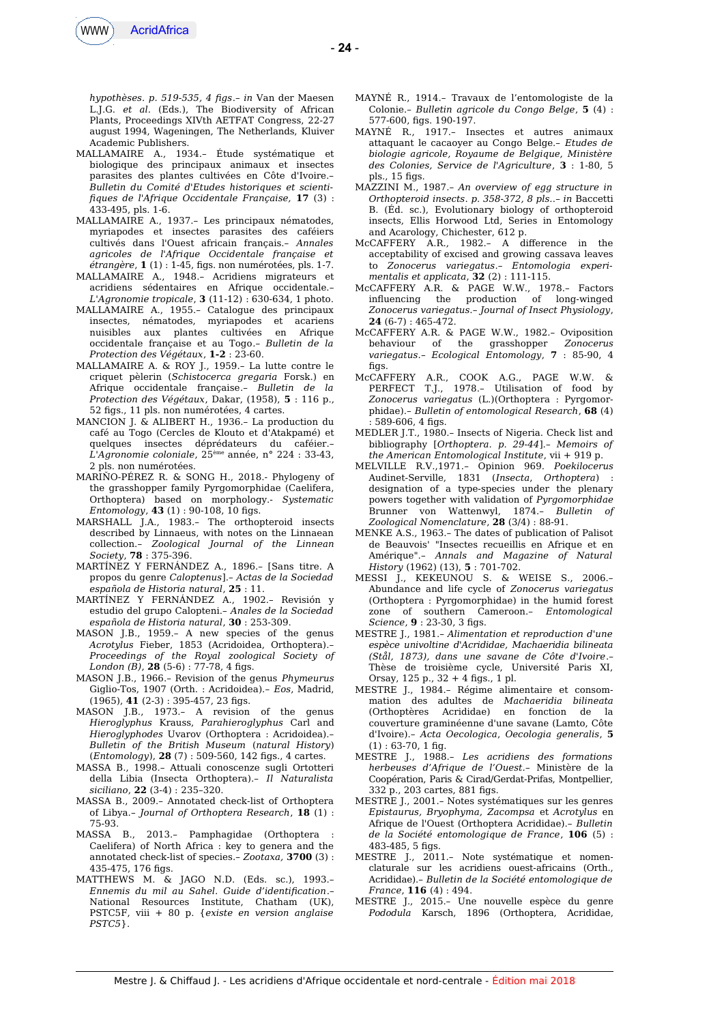

*hypothèses. p. 519-535, 4 fgs*.– *in* Van der Maesen L.J.G. *et al.* (Eds.), The Biodiversity of African Plants, Proceedings XIVth AETFAT Congress, 22-27 august 1994, Wageningen, The Netherlands, Kluiver Academic Publishers.

- MALLAMAIRE A., 1934.– Étude systématique et biologique des principaux animaux et insectes parasites des plantes cultivées en Côte d'Ivoire.– *Bulletin du Comité d'Etudes historiques et scientifques de l'Afrique Occidentale Française,* **17** (3) : 433-495, pls. 1-6.
- MALLAMAIRE A., 1937.– Les principaux nématodes, myriapodes et insectes parasites des caféiers cultivés dans l'Ouest africain français.– *Annales agricoles de l'Afrique Occidentale française et étrangère*, **1** (1) : 1-45, fgs. non numérotées, pls. 1-7.
- MALLAMAIRE A., 1948.– Acridiens migrateurs et acridiens sédentaires en Afrique occidentale.– *L'Agronomie tropicale*, **3** (11-12) : 630-634, 1 photo.
- MALLAMAIRE A., 1955.– Catalogue des principaux insectes, nématodes, myriapodes et acariens nuisibles aux plantes cultivées en Afrique occidentale française et au Togo*.– Bulletin de la Protection des Végétaux*, **1-2** : 23-60.
- MALLAMAIRE A. & ROY J., 1959.– La lutte contre le criquet pèlerin (*Schistocerca gregaria* Forsk.) en Afrique occidentale française.– *Bulletin de la Protection des Végétaux*, Dakar, (1958), **5** : 116 p., 52 fgs., 11 pls. non numérotées, 4 cartes.
- MANCION J. & ALIBERT H., 1936.– La production du café au Togo (Cercles de Klouto et d'Atakpamé) et quelques insectes déprédateurs du caféier.– *L'Agronomie coloniale*, 25ème année, n° 224 : 33-43, 2 pls. non numérotées.
- MARIŇO-PÉREZ R. & SONG H., 2018.- Phylogeny of the grasshopper family Pyrgomorphidae (Caelifera, Orthoptera) based on morphology.- *Systematic Entomology*, **43** (1) : 90-108, 10 fgs.
- MARSHALL J.A., 1983.– The orthopteroid insects described by Linnaeus, with notes on the Linnaean collection.– *Zoological Journal of the Linnean Society*, **78** : 375-396.
- MARTÍNEZ Y FERNÁNDEZ A., 1896.– [Sans titre. A propos du genre *Caloptenus*].– *Actas de la Sociedad española de Historia natural*, **25** : 11.
- MARTÍNEZ Y FERNÁNDEZ A., 1902.– Revisión y estudio del grupo Calopteni.– *Anales de la Sociedad española de Historia natural*, **30** : 253-309.
- MASON J.B., 1959.– A new species of the genus *Acrotylus* Fieber, 1853 (Acridoidea, Orthoptera).– *Proceedings of the Royal zoological Society of London (B)*, **28** (5-6): 77-78, 4 figs.
- MASON J.B., 1966.– Revision of the genus *Phymeurus* Giglio-Tos, 1907 (Orth. : Acridoidea).– *Eos*, Madrid, (1965), **41** (2-3) : 395-457, 23 fgs.
- MASON J.B., 1973.– A revision of the genus *Hieroglyphus* Krauss, *Parahieroglyphus* Carl and *Hieroglyphodes* Uvarov (Orthoptera : Acridoidea).– *Bulletin of the British Museum* (*natural History*) (*Entomology*), **28** (7) : 509-560, 142 fgs., 4 cartes.
- MASSA B., 1998.– Attuali conoscenze sugli Ortotteri della Libia (Insecta Orthoptera).– *Il Naturalista siciliano*, **22** (3-4) : 235–320.
- MASSA B., 2009.– Annotated check-list of Orthoptera of Libya.– *Journal of Orthoptera Research*, **18** (1) : 75-93.
- MASSA B., 2013.– Pamphagidae (Orthoptera : Caelifera) of North Africa : key to genera and the annotated check-list of species.– *Zootaxa,* **3700** (3) : 435-475, 176 fgs.
- MATTHEWS M. & JAGO N.D. (Eds. sc.), 1993.– *Ennemis du mil au Sahel. Guide d'identifcation*.– National Resources Institute, Chatham (UK), PSTC5F, viii + 80 p. {*existe en version anglaise PSTC5*}.
- MAYNÉ R., 1914.– Travaux de l'entomologiste de la Colonie.– *Bulletin agricole du Congo Belge*, **5** (4) : 577-600, fgs. 190-197.
- MAYNÉ R., 1917.– Insectes et autres animaux attaquant le cacaoyer au Congo Belge.– *Etudes de biologie agricole, Royaume de Belgique, Ministère des Colonies, Service de l'Agriculture*, **3** : 1-80, 5 pls., 15 figs.
- MAZZINI M., 1987*.– An overview of egg structure in Orthopteroid insects*. *p. 358-372, 8 pls.*.– *in* Baccetti B. (Éd. sc.), Evolutionary biology of orthopteroid insects, Ellis Horwood Ltd, Series in Entomology and Acarology, Chichester, 612 p.
- McCAFFERY A.R., 1982.– A diference in the acceptability of excised and growing cassava leaves to *Zonocerus variegatus*.– *Entomologia experimentalis et applicata*, **32** (2) : 111-115.
- McCAFFERY A.R. & PAGE W.W., 1978.– Factors influencing the production of long-winged *Zonocerus variegatus.– Journal of Insect Physiology*, **24** (6-7) : 465-472.
- McCAFFERY A.R. & PAGE W.W., 1982.– Oviposition behaviour of the grasshopper *Zonocerus variegatus*.– *Ecological Entomology*, **7** : 85-90, 4 figs
- McCAFFERY A.R., COOK A.G., PAGE W.W. & PERFECT T.J., 1978.– Utilisation of food by *Zonocerus variegatus* (L.)(Orthoptera : Pyrgomorphidae).– *Bulletin of entomological Research*, **68** (4) 589-606, 4 figs.
- MEDLER J.T., 1980.– Insects of Nigeria. Check list and bibliography [*Orthoptera. p. 29-44*].– *Memoirs of the American Entomological Institute*, vii + 919 p.
- MELVILLE R.V.,1971.– Opinion 969. *Poekilocerus* Audinet-Serville, 1831 (*Insecta*, *Orthoptera*) : designation of a type-species under the plenary powers together with validation of *Pyrgomorphidae* Brunner von Wattenwyl, 1874.– *Bulletin of Zoological Nomenclature*, **28** (3/4) : 88-91.
- MENKE A.S., 1963.– The dates of publication of Palisot de Beauvois' "Insectes recueillis en Afrique et en Amérique".– *Annals and Magazine of Natural History* (1962) (13), **5** : 701-702.
- MESSI J., KEKEUNOU S. & WEISE S., 2006.– Abundance and life cycle of *Zonocerus variegatus* (Orthoptera : Pyrgomorphidae) in the humid forest zone of southern Cameroon.– *Entomological Science*, **9** : 23-30, 3 figs.
- MESTRE J., 1981.– *Alimentation et reproduction d'une espèce univoltine d'Acrididae, Machaeridia bilineata (Stål, 1873), dans une savane de Côte d'Ivoire*.– Thèse de troisième cycle, Université Paris XI, Orsay,  $125$  p.,  $32 + 4$  figs., 1 pl.
- MESTRE J., 1984.– Régime alimentaire et consommation des adultes de *Machaeridia bilineata* (Orthoptères Acrididae) en fonction de la couverture graminéenne d'une savane (Lamto, Côte d'Ivoire).– *Acta Oecologica*, *Oecologia generalis*, **5**  $(1): 63-70, 1$  fig.
- MESTRE J., 1988.– *Les acridiens des formations herbeuses d'Afrique de l'Ouest.–* Ministère de la Coopération, Paris & Cirad/Gerdat-Prifas, Montpellier, 332 p., 203 cartes, 881 fgs.
- MESTRE J., 2001.– Notes systématiques sur les genres *Epistaurus, Bryophyma, Zacompsa* et *Acrotylus* en Afrique de l'Ouest (Orthoptera Acrididae).– *Bulletin de la Société entomologique de France*, **106** (5) : 483-485, 5 fgs.
- MESTRE J., 2011.– Note systématique et nomenclaturale sur les acridiens ouest-africains (Orth., Acrididae).– *Bulletin de la Société entomologique de France*, **116** (4) : 494.
- MESTRE J., 2015.– Une nouvelle espèce du genre *Pododula* Karsch, 1896 (Orthoptera, Acrididae,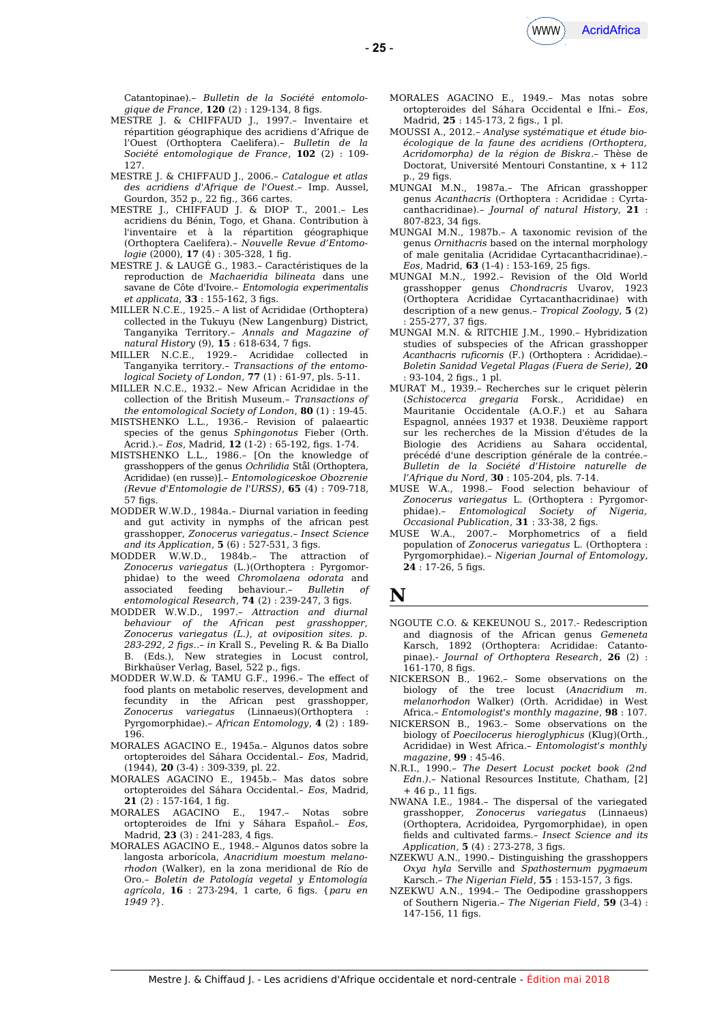

Catantopinae).– *Bulletin de la Société entomologique de France*, **120** (2): 129-134, 8 figs.

- MESTRE J. & CHIFFAUD J., 1997.– Inventaire et répartition géographique des acridiens d'Afrique de l'Ouest (Orthoptera Caelifera).– *Bulletin de la Société entomologique de France*, **102** (2) : 109- 127.
- MESTRE J. & CHIFFAUD J., 2006.– *Catalogue et atlas des acridiens d'Afrique de l'Ouest*.– Imp. Aussel, Gourdon, 352 p., 22 fg., 366 cartes.
- MESTRE J., CHIFFAUD J. & DIOP T., 2001.– Les acridiens du Bénin, Togo, et Ghana. Contribution à l'inventaire et à la répartition géographique (Orthoptera Caelifera).– *Nouvelle Revue d'Entomologie* (2000), **17** (4) : 305-328, 1 fg.
- MESTRE J. & LAUGÉ G., 1983.– Caractéristiques de la reproduction de *Machaeridia bilineata* dans une savane de Côte d'Ivoire.– *Entomologia experimentalis et applicata*, **33** : 155-162, 3 figs.
- MILLER N.C.E., 1925.– A list of Acrididae (Orthoptera) collected in the Tukuyu (New Langenburg) District, Tanganyika Territory.– *Annals and Magazine of natural History* (9), **15** : 618-634, 7 fgs.
- MILLER N.C.E., 1929.– Acrididae collected in Tanganyika territory.– *Transactions of the entomological Society of London*, **77** (1) : 61-97, pls. 5-11.
- MILLER N.C.E., 1932.– New African Acrididae in the collection of the British Museum.– *Transactions of the entomological Society of London*, **80** (1) : 19-45.
- MISTSHENKO L.L., 1936.– Revision of palaeartic species of the genus *Sphingonotus* Fieber (Orth. Acrid.).– *Eos*, Madrid, **12** (1-2) : 65-192, fgs. 1-74.
- MISTSHENKO L.L., 1986.– [On the knowledge of grasshoppers of the genus *Ochrilidia* Stål (Orthoptera, Acrididae) (en russe)].– *Entomologiceskoe Obozrenie (Revue d'Entomologie de l'URSS)*, **65** (4) : 709-718,  $57$  figs.
- MODDER W.W.D., 1984a.– Diurnal variation in feeding and gut activity in nymphs of the african pest grasshopper, *Zonocerus variegatus*.– *Insect Science and its Application*, **5** (6) : 527-531, 3 fgs.
- MODDER W.W.D., 1984b.– The attraction of *Zonocerus variegatus* (L.)(Orthoptera : Pyrgomorphidae) to the weed *Chromolaena odorata* and associated feeding behaviour.– *Bulletin of entomological Research*, **74** (2) : 239-247, 3 fgs.
- MODDER W.W.D., 1997.– *Attraction and diurnal behaviour of the African pest grasshopper, Zonocerus variegatus (L.), at oviposition sites. p. 283-292, 2 fgs.*.– *in* Krall S., Peveling R. & Ba Diallo B. (Eds.), New strategies in Locust control, Birkhaüser Verlag, Basel, 522 p., fgs.
- MODDER W.W.D. & TAMU G.F., 1996.– The efect of food plants on metabolic reserves, development and fecundity in the African pest grasshopper, *Zonocerus variegatus* (Linnaeus)(Orthoptera : Pyrgomorphidae).– *African Entomology*, **4** (2) : 189- 196.
- MORALES AGACINO E., 1945a.– Algunos datos sobre ortopteroides del Sáhara Occidental.– *Eos*, Madrid, (1944), **20** (3-4) : 309-339, pl. 22.
- MORALES AGACINO E., 1945b.– Mas datos sobre ortopteroides del Sáhara Occidental.– *Eos*, Madrid, **21** (2) : 157-164, 1 fg.
- MORALES AGACINO E., 1947.– Notas sobre ortopteroides de Ifni y Sáhara Español.– *Eos,* Madrid, **23** (3): 241-283, 4 figs.
- MORALES AGACINO E., 1948.– Algunos datos sobre la langosta arborícola, *Anacridium moestum melanorhodon* (Walker), en la zona meridional de Río de Oro.– *Boletin de Patología vegetal y Entomología agrícola*, **16** : 273-294, 1 carte, 6 fgs. {*paru en 1949 ?*}.
- MORALES AGACINO E., 1949.– Mas notas sobre ortopteroides del Sáhara Occidental e Ifni.– *Eos*, Madrid, **25** : 145-173, 2 figs., 1 pl.
- MOUSSI A., 2012.– *Analyse systématique et étude bioécologique de la faune des acridiens (Orthoptera, Acridomorpha) de la région de Biskra*.– Thèse de Doctorat, Université Mentouri Constantine, x + 112 p., 29 figs.
- MUNGAI M.N., 1987a.– The African grasshopper genus *Acanthacris* (Orthoptera : Acrididae : Cyrtacanthacridinae).– *Journal of natural History*, **21** : 807-823, 34 figs.
- MUNGAI M.N., 1987b.– A taxonomic revision of the genus *Ornithacris* based on the internal morphology of male genitalia (Acrididae Cyrtacanthacridinae).– *Eos*, Madrid, **63** (1-4) : 153-169, 25 fgs.
- MUNGAI M.N., 1992.– Revision of the Old World grasshopper genus *Chondracris* Uvarov, 1923 (Orthoptera Acrididae Cyrtacanthacridinae) with description of a new genus.– *Tropical Zoology*, **5** (2) : 255-277, 37 figs.
- MUNGAI M.N. & RITCHIE J.M., 1990.– Hybridization studies of subspecies of the African grasshopper *Acanthacris rufcornis* (F.) (Orthoptera : Acrididae).– *Boletin Sanidad Vegetal Plagas (Fuera de Serie),* **20** : 93-104, 2 fgs., 1 pl.
- MURAT M., 1939.– Recherches sur le criquet pèlerin (*Schistocerca gregaria* Forsk., Acrididae) en Mauritanie Occidentale (A.O.F.) et au Sahara Espagnol, années 1937 et 1938. Deuxième rapport sur les recherches de la Mission d'études de la Biologie des Acridiens au Sahara occidental, précédé d'une description générale de la contrée.– *Bulletin de la Société d'Histoire naturelle de l'Afrique du Nord*, **30** : 105-204, pls. 7-14.
- MUSE W.A., 1998.– Food selection behaviour of *Zonocerus variegatus* L. (Orthoptera : Pyrgomorphidae).– *Entomological Society of Nigeria, Occasional Publication*, **31** : 33-38, 2 fgs.
- MUSE W.A., 2007.– Morphometrics of a feld population of *Zonocerus variegatus* L. (Orthoptera : Pyrgomorphidae).– *Nigerian Journal of Entomology*, **24** : 17-26, 5 figs.

## **N**

- NGOUTE C.O. & KEKEUNOU S., 2017.- Redescription and diagnosis of the African genus *Gemeneta* Karsch, 1892 (Orthoptera: Acrididae: Catantopinae).- *Journal of Orthoptera Research*, **26** (2) : 161-170, 8 figs.
- NICKERSON B., 1962.– Some observations on the biology of the tree locust (*Anacridium m. melanorhodon* Walker) (Orth. Acrididae) in West Africa.– *Entomologist's monthly magazine*, **98** : 107.
- NICKERSON B., 1963.– Some observations on the biology of *Poecilocerus hieroglyphicus* (Klug)(Orth., Acrididae) in West Africa.– *Entomologist's monthly magazine*, **99** : 45-46.
- N.R.I., 1990.– *The Desert Locust pocket book (2nd Edn*.*)*.– National Resources Institute, Chatham, [2]  $+46$  p., 11 figs.
- NWANA I.E., 1984.– The dispersal of the variegated grasshopper, *Zonocerus variegatus* (Linnaeus) (Orthoptera, Acridoidea, Pyrgomorphidae), in open felds and cultivated farms.– *Insect Science and its Application*, **5** (4) : 273-278, 3 fgs.
- NZEKWU A.N., 1990.– Distinguishing the grasshoppers *Oxya hyla* Serville and *Spathosternum pygmaeum* Karsch*.– The Nigerian Field*, **55** : 153-157, 3 fgs.
- NZEKWU A.N., 1994.– The Oedipodine grasshoppers of Southern Nigeria.– *The Nigerian Field*, **59** (3-4) : 147-156, 11 figs.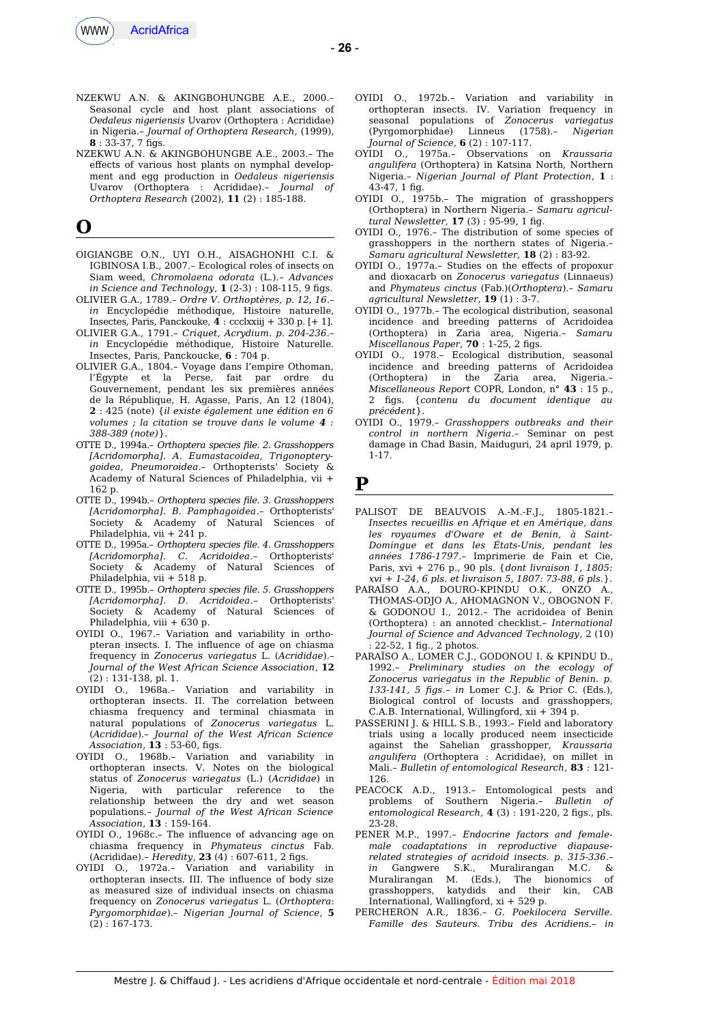

- NZEKWU A.N. & AKINGBOHUNGBE A.E., 2000.– Seasonal cycle and host plant associations of *Oedaleus nigeriensis* Uvarov (Orthoptera : Acrididae) in Nigeria.– *Journal of Orthoptera Research,* (1999),  $8 \cdot 33 - 37$ , 7 figs.
- NZEKWU A.N. & AKINGBOHUNGBE A.E., 2003.– The efects of various host plants on nymphal development and egg production in *Oedaleus nigeriensis* Uvarov (Orthoptera : Acrididae).– *Journal of Orthoptera Research* (2002), **11** (2) : 185-188.

## **O**

- OIGIANGBE O.N., UYI O.H., AISAGHONHI C.I. & IGBINOSA I.B., 2007.– Ecological roles of insects on Siam weed, *Chromolaena odorata* (L.).– *Advances in Science and Technology*, **1** (2-3) : 108-115, 9 fgs.
- OLIVIER G.A., 1789.– *Ordre V. Orthoptères, p. 12, 16*.– *in* Encyclopédie méthodique, Histoire naturelle, Insectes, Paris, Panckouke, **4** : ccclxxiij + 330 p. [+ 1].
- OLIVIER G.A., 1791.– *Criquet, Acrydium. p. 204-236*.– *in* Encyclopédie méthodique, Histoire Naturelle. Insectes, Paris, Panckoucke, **6** : 704 p.
- OLIVIER G.A., 1804.– Voyage dans l'empire Othoman, l'Égypte et la Perse, fait par ordre du Gouvernement, pendant les six premières années de la République, H. Agasse, Paris, An 12 (1804), **2** : 425 (note) {*il existe également une édition en 6 volumes ; la citation se trouve dans le volume 4 : 388-389 (note)*}.
- OTTE D., 1994a.– *Orthoptera species fle. 2. Grasshoppers [Acridomorpha]. A. Eumastacoidea, Trigonopterygoidea, Pneumoroidea*.– Orthopterists' Society & Academy of Natural Sciences of Philadelphia, vii + 162 p.
- OTTE D., 1994b.– *Orthoptera species fle. 3. Grasshoppers [Acridomorpha]. B. Pamphagoidea*.– Orthopterists' Society & Academy of Natural Sciences of Philadelphia, vii + 241 p.
- OTTE D., 1995a.– *Orthoptera species fle. 4. Grasshoppers [Acridomorpha]. C. Acridoidea*.– Orthopterists' Society & Academy of Natural Sciences of Philadelphia, vii + 518 p.
- OTTE D., 1995b.– *Orthoptera species fle. 5. Grasshoppers [Acridomorpha]. D. Acridoidea*.– Orthopterists' Society & Academy of Natural Sciences of Philadelphia, viii + 630 p.
- OYIDI O., 1967.– Variation and variability in orthopteran insects. I. The influence of age on chiasma frequency in *Zonocerus variegatus* L. (*Acrididae*).– *Journal of the West African Science Association*, **12** (2) : 131-138, pl. 1.
- OYIDI O., 1968a.– Variation and variability in orthopteran insects. II. The correlation between chiasma frequency and terminal chiasmata in natural populations of *Zonocerus variegatus* L. (*Acrididae*).– *Journal of the West African Science Association*, **13** : 53-60, fgs.
- OYIDI O., 1968b.– Variation and variability in orthopteran insects. V. Notes on the biological status of *Zonocerus variegatus* (L.) (*Acrididae*) in Nigeria, with particular reference to the relationship between the dry and wet season populations.– *Journal of the West African Science Association*, **13** : 159-164.
- OYIDI O., 1968c.– The influence of advancing age on chiasma frequency in *Phymateus cinctus* Fab. (Acrididae).– *Heredity*, **23** (4) : 607-611, 2 fgs.
- OYIDI O., 1972a.– Variation and variability in orthopteran insects. III. The influence of body size as measured size of individual insects on chiasma frequency on *Zonocerus variegatus* L. (*Orthoptera*: *Pyrgomorphidae*).– *Nigerian Journal of Science*, **5** (2) : 167-173.
- OYIDI O., 1972b.– Variation and variability in orthopteran insects. IV. Variation frequency in seasonal populations of *Zonocerus variegatus* (Pyrgomorphidae) Linneus (1758).– *Nigerian Journal of Science*, **6** (2) : 107-117.
- OYIDI O., 1975a.– Observations on *Kraussaria angulifera* (Orthoptera) in Katsina North, Northern Nigeria.– *Nigerian Journal of Plant Protection*, **1** :  $43-47.1$  fig.
- OYIDI O., 1975b.- The migration of grasshoppers (Orthoptera) in Northern Nigeria.– *Samaru agricultural Newsletter,* **17** (3) : 95-99, 1 fg.
- OYIDI O., 1976.– The distribution of some species of grasshoppers in the northern states of Nigeria.– *Samaru agricultural Newsletter,* **18** (2) : 83-92.
- OYIDI O., 1977a.– Studies on the efects of propoxur and dioxacarb on *Zonocerus variegatus* (Linnaeus) and *Phymateus cinctus* (Fab.)(*Orthoptera*).– *Samaru agricultural Newsletter,* **19** (1) : 3-7.
- OYIDI O., 1977b.– The ecological distribution, seasonal incidence and breeding patterns of Acridoidea (Orthoptera) in Zaria area, Nigeria.– *Samaru Miscellanous Paper,* **70** : 1-25, 2 fgs.
- OYIDI O., 1978.– Ecological distribution, seasonal incidence and breeding patterns of Acridoidea (Orthoptera) in the Zaria area, Nigeria.– *Miscellaneous Report* COPR, London, n° **43** : 15 p., 2 fgs. {*contenu du document identique au précédent*}.
- OYIDI O., 1979.– *Grasshoppers outbreaks and their control in northern Nigeria*.– Seminar on pest damage in Chad Basin, Maiduguri, 24 april 1979, p. 1-17.

#### **P**

- PALISOT DE BEAUVOIS A.-M.-F.J., 1805-1821.– *Insectes recueillis en Afrique et en Amérique, dans les royaumes d'Oware et de Benin, à Saint-Domingue et dans les États-Unis, pendant les années 1786-1797*.– Imprimerie de Fain et Cie, Paris, xvi + 276 p., 90 pls. {*dont livraison 1, 1805: xvi + 1-24, 6 pls. et livraison 5, 1807: 73-88, 6 pls.*}.
- PARAÏSO A.A., DOURO-KPINDU O.K., ONZO A., THOMAS-ODJO A., AHOMAGNON V., OBOGNON F. & GODONOU I., 2012.– The acridoidea of Benin (Orthoptera) : an annoted checklist.– *International Journal of Science and Advanced Technology*, 2 (10) : 22-52, 1 fg., 2 photos.
- PARAÏSO A., LOMER C.J., GODONOU I. & KPINDU D., 1992.– *Preliminary studies on the ecology of Zonocerus variegatus in the Republic of Benin. p. 133-141, 5 fgs*.– *in* Lomer C.J. & Prior C. (Eds.), Biological control of locusts and grasshoppers, C.A.B. International, Willingford, xii + 394 p.
- PASSERINI J. & HILL S.B., 1993.– Field and laboratory trials using a locally produced neem insecticide against the Sahelian grasshopper, *Kraussaria angulifera* (Orthoptera : Acrididae), on millet in Mali.– *Bulletin of entomological Research*, **83** : 121- 126.
- PEACOCK A.D., 1913.– Entomological pests and problems of Southern Nigeria.– *Bulletin of entomological Research,* **4** (3) : 191-220, 2 fgs., pls. 23-28.
- PENER M.P., 1997.– *Endocrine factors and femalemale coadaptations in reproductive diapauserelated strategies of acridoid insects. p. 315-336*.– *in* Gangwere S.K., Muralirangan M.C. & Muralirangan M. (Eds.), The bionomics of grasshoppers, katydids and their kin, CAB International, Wallingford, xi + 529 p.
- PERCHERON A.R., 1836.– *G. Poekilocera Serville. Famille des Sauteurs. Tribu des Acridiens.– in*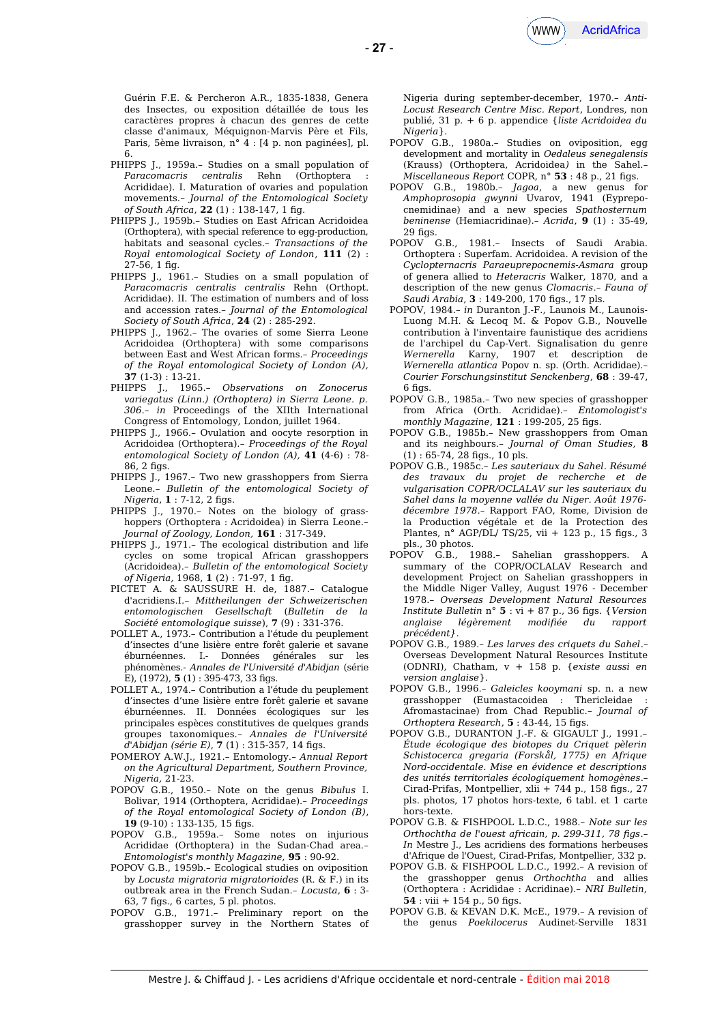Guérin F.E. & Percheron A.R., 1835-1838, Genera des Insectes, ou exposition détaillée de tous les caractères propres à chacun des genres de cette classe d'animaux, Méquignon-Marvis Père et Fils, Paris, 5ème livraison, n° 4 : [4 p. non paginées], pl. 6.

- PHIPPS J., 1959a.– Studies on a small population of *Paracomacris centralis* Rehn (Orthoptera : Acrididae). I. Maturation of ovaries and population movements.– *Journal of the Entomological Society of South Africa*, **22** (1) : 138-147, 1 fg.
- PHIPPS J., 1959b.– Studies on East African Acridoidea (Orthoptera), with special reference to egg-production, habitats and seasonal cycles.– *Transactions of the Royal entomological Society of London*, **111** (2) :  $27-56.1$  fig.
- PHIPPS I., 1961.- Studies on a small population of *Paracomacris centralis centralis* Rehn (Orthopt. Acrididae). II. The estimation of numbers and of loss and accession rates.– *Journal of the Entomological Society of South Africa*, **24** (2) : 285-292.
- PHIPPS J., 1962.- The ovaries of some Sierra Leone Acridoidea (Orthoptera) with some comparisons between East and West African forms.– *Proceedings of the Royal entomological Society of London (A),* **37** (1-3) : 13-21.
- PHIPPS J., 1965.– *Observations on Zonocerus variegatus (Linn.) (Orthoptera) in Sierra Leone. p. 306.– in* Proceedings of the XIIth International Congress of Entomology, London, juillet 1964.
- PHIPPS J., 1966.– Ovulation and oocyte resorption in Acridoidea (Orthoptera).– *Proceedings of the Royal entomological Society of London (A),* **41** (4-6) : 78- 86, 2 figs.
- PHIPPS J., 1967.– Two new grasshoppers from Sierra Leone.– *Bulletin of the entomological Society of Nigeria*, **1** : 7-12, 2 figs.
- PHIPPS J., 1970.– Notes on the biology of grasshoppers (Orthoptera : Acridoidea) in Sierra Leone.– *Journal of Zoology, London,* **161** : 317-349.
- PHIPPS J., 1971.– The ecological distribution and life cycles on some tropical African grasshoppers (Acridoidea).– *Bulletin of the entomological Society of Nigeria,* 1968, **1** (2) : 71-97, 1 fg.
- PICTET A. & SAUSSURE H. de, 1887.– Catalogue d'acridiens.I.– *Mittheilungen der Schweizerischen entomologischen Gesellschaft* (*Bulletin de la Société entomologique suisse*), **7** (9) : 331-376.
- POLLET A., 1973.– Contribution a l'étude du peuplement d'insectes d'une lisière entre forêt galerie et savane éburnéennes. I.- Données générales sur les phénomènes.- *Annales de l'Université d'Abidjan* (série E), (1972), **5** (1) : 395-473, 33 fgs.
- POLLET A., 1974.– Contribution a l'étude du peuplement d'insectes d'une lisière entre forêt galerie et savane éburnéennes. II. Données écologiques sur les principales espèces constitutives de quelques grands groupes taxonomiques.– *Annales de l'Université d'Abidjan (série E)*, **7** (1) : 315-357, 14 fgs.
- POMEROY A.W.J., 1921.– Entomology.– *Annual Report on the Agricultural Department, Southern Province, Nigeria,* 21-23.
- POPOV G.B., 1950.– Note on the genus *Bibulus* I. Bolivar, 1914 (Orthoptera, Acrididae).– *Proceedings of the Royal entomological Society of London (B)*, **19** (9-10) : 133-135, 15 fgs.
- POPOV G.B., 1959a.– Some notes on injurious Acrididae (Orthoptera) in the Sudan-Chad area.– *Entomologist's monthly Magazine,* **95** : 90-92.
- POPOV G.B., 1959b.– Ecological studies on oviposition by *Locusta migratoria migratorioides* (R. & F.) in its outbreak area in the French Sudan.– *Locusta*, **6** : 3- 63, 7 fgs., 6 cartes, 5 pl. photos.
- POPOV G.B., 1971.– Preliminary report on the grasshopper survey in the Northern States of

Nigeria during september-december, 1970.– *Anti-Locust Research Centre Misc. Report*, Londres, non publié, 31 p. + 6 p. appendice {*liste Acridoidea du Nigeria*}.

- POPOV G.B., 1980a.– Studies on oviposition, egg development and mortality in *Oedaleus senegalensis* (Krauss) (Orthoptera, Acridoidea*)* in the Sahel.– *Miscellaneous Report* COPR, n° **53** : 48 p., 21 fgs.
- POPOV G.B., 1980b.– *Jagoa*, a new genus for *Amphoprosopia gwynni* Uvarov, 1941 (Eyprepocnemidinae) and a new species *Spathosternum beninense* (Hemiacridinae).– *Acrida*, **9** (1) : 35-49, 29 figs.
- POPOV G.B., 1981.– Insects of Saudi Arabia. Orthoptera : Superfam. Acridoidea. A revision of the *Cyclopternacris Paraeuprepocnemis-Asmara* group of genera allied to *Heteracris* Walker, 1870, and a description of the new genus *Clomacris*.– *Fauna of Saudi Arabia*, **3** : 149-200, 170 fgs., 17 pls.
- POPOV, 1984.– *in* Duranton J.-F., Launois M., Launois-Luong M.H. & Lecoq M. & Popov G.B., Nouvelle contribution à l'inventaire faunistique des acridiens de l'archipel du Cap-Vert. Signalisation du genre *Wernerella* Karny, 1907 et description de *Wernerella atlantica* Popov n. sp. (Orth. Acrididae).– *Courier Forschungsinstitut Senckenberg*, **68** : 39-47,  $6$  figs.
- POPOV G.B., 1985a.– Two new species of grasshopper from Africa (Orth. Acrididae).– *Entomologist's monthly Magazine*, **121** : 199-205, 25 fgs.
- POPOV G.B., 1985b.– New grasshoppers from Oman and its neighbours.– *Journal of Oman Studies*, **8** (1) : 65-74, 28 fgs., 10 pls.
- POPOV G.B., 1985c.– *Les sauteriaux du Sahel. Résumé des travaux du projet de recherche et de vulgarisation COPR/OCLALAV sur les sauteriaux du Sahel dans la moyenne vallée du Niger. Août 1976 décembre 1978.–* Rapport FAO, Rome, Division de la Production végétale et de la Protection des Plantes, n° AGP/DL/ TS/25, vii + 123 p., 15 figs., 3 pls., 30 photos.
- POPOV G.B., 1988.– Sahelian grasshoppers. A summary of the COPR/OCLALAV Research and development Project on Sahelian grasshoppers in the Middle Niger Valley, August 1976 - December 1978.– *Overseas Development Natural Resources Institute Bulletin* n° **5** : vi + 87 p., 36 fgs. {*Version anglaise légèrement modifée du rapport précédent}*.
- POPOV G.B., 1989.– *Les larves des criquets du Sahel*.– Overseas Development Natural Resources Institute (ODNRI), Chatham, v + 158 p. {*existe aussi en version anglaise*}.
- POPOV G.B., 1996.– *Galeicles kooymani* sp. n. a new grasshopper (Eumastacoidea : Thericleidae : Afromastacinae) from Chad Republic.– *Journal of Orthoptera Research*, **5** : 43-44, 15 fgs.
- POPOV G.B., DURANTON J.-F. & GIGAULT J., 1991*.– Étude écologique des biotopes du Criquet pèlerin Schistocerca gregaria (Forskål, 1775) en Afrique Nord-occidentale. Mise en évidence et descriptions des unités territoriales écologiquement homogènes*.– Cirad-Prifas, Montpellier, xlii + 744 p., 158 fgs., 27 pls. photos, 17 photos hors-texte, 6 tabl. et 1 carte hors-texte.
- POPOV G.B. & FISHPOOL L.D.C., 1988.– *Note sur les Orthochtha de l'ouest africain, p. 299-311, 78 fgs*.– *In* Mestre J., Les acridiens des formations herbeuses d'Afrique de l'Ouest, Cirad-Prifas, Montpellier, 332 p.
- POPOV G.B. & FISHPOOL L.D.C., 1992.– A revision of the grasshopper genus *Orthochtha* and allies (Orthoptera : Acrididae : Acridinae).– *NRI Bulletin,*  $54$  : viii + 154 p., 50 figs.
- POPOV G.B. & KEVAN D.K. McE., 1979.- A revision of the genus *Poekilocerus* Audinet-Serville 1831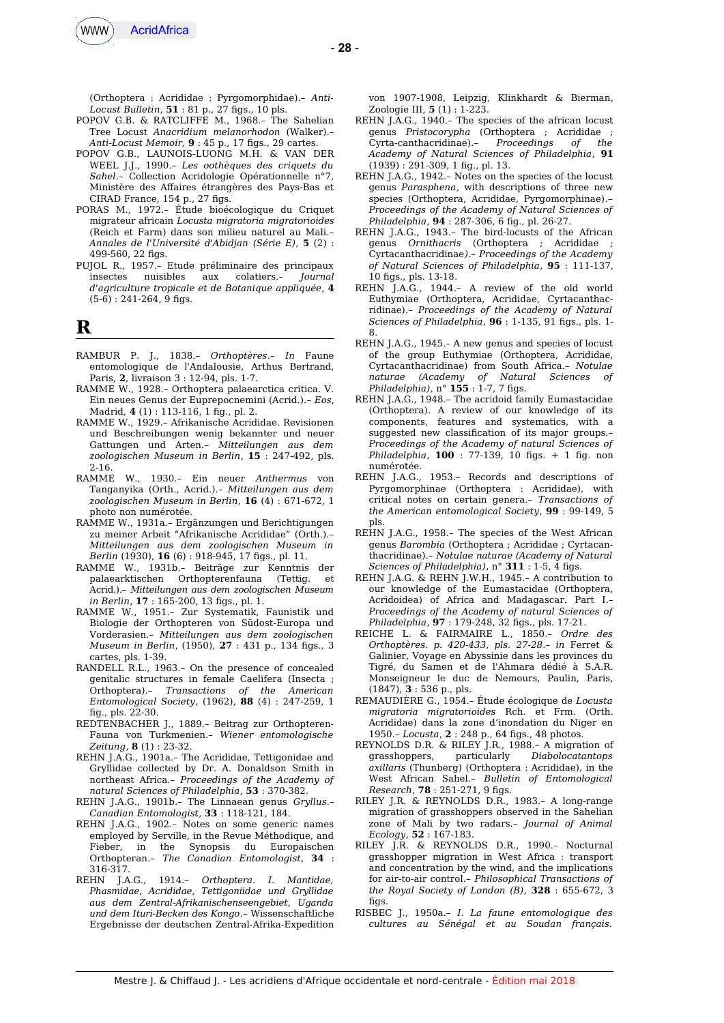

(Orthoptera : Acrididae : Pyrgomorphidae).– *Anti-Locust Bulletin*, **51** : 81 p., 27 figs., 10 pls.

- POPOV G.B. & RATCLIFFE M., 1968.– The Sahelian Tree Locust *Anacridium melanorhodon* (Walker).– *Anti-Locust Memoir,* **9** : 45 p., 17 fgs., 29 cartes.
- POPOV G.B., LAUNOIS-LUONG M.H. & VAN DER WEEL J.J., 1990.– *Les oothèques des criquets du Sahel*.– Collection Acridologie Opérationnelle n°7, Ministère des Afaires étrangères des Pays-Bas et CIRAD France, 154 p., 27 figs.
- PORAS M., 1972.– Étude bioécologique du Criquet migrateur africain *Locusta migratoria migratorioides* (Reich et Farm) dans son milieu naturel au Mali.– *Annales de l'Université d'Abidjan (Série E)*, **5** (2) : 499-560, 22 figs.
- PUJOL R., 1957.– Etude préliminaire des principaux insectes nuisibles aux colatiers.– *Journal d'agriculture tropicale et de Botanique appliquée*, **4**  $(5-6)$ : 241-264, 9 figs.

## **R**

- RAMBUR P. J., 1838.– *Orthoptères*.– *In* Faune entomologique de l'Andalousie, Arthus Bertrand, Paris, **2**, livraison 3 : 12-94, pls. 1-7.
- RAMME W., 1928.– Orthoptera palaearctica critica. V. Ein neues Genus der Euprepocnemini (Acrid.).– *Eos*, Madrid, **4** (1) : 113-116, 1 fg., pl. 2.
- RAMME W., 1929.– Afrikanische Acrididae. Revisionen und Beschreibungen wenig bekannter und neuer Gattungen und Arten.– *Mitteilungen aus dem zoologischen Museum in Berlin*, **15** : 247-492, pls. 2-16.
- RAMME W., 1930.– Ein neuer *Anthermus* von Tanganyika (Orth., Acrid.).– *Mitteilungen aus dem zoologischen Museum in Berlin*, **16** (4) : 671-672, 1 photo non numérotée.
- RAMME W., 1931a.– Ergänzungen und Berichtigungen zu meiner Arbeit "Afrikanische Acrididae" (Orth.).– *Mitteilungen aus dem zoologischen Museum in Berlin* (1930), **16** (6) : 918-945, 17 fgs., pl. 11.
- RAMME W., 1931b.– Beiträge zur Kenntnis der palaearktischen Orthopterenfauna (Tettig. et Acrid.).– *Mitteilungen aus dem zoologischen Museum in Berlin*, **17** : 165-200, 13 fgs., pl. 1.
- RAMME W., 1951.– Zur Systematik, Faunistik und Biologie der Orthopteren von Südost-Europa und Vorderasien.– *Mitteilungen aus dem zoologischen Museum in Berlin*, (1950), **27** : 431 p., 134 fgs., 3 cartes, pls. 1-39.
- RANDELL R.L., 1963.– On the presence of concealed genitalic structures in female Caelifera (Insecta ; Orthoptera).– *Transactions of the American Entomological Society*, (1962), **88** (4) : 247-259, 1 fg., pls. 22-30.
- REDTENBACHER J., 1889.– Beitrag zur Orthopteren-Fauna von Turkmenien.– *Wiener entomologische Zeitung*, **8** (1) : 23-32.
- REHN J.A.G., 1901a.– The Acrididae, Tettigonidae and Gryllidae collected by Dr. A. Donaldson Smith in northeast Africa.– *Proceedings of the Academy of natural Sciences of Philadelphia*, **53** : 370-382.
- REHN J.A.G., 1901b.– The Linnaean genus *Gryllus*.– *Canadian Entomologist*, **33** : 118-121, 184.
- REHN J.A.G., 1902.– Notes on some generic names employed by Serville, in the Revue Méthodique, and Fieber, in the Synopsis du Europaischen Orthopteran.– *The Canadian Entomologist*, **34** : 316-317.<br>REHN J.A.G.,
- REHN J.A.G., 1914.– *Orthoptera. I. Mantidae, Phasmidae, Acrididae, Tettigoniidae und Gryllidae aus dem Zentral-Afrikanischenseengebiet, Uganda und dem Ituri-Becken des Kongo*.– Wissenschaftliche Ergebnisse der deutschen Zentral-Afrika-Expedition

von 1907-1908, Leipzig, Klinkhardt & Bierman, Zoologie III, **5** (1) : 1-223.

- REHN J.A.G., 1940.– The species of the african locust genus *Pristocorypha* (Orthoptera ; Acrididae ; Cyrta-canthacridinae).– *Proceedings of the Academy of Natural Sciences of Philadelphia*, **91** (1939) : 291-309, 1 fg., pl. 13.
- REHN J.A.G., 1942.– Notes on the species of the locust genus *Parasphena*, with descriptions of three new species (Orthoptera, Acrididae, Pyrgomorphinae)*.– Proceedings of the Academy of Natural Sciences of Philadelphia*, **94** : 287-306, 6 fg., pl. 26-27.
- REHN J.A.G., 1943.– The bird-locusts of the African genus *Ornithacris* (Orthoptera ; Acrididae ; Cyrtacanthacridinae*).– Proceedings of the Academy of Natural Sciences of Philadelphia*, **95** : 111-137, 10 fgs., pls. 13-18.
- REHN J.A.G., 1944.– A review of the old world Euthymiae (Orthoptera, Acrididae, Cyrtacanthacridinae)*.– Proceedings of the Academy of Natural Sciences of Philadelphia*, **96** : 1-135, 91 fgs., pls. 1- 8.
- REHN J.A.G., 1945.– A new genus and species of locust of the group Euthymiae (Orthoptera, Acrididae, Cyrtacanthacridinae) from South Africa.– *Notulae naturae* (Academy of Natural Sciences *Philadelphia*), n° 155 : 1-7, 7 figs.
- REHN J.A.G., 1948.– The acridoid family Eumastacidae (Orthoptera). A review of our knowledge of its components, features and systematics, with a suggested new classifcation of its major groups.– *Proceedings of the Academy of natural Sciences of Philadelphia*, **100** : 77-139, 10 fgs. + 1 fg. non numérotée.
- REHN J.A.G., 1953.– Records and descriptions of Pyrgomorphinae (Orthoptera : Acrididae), with critical notes on certain genera.– *Transactions of the American entomological Society*, **99** : 99-149, 5 pls.
- REHN J.A.G., 1958.– The species of the West African genus *Barombia* (Orthoptera ; Acrididae ; Cyrtacanthacridinae).– *Notulae naturae (Academy of Natural Sciences of Philadelphia*), n° 311 : 1-5, 4 figs.
- REHN J.A.G. & REHN J.W.H., 1945.– A contribution to our knowledge of the Eumastacidae (Orthoptera, Acridoidea) of Africa and Madagascar. Part I.– *Proceedings of the Academy of natural Sciences of Philadelphia*, **97** : 179-248, 32 fgs., pls. 17-21.
- REICHE L. & FAIRMAIRE L., 1850.– *Ordre des Orthoptères. p. 420-433, pls. 27-28*.– *in* Ferret & Galinier, Voyage en Abyssinie dans les provinces du Tigré, du Samen et de l'Ahmara dédié à S.A.R. Monseigneur le duc de Nemours, Paulin, Paris, (1847), **3** : 536 p., pls.
- REMAUDIÈRE G., 1954.– Étude écologique de *Locusta migratoria migratorioides* Rch. et Frm. (Orth. Acrididae) dans la zone d'inondation du Niger en 1950.– *Locusta*, **2** : 248 p., 64 fgs., 48 photos.
- REYNOLDS D.R. & RILEY J.R., 1988.– A migration of grasshoppers, particularly *Diabolocatantops axillaris* (Thunberg) (Orthoptera : Acrididae), in the West African Sahel.– *Bulletin of Entomological Research*, **78** : 251-271, 9 fgs.
- RILEY J.R. & REYNOLDS D.R., 1983.– A long-range migration of grasshoppers observed in the Sahelian zone of Mali by two radars.– *Journal of Animal Ecology*, **52** : 167-183.
- RILEY J.R. & REYNOLDS D.R., 1990.– Nocturnal grasshopper migration in West Africa : transport and concentration by the wind, and the implications for air-to-air control.– *Philosophical Transactions of the Royal Society of London (B)*, **328** : 655-672, 3  $fias$
- RISBEC J., 1950a.– *I. La faune entomologique des cultures au Sénégal et au Soudan français.*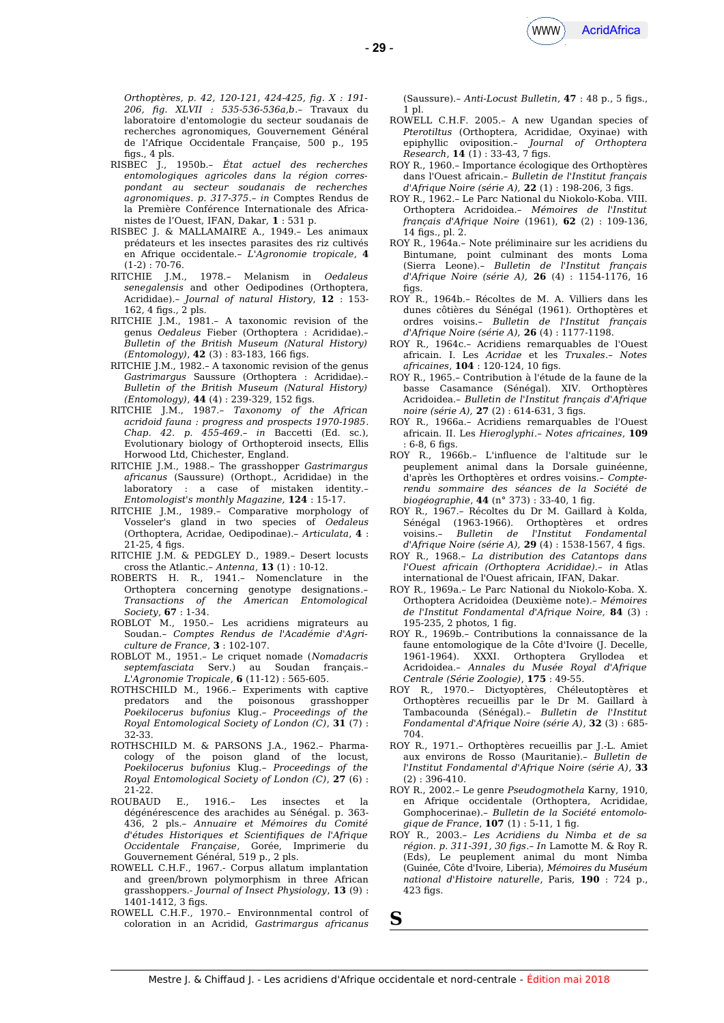*Orthoptères, p. 42, 120-121, 424-425, fg. X : 191- 206, fg. XLVII : 535-536-536a,b*.– Travaux du laboratoire d'entomologie du secteur soudanais de recherches agronomiques, Gouvernement Général de l'Afrique Occidentale Française, 500 p., 195 figs.,  $4$  pls.

- RISBEC J., 1950b.– *État actuel des recherches entomologiques agricoles dans la région correspondant au secteur soudanais de recherches agronomiques*. *p. 317-375*.– *in* Comptes Rendus de la Première Conférence Internationale des Africanistes de l'Ouest, IFAN, Dakar, **1** : 531 p.
- RISBEC J. & MALLAMAIRE A., 1949.– Les animaux prédateurs et les insectes parasites des riz cultivés en Afrique occidentale.– *L'Agronomie tropicale*, **4**
- $(1-2) : 70-76.$ <br>RITCHIE J.M., 1978.- Melanism in Oedaleus *senegalensis* and other Oedipodines (Orthoptera, Acrididae).– *Journal of natural History*, **12** : 153- 162, 4 fgs., 2 pls.
- RITCHIE J.M., 1981.– A taxonomic revision of the genus *Oedaleus* Fieber (Orthoptera : Acrididae).– *Bulletin of the British Museum (Natural History) (Entomology)*, **42** (3): 83-183, 166 figs.
- RITCHIE J.M., 1982.– A taxonomic revision of the genus *Gastrimargus* Saussure (Orthoptera : Acrididae).– *Bulletin of the British Museum (Natural History) (Entomology)*, **44** (4): 239-329, 152 figs.
- RITCHIE J.M., 1987.– *Taxonomy of the African acridoid fauna : progress and prospects 1970-1985*. *Chap. 42. p. 455-469*.– *in* Baccetti (Ed. sc.), Evolutionary biology of Orthopteroid insects, Ellis Horwood Ltd, Chichester, England.
- RITCHIE J.M., 1988.– The grasshopper *Gastrimargus africanus* (Saussure) (Orthopt., Acrididae) in the laboratory : a case of mistaken identity.– *Entomologist's monthly Magazine,* **124** : 15-17.
- RITCHIE J.M., 1989.– Comparative morphology of Vosseler's gland in two species of *Oedaleus* (Orthoptera, Acridae, Oedipodinae).– *Articulata*, **4** : 21-25, 4 figs.
- RITCHIE J.M. & PEDGLEY D., 1989.– Desert locusts cross the Atlantic.– *Antenna*, **13** (1) : 10-12.
- ROBERTS H. R., 1941.– Nomenclature in the Orthoptera concerning genotype designations*.– Transactions of the American Entomological Society*, **67** : 1-34.
- ROBLOT M., 1950.– Les acridiens migrateurs au Soudan.– *Comptes Rendus de l'Académie d'Agriculture de France*, **3** : 102-107.
- ROBLOT M., 1951.– Le criquet nomade (*Nomadacris septemfasciata* Serv.) au Soudan français.– *L'Agronomie Tropicale*, **6** (11-12) : 565-605.
- ROTHSCHILD M., 1966.– Experiments with captive predators and the poisonous grasshopper *Poekilocerus bufonius* Klug.– *Proceedings of the Royal Entomological Society of London (C)*, **31** (7) : 32-33.
- ROTHSCHILD M. & PARSONS J.A., 1962.– Pharmacology of the poison gland of the locust, *Poekilocerus bufonius* Klug.– *Proceedings of the Royal Entomological Society of London (C)*, **27** (6) : 21-22.
- ROUBAUD E., 1916.– Les insectes et la dégénérescence des arachides au Sénégal. p. 363- 436, 2 pls.– *Annuaire et Mémoires du Comité d'études Historiques et Scientifques de l'Afrique Occidentale Française*, Gorée, Imprimerie du Gouvernement Général, 519 p., 2 pls.
- ROWELL C.H.F., 1967.- Corpus allatum implantation and green/brown polymorphism in three African grasshoppers.- *Journal of Insect Physiology*, **13** (9) : 1401-1412, 3 figs.
- ROWELL C.H.F., 1970.– Environnmental control of coloration in an Acridid, *Gastrimargus africanus*

(Saussure).– *Anti-Locust Bulletin*, **47** : 48 p., 5 fgs., 1 pl.

- ROWELL C.H.F. 2005.– A new Ugandan species of *Pterotiltus* (Orthoptera, Acrididae, Oxyinae) with epiphyllic oviposition.– *Journal of Orthoptera*  $Research$ , **14** (1) : 33-43, 7 figs.
- ROY R., 1960.– Importance écologique des Orthoptères dans l'Ouest africain.– *Bulletin de l'Institut français d'Afrique Noire (série A),* **22** (1) : 198-206, 3 fgs.
- ROY R., 1962.– Le Parc National du Niokolo-Koba. VIII. Orthoptera Acridoidea.– *Mémoires de l'Institut français d'Afrique Noire* (1961), **62** (2) : 109-136, 14 fgs., pl. 2.
- ROY R., 1964a.– Note préliminaire sur les acridiens du Bintumane, point culminant des monts Loma (Sierra Leone).– *Bulletin de l'Institut français d'Afrique Noire (série A),* **26** (4) : 1154-1176, 16  $fias.$
- ROY R., 1964b.– Récoltes de M. A. Villiers dans les dunes côtières du Sénégal (1961). Orthoptères et ordres voisins.– *Bulletin de l'Institut français d'Afrique Noire (série A),* **26** (4) : 1177-1198.
- ROY R., 1964c.– Acridiens remarquables de l'Ouest africain. I. Les *Acridae* et les *Truxales*.– *Notes africaines*, **104** : 120-124, 10 fgs.
- ROY R., 1965.– Contribution à l'étude de la faune de la basse Casamance (Sénégal). XIV. Orthoptères Acridoidea.– *Bulletin de l'Institut français d'Afrique noire (série A),* **27** (2): 614-631, 3 figs.
- ROY R., 1966a.– Acridiens remarquables de l'Ouest africain. II. Les *Hieroglyphi*.– *Notes africaines*, **109** : 6-8, 6 fgs.
- ROY R., 1966b.– L'influence de l'altitude sur le peuplement animal dans la Dorsale guinéenne, d'après les Orthoptères et ordres voisins.– *Compterendu sommaire des séances de la Société de biogéographie*, **44** (n° 373) : 33-40, 1 fg.
- ROY R., 1967.– Récoltes du Dr M. Gaillard à Kolda, Sénégal (1963-1966). Orthoptères et ordres voisins.– *Bulletin de l'Institut Fondamental d'Afrique Noire (série A),* **29** (4) : 1538-1567, 4 fgs.
- ROY R., 1968.– *La distribution des Catantops dans l'Ouest africain (Orthoptera Acrididae).– in* Atlas international de l'Ouest africain, IFAN, Dakar.
- ROY R., 1969a.– Le Parc National du Niokolo-Koba. X. Orthoptera Acridoidea (Deuxième note).– *Mémoires de l'Institut Fondamental d'Afrique Noire,* **84** (3) : 195-235, 2 photos, 1 fg.
- ROY R., 1969b.– Contributions la connaissance de la faune entomologique de la Côte d'Ivoire (J. Decelle, XXXI. Orthoptera Gryllodea et Acridoidea.– *Annales du Musée Royal d'Afrique Centrale (Série Zoologie)*, **175** : 49-55.
- ROY R., 1970.– Dictyoptères, Chéleutoptères et Orthoptères recueillis par le Dr M. Gaillard à Tambacounda (Sénégal).– *Bulletin de l'Institut Fondamental d'Afrique Noire (série A)*, **32** (3) : 685- 704.
- ROY R., 1971.– Orthoptères recueillis par J.-L. Amiet aux environs de Rosso (Mauritanie).– *Bulletin de l'Institut Fondamental d'Afrique Noire (série A)*, **33** (2) : 396-410.
- ROY R., 2002.– Le genre *Pseudogmothela* Karny, 1910, en Afrique occidentale (Orthoptera, Acrididae, Gomphocerinae).– *Bulletin de la Société entomologique de France*, **107** (1) : 5-11, 1 fg.
- ROY R., 2003.– *Les Acridiens du Nimba et de sa région. p. 311-391, 30 fgs*.– *In* Lamotte M. & Roy R. (Eds), Le peuplement animal du mont Nimba (Guinée, Côte d'Ivoire, Liberia), *Mémoires du Muséum national d'Histoire naturelle*, Paris, **190** : 724 p.,  $423$  figs.
- **S**

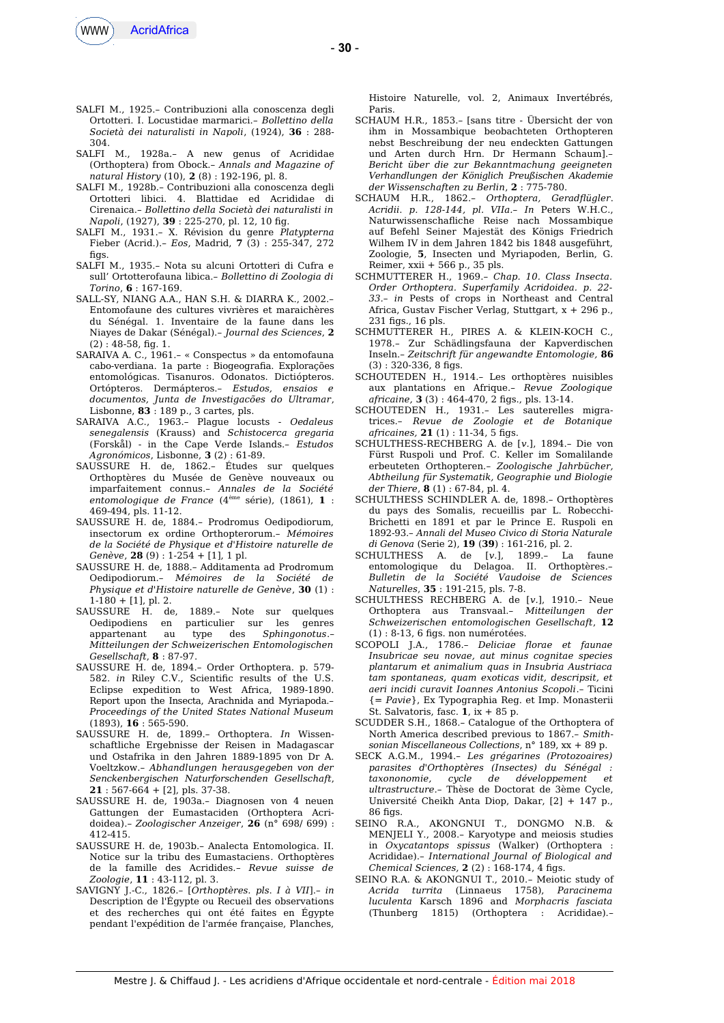

- SALFI M., 1925.– Contribuzioni alla conoscenza degli Ortotteri. I. Locustidae marmarici.– *Bollettino della Società dei naturalisti in Napoli*, (1924), **36** : 288- 304.
- SALFI M., 1928a.– A new genus of Acrididae (Orthoptera) from Obock.– *Annals and Magazine of natural History* (10), **2** (8) : 192-196, pl. 8.
- SALFI M., 1928b.– Contribuzioni alla conoscenza degli Ortotteri libici. 4. Blattidae ed Acrididae di Cirenaica.– *Bollettino della Società dei naturalisti in Napoli*, (1927), **39** : 225-270, pl. 12, 10 fg.
- SALFI M., 1931.– X. Révision du genre *Platypterna* Fieber (Acrid.).– *Eos*, Madrid, **7** (3) : 255-347, 272 figs.
- SALFI M., 1935.– Nota su alcuni Ortotteri di Cufra e sull' Ortotterofauna libica.– *Bollettino di Zoologia di Torino*, **6** : 167-169.
- SALL-SY, NIANG A.A., HAN S.H. & DIARRA K., 2002.– Entomofaune des cultures vivrières et maraichères du Sénégal. 1. Inventaire de la faune dans les Niayes de Dakar (Sénégal).– *Journal des Sciences*, **2**  $(2)$ : 48-58, fig. 1.
- SARAIVA A. C., 1961.– « Conspectus » da entomofauna cabo-verdiana. 1a parte : Biogeografa. Explorações entomológicas. Tisanuros. Odonatos. Dictiópteros. Ortópteros. Dermápteros.– *Estudos, ensaios e documentos, Junta de Investigacões do Ultramar*, Lisbonne, **83** : 189 p., 3 cartes, pls.
- SARAIVA A.C., 1963.– Plague locusts *Oedaleus senegalensis* (Krauss) and *Schistocerca gregaria* (Forskål) - in the Cape Verde Islands.– *Estudos Agronómicos*, Lisbonne, **3** (2) : 61-89.
- SAUSSURE H. de, 1862.– Études sur quelques Orthoptères du Musée de Genève nouveaux ou imparfaitement connus.– *Annales de la Société entomologique de France* (4ème série), (1861), **1** : 469-494, pls. 11-12.
- SAUSSURE H. de, 1884.– Prodromus Oedipodiorum, insectorum ex ordine Orthopterorum.– *Mémoires de la Société de Physique et d'Histoire naturelle de Genève*, **28** (9) : 1-254 + [1], 1 pl.
- SAUSSURE H. de, 1888.– Additamenta ad Prodromum Oedipodiorum.– *Mémoires de la Société de Physique et d'Histoire naturelle de Genève*, **30** (1) :
- $1-180 + [1]$ , pl. 2.<br>SAUSSURE H. de, 1889.- Note sur quelques Oedipodiens en particulier sur les genres appartenant au type des *Sphingonotus*.– *Mitteilungen der Schweizerischen Entomologischen Gesellschaft*, **8** : 87-97.
- SAUSSURE H. de, 1894.– Order Orthoptera. p. 579- 582. *in* Riley C.V., Scientifc results of the U.S. Eclipse expedition to West Africa, 1989-1890. Report upon the Insecta, Arachnida and Myriapoda.– *Proceedings of the United States National Museum* (1893), **16** : 565-590.
- SAUSSURE H. de, 1899.– Orthoptera. *In* Wissenschaftliche Ergebnisse der Reisen in Madagascar und Ostafrika in den Jahren 1889-1895 von Dr A. Voeltzkow.– *Abhandlungen herausgegeben von der Senckenbergischen Naturforschenden Gesellschaft*, **21** : 567-664 + [2], pls. 37-38.
- SAUSSURE H. de, 1903a.– Diagnosen von 4 neuen Gattungen der Eumastaciden (Orthoptera Acridoidea)*.– Zoologischer Anzeiger*, **26** (n° 698/ 699) : 412-415.
- SAUSSURE H. de, 1903b.– Analecta Entomologica. II. Notice sur la tribu des Eumastaciens*.* Orthoptères de la famille des Acridides.*– Revue suisse de Zoologie*, **11** : 43-112, pl. 3.
- SAVIGNY J.-C., 1826.– [*Orthoptères. pls*. *I à VII*].– *in* Description de l'Égypte ou Recueil des observations et des recherches qui ont été faites en Égypte pendant l'expédition de l'armée française, Planches,

Histoire Naturelle, vol. 2, Animaux Invertébrés, Paris.

- SCHAUM H.R., 1853.– [sans titre Übersicht der von ihm in Mossambique beobachteten Orthopteren nebst Beschreibung der neu endeckten Gattungen und Arten durch Hrn. Dr Hermann Schaum].– *Bericht über die zur Bekanntmachung geeigneten Verhandlungen der Königlich Preußischen Akademie der Wissenschaften zu Berlin*, **2** : 775-780.
- SCHAUM H.R., 1862.– *Orthoptera, Geradfügler*. *Acridii*. *p. 128-144, pl. VIIa.– In* Peters W.H.C., Naturwissenschafliche Reise nach Mossambique auf Befehl Seiner Majestät des Königs Friedrich Wilhem IV in dem Jahren 1842 bis 1848 ausgeführt, Zoologie, **5**, Insecten und Myriapoden, Berlin, G. Reimer, xxii + 566 p., 35 pls.
- SCHMUTTERER H., 1969.– *Chap. 10. Class Insecta. Order Orthoptera. Superfamily Acridoidea. p. 22- 33.– in* Pests of crops in Northeast and Central Africa, Gustav Fischer Verlag, Stuttgart, x + 296 p.,  $231$  figs.,  $16$  pls.
- SCHMUTTERER H., PIRES A. & KLEIN-KOCH C., 1978.– Zur Schädlingsfauna der Kapverdischen Inseln.– *Zeitschrift für angewandte Entomologie,* **86** (3) : 320-336, 8 fgs.
- SCHOUTEDEN H., 1914.– Les orthoptères nuisibles aux plantations en Afrique.– *Revue Zoologique africaine,* **3** (3) : 464-470, 2 fgs., pls. 13-14.
- SCHOUTEDEN H., 1931.– Les sauterelles migratrices.– *Revue de Zoologie et de Botanique africaines,* **21** (1) : 11-34, 5 fgs.
- SCHULTHESS-RECHBERG A. de [*v.*], 1894.– Die von Fürst Ruspoli und Prof. C. Keller im Somalilande erbeuteten Orthopteren.– *Zoologische Jahrbücher, Abtheilung für Systematik, Geographie und Biologie der Thiere*, **8** (1) : 67-84, pl. 4.
- SCHULTHESS SCHINDLER A. de, 1898.– Orthoptères du pays des Somalis, recueillis par L. Robecchi-Brichetti en 1891 et par le Prince E. Ruspoli en 1892-93.– *Annali del Museo Civico di Storia Naturale di Genova* (Serie 2), **19** (**39**) : 161-216, pl. 2.
- SCHULTHESS A. de [*v.*], 1899.– La faune entomologique du Delagoa. II. Orthoptères*.– Bulletin de la Société Vaudoise de Sciences Naturelles*, **35** : 191-215, pls. 7-8.
- SCHULTHESS RECHBERG A. de [*v.*], 1910.– Neue Orthoptera aus Transvaal.– *Mitteilungen der Schweizerischen entomologischen Gesellschaft*, **12**  $(1)$ : 8-13, 6 figs. non numérotées.
- SCOPOLI J.A., 1786.– *Deliciae forae et faunae Insubricae seu novae, aut minus cognitae species plantarum et animalium quas in Insubria Austriaca tam spontaneas, quam exoticas vidit, descripsit, et aeri incidi curavit Ioannes Antonius Scopoli*.– Ticini {= *Pavie*}, Ex Typographia Reg. et Imp. Monasterii St. Salvatoris, fasc. **1**, ix + 85 p.
- SCUDDER S.H., 1868.– Catalogue of the Orthoptera of North America described previous to 1867.– *Smithsonian Miscellaneous Collections*, n° 189, xx + 89 p.
- SECK A.G.M., 1994.– *Les grégarines (Protozoaires) parasites d'Orthoptères (Insectes) du Sénégal : taxononomie, cycle de développement et ultrastructure.–* Thèse de Doctorat de 3ème Cycle, Université Cheikh Anta Diop, Dakar, [2] + 147 p., 86 fgs.
- SEINO R.A., AKONGNUI T., DONGMO N.B. & MENJELI Y., 2008.– Karyotype and meiosis studies in *Oxycatantops spissus* (Walker) (Orthoptera : Acrididae).– *International Journal of Biological and Chemical Sciences,* **2** (2) : 168-174, 4 fgs.
- SEINO R.A. & AKONGNUI T., 2010.– Meiotic study of *Acrida turrita* (Linnaeus 1758), *Paracinema luculenta* Karsch 1896 and *Morphacris fasciata* (Thunberg 1815) (Orthoptera : Acrididae).–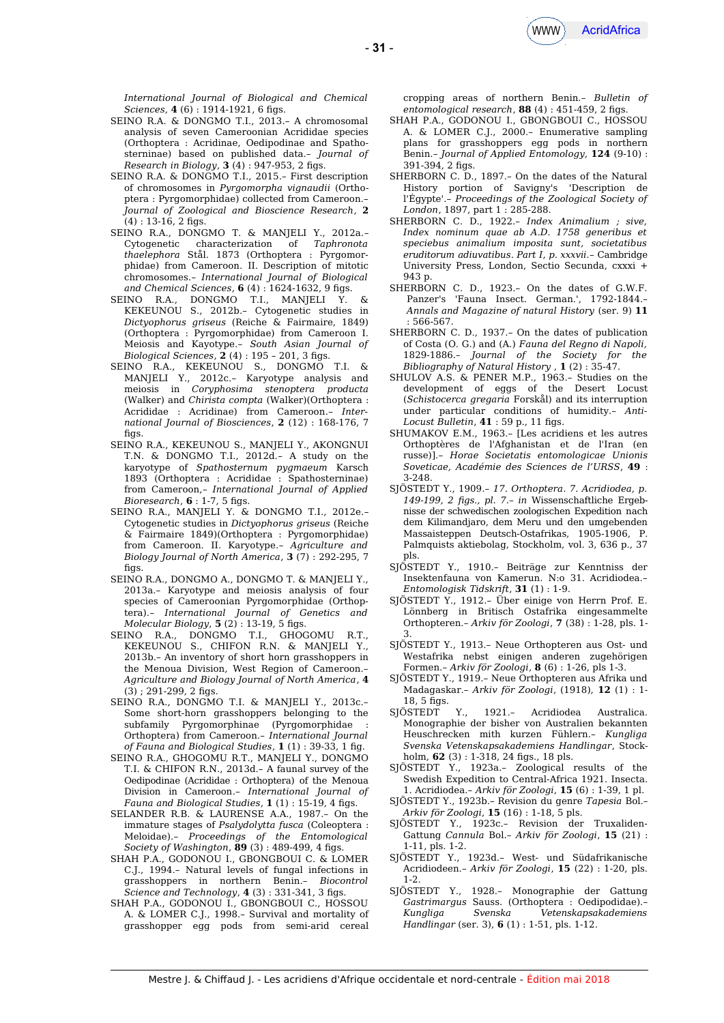

*International Journal of Biological and Chemical Sciences*, **4** (6): 1914-1921, 6 figs.

- SEINO R.A. & DONGMO T.I., 2013.– A chromosomal analysis of seven Cameroonian Acrididae species (Orthoptera : Acridinae, Oedipodinae and Spathosterninae) based on published data.– *Journal of Research in Biology*, **3** (4) : 947-953, 2 fgs.
- SEINO R.A. & DONGMO T.I., 2015.– First description of chromosomes in *Pyrgomorpha vignaudii* (Orthoptera : Pyrgomorphidae) collected from Cameroon.– *Journal of Zoological and Bioscience Research*, **2**  $(4) : 13-16, 2$  figs.
- SEINO R.A., DONGMO T. & MANJELI Y., 2012a.– Cytogenetic characterization of *Taphronota thaelephora* Stål. 1873 (Orthoptera : Pyrgomorphidae) from Cameroon. II. Description of mitotic chromosomes.– *International Journal of Biological and Chemical Sciences*, **6** (4) : 1624-1632, 9 fgs.
- SEINO R.A., DONGMO T.I., MANJELI Y. & KEKEUNOU S., 2012b.– Cytogenetic studies in *Dictyophorus griseus* (Reiche & Fairmaire, 1849) (Orthoptera : Pyrgomorphidae) from Cameroon I. Meiosis and Kayotype.– *South Asian Journal of Biological Sciences*, **2** (4) : 195 – 201, 3 fgs.
- SEINO R.A., KEKEUNOU S., DONGMO T.I. & MANJELI Y., 2012c.– Karyotype analysis and meiosis in *Coryphosima stenoptera producta* (Walker) and *Chirista compta* (Walker)(Orthoptera : Acrididae : Acridinae) from Cameroon.– *International Journal of Biosciences*, **2** (12) : 168-176, 7 fias.
- SEINO R.A., KEKEUNOU S., MANJELI Y., AKONGNUI T.N. & DONGMO T.I., 2012d.– A study on the karyotype of *Spathosternum pygmaeum* Karsch 1893 (Orthoptera : Acrididae : Spathosterninae) from Cameroon,– *International Journal of Applied Bioresearch*, **6** : 1-7, 5 figs.
- SEINO R.A., MANJELI Y. & DONGMO T.I., 2012e.– Cytogenetic studies in *Dictyophorus griseus* (Reiche & Fairmaire 1849)(Orthoptera : Pyrgomorphidae) from Cameroon. II. Karyotype.– *Agriculture and Biology Journal of North America*, **3** (7) : 292-295, 7 figs.
- SEINO R.A., DONGMO A., DONGMO T. & MANJELI Y., 2013a.– Karyotype and meiosis analysis of four species of Cameroonian Pyrgomorphidae (Orthoptera).– *International Journal of Genetics and Molecular Biology*, **5** (2) : 13-19, 5 fgs.
- SEINO R.A., DONGMO T.I., GHOGOMU R.T., KEKEUNOU S., CHIFON R.N. & MANJELI Y., 2013b.– An inventory of short horn grasshoppers in the Menoua Division, West Region of Cameroon.– *Agriculture and Biology Journal of North America*, **4**  $(3)$ ; 291-299, 2 figs.
- SEINO R.A., DONGMO T.I. & MANJELI Y., 2013c.– Some short-horn grasshoppers belonging to the subfamily Pyrgomorphinae (Pyrgomorphidae Orthoptera) from Cameroon.– *International Journal of Fauna and Biological Studies*, **1** (1) : 39-33, 1 fg.
- SEINO R.A., GHOGOMU R.T., MANJELI Y., DONGMO T.I. & CHIFON R.N., 2013d.– A faunal survey of the Oedipodinae (Acrididae : Orthoptera) of the Menoua Division in Cameroon.– *International Journal of Fauna and Biological Studies*, **1** (1) : 15-19, 4 fgs.
- SELANDER R.B. & LAURENSE A.A., 1987.– On the immature stages of *Psalydolytta fusca* (Coleoptera : Meloidae).– *Proceedings of the Entomological Society of Washington*, **89** (3): 489-499, 4 figs.
- SHAH P.A., GODONOU I., GBONGBOUI C. & LOMER C.J., 1994.– Natural levels of fungal infections in grasshoppers in northern Benin.– *Biocontrol Science and Technology*, **4** (3) : 331-341, 3 fgs.
- SHAH P.A., GODONOU I., GBONGBOUI C., HOSSOU A. & LOMER C.J., 1998.– Survival and mortality of grasshopper egg pods from semi-arid cereal

cropping areas of northern Benin.– *Bulletin of*  $entomological research, 88 (4): 451-459, 2 figs.$ 

- SHAH P.A., GODONOU I., GBONGBOUI C., HOSSOU A. & LOMER C.J., 2000.– Enumerative sampling plans for grasshoppers egg pods in northern Benin.– *Journal of Applied Entomology,* **124** (9-10) : 391-394, 2 figs.
- SHERBORN C. D., 1897.– On the dates of the Natural History portion of Savigny's 'Description de l'Égypte'.– *Proceedings of the Zoological Society of London*, 1897, part 1 : 285-288.
- SHERBORN C. D., 1922.– *Index Animalium ; sive, Index nominum quae ab A.D. 1758 generibus et speciebus animalium imposita sunt, societatibus eruditorum adiuvatibus. Part I*, *p. xxxvii.*– Cambridge University Press, London, Sectio Secunda, cxxxi + 943 p.
- SHERBORN C. D., 1923.– On the dates of G.W.F. Panzer's 'Fauna Insect. German.', 1792-1844.– *Annals and Magazine of natural History* (ser. 9) **11** : 566-567.
- SHERBORN C. D., 1937.– On the dates of publication of Costa (O. G.) and (A.) *Fauna del Regno di Napoli,* 1829-1886.– *Journal of the Society for the Bibliography of Natural History* , **1** (2) : 35-47.
- SHULOV A.S. & PENER M.P., 1963.– Studies on the development of eggs of the Desert Locust (*Schistocerca gregaria* Forskål) and its interruption under particular conditions of humidity.– *Anti-Locust Bulletin*, **41** : 59 p., 11 fgs.
- SHUMAKOV E.M., 1963.– [Les acridiens et les autres Orthoptères de l'Afghanistan et de l'Iran (en russe)].– *Horae Societatis entomologicae Unionis Soveticae, Académie des Sciences de l'URSS*, **49** : 3-248.
- SJÖSTEDT Y., 1909.– *17. Orthoptera*. *7. Acridiodea, p. 149-199, 2 fgs., pl. 7*.– *in* Wissenschaftliche Ergebnisse der schwedischen zoologischen Expedition nach dem Kilimandjaro, dem Meru und den umgebenden Massaisteppen Deutsch-Ostafrikas, 1905-1906, P. Palmquists aktiebolag, Stockholm, vol. 3, 636 p., 37 pls.
- SJÖSTEDT Y., 1910.– Beiträge zur Kenntniss der Insektenfauna von Kamerun. N:o 31. Acridiodea.– *Entomologisk Tidskrift*, **31** (1) : 1-9.
- SJÖSTEDT Y., 1912.– Über einige von Herrn Prof. E. Lönnberg in Britisch Ostafrika eingesammelte Orthopteren.– *Arkiv för Zoologi*, **7** (38) : 1-28, pls. 1- 3.
- SJÖSTEDT Y., 1913.– Neue Orthopteren aus Ost- und Westafrika nebst einigen anderen zugehörigen Formen.– *Arkiv för Zoologi*, **8** (6) : 1-26, pls 1-3.
- SJÖSTEDT Y., 1919.– Neue Orthopteren aus Afrika und Madagaskar.– *Arkiv för Zoologi*, (1918), **12** (1) : 1- 18, 5 figs.<br>SJÖSTEDT
- Y., 1921.- Acridiodea Australica. Monographie der bisher von Australien bekannten Heuschrecken mith kurzen Fühlern.– *Kungliga Svenska Vetenskapsakademiens Handlingar*, Stockholm, **62** (3) : 1-318, 24 fgs., 18 pls.
- SJÖSTEDT Y., 1923a.– Zoological results of the Swedish Expedition to Central-Africa 1921. Insecta. 1. Acridiodea.– *Arkiv för Zoologi*, **15** (6) : 1-39, 1 pl.
- SJÖSTEDT Y., 1923b.– Revision du genre *Tapesia* Bol.– *Arkiv för Zoologi*, **15** (16) : 1-18, 5 pls.
- SJOSTEDT Y., 1923c.– Revision der Truxaliden-Gattung *Cannula* Bol.– *Arkiv för Zoologi*, **15** (21) : 1-11, pls. 1-2.
- SJÖSTEDT Y., 1923d.– West- und Südafrikanische Acridiodeen.– *Arkiv för Zoologi*, **15** (22) : 1-20, pls. 1-2.
- SJÖSTEDT Y., 1928.– Monographie der Gattung *Gastrimargus* Sauss. (Orthoptera : Oedipodidae).– *Kungliga Svenska Vetenskapsakademiens Handlingar* (ser. 3), **6** (1) : 1-51, pls. 1-12.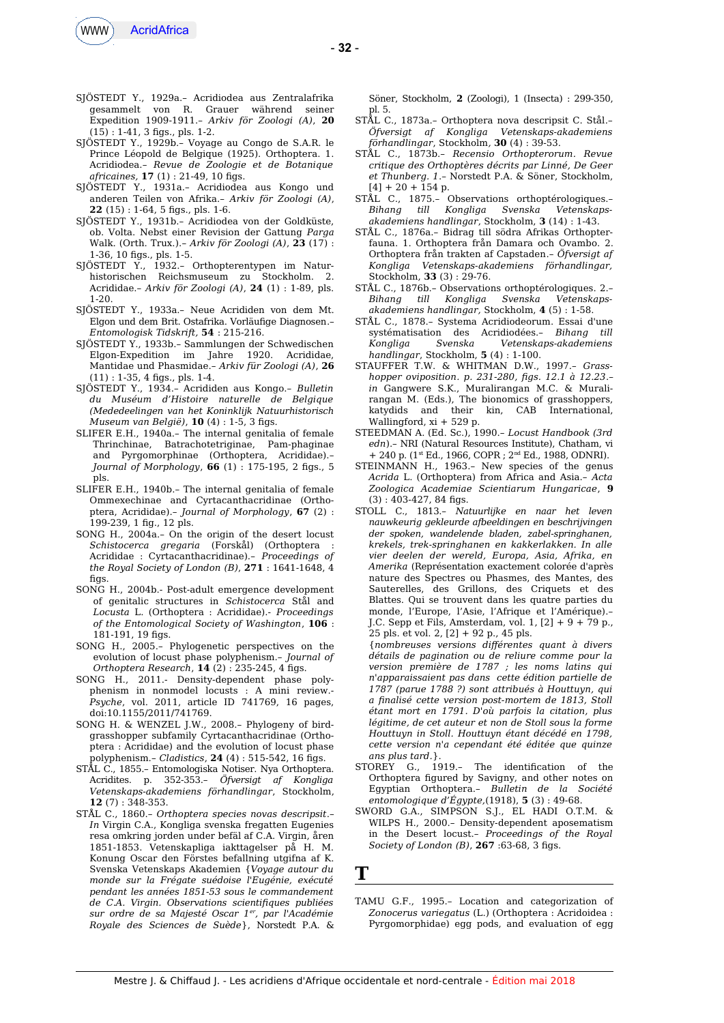

- SJÖSTEDT Y., 1929a.– Acridiodea aus Zentralafrika von R. Grauer während seiner Expedition 1909-1911.– *Arkiv för Zoologi (A)*, **20** (15) : 1-41, 3 fgs., pls. 1-2.
- SJÖSTEDT Y., 1929b.– Voyage au Congo de S.A.R. le Prince Léopold de Belgique (1925). Orthoptera. 1. Acridiodea.– *Revue de Zoologie et de Botanique africaines,* **17** (1) : 21-49, 10 fgs.
- SJÖSTEDT Y., 1931a.– Acridiodea aus Kongo und anderen Teilen von Afrika.– *Arkiv för Zoologi (A)*, **22** (15) : 1-64, 5 fgs., pls. 1-6.
- SJÖSTEDT Y., 1931b.– Acridiodea von der Goldküste, ob. Volta. Nebst einer Revision der Gattung *Parga* Walk. (Orth. Trux.).– *Arkiv för Zoologi (A)*, **23** (17) : 1-36, 10 fgs., pls. 1-5.
- SJÖSTEDT Y., 1932.– Orthopterentypen im Naturhistorischen Reichsmuseum zu Stockholm. 2. Acrididae.– *Arkiv för Zoologi (A)*, **24** (1) : 1-89, pls. 1-20.
- SJÖSTEDT Y., 1933a.– Neue Acrididen von dem Mt. Elgon und dem Brit. Ostafrika. Vorläufge Diagnosen.– *Entomologisk Tidskrift,* **54** : 215-216.
- SJÖSTEDT Y., 1933b.– Sammlungen der Schwedischen Elgon-Expedition im Jahre 1920. Acrididae, Mantidae und Phasmidae.– *Arkiv für Zoologi (A)*, **26** (11) : 1-35, 4 fgs., pls. 1-4.
- SJÖSTEDT Y., 1934.– Acrididen aus Kongo.– *Bulletin du Muséum d'Histoire naturelle de Belgique (Mededeelingen van het Koninklijk Natuurhistorisch Museum van België)*, **10** (4) : 1-5, 3 figs.
- SLIFER E.H., 1940a.– The internal genitalia of female Thrinchinae, Batrachotetriginae, Pam-phaginae and Pyrgomorphinae (Orthoptera, Acrididae).– *Journal of Morphology*, **66** (1) : 175-195, 2 figs., 5 pls.
- SLIFER E.H., 1940b.– The internal genitalia of female Ommexechinae and Cyrtacanthacridinae (Orthoptera, Acrididae).– *Journal of Morphology*, **67** (2) : 199-239, 1 fg., 12 pls.
- SONG H., 2004a.– On the origin of the desert locust *Schistocerca gregaria* (Forskål) (Orthoptera : Acrididae : Cyrtacanthacridinae).– *Proceedings of the Royal Society of London (B)*, **271** : 1641-1648, 4 figs.
- SONG H., 2004b.- Post-adult emergence development of genitalic structures in *Schistocerca* Stål and *Locusta* L. (Orthoptera : Acrididae).- *Proceedings of the Entomological Society of Washington*, **106** :  $181 - 191$ . 19 figs.
- SONG H., 2005.– Phylogenetic perspectives on the evolution of locust phase polyphenism.– *Journal of Orthoptera Research*, **14** (2) : 235-245, 4 fgs.
- SONG H., 2011.- Density-dependent phase polyphenism in nonmodel locusts : A mini review.- *Psyche*, vol. 2011, article ID 741769, 16 pages, doi:10.1155/2011/741769.
- SONG H. & WENZEL J.W., 2008.– Phylogeny of birdgrasshopper subfamily Cyrtacanthacridinae (Orthoptera : Acrididae) and the evolution of locust phase polyphenism.– *Cladistics*, **24** (4) : 515-542, 16 fgs.
- STÅL C., 1855.– Entomologiska Notiser. Nya Orthoptera. Acridites. p. 352-353.– *Öfversigt af Kongliga Vetenskaps-akademiens förhandlingar*, Stockholm, **12** (7) : 348-353.
- STÅL C., 1860.– *Orthoptera species novas descripsit*.– *In* Virgin C.A., Kongliga svenska fregatten Eugenies resa omkring jorden under befäl af C.A. Virgin, åren 1851-1853. Vetenskapliga iakttagelser på H. M. Konung Oscar den Förstes befallning utgifna af K. Svenska Vetenskaps Akademien {*Voyage autour du monde sur la Frégate suédoise l'Eugénie, exécuté pendant les années 1851-53 sous le commandement de C.A. Virgin. Observations scientifques publiées sur ordre de sa Majesté Oscar 1er, par l'Académie Royale des Sciences de Suède*}, Norstedt P.A. &

Söner, Stockholm, **2** (Zoologi), 1 (Insecta) : 299-350, pl. 5.

- STÅL C., 1873a.– Orthoptera nova descripsit C. Stål*.– Öfversigt af Kongliga Vetenskaps-akademiens förhandlingar*, Stockholm*,* **30** (4) : 39-53.
- STÅL C., 1873b.– *Recensio Orthopterorum. Revue critique des Orthoptères décrits par Linné, De Geer et Thunberg. 1*.– Norstedt P.A. & Söner, Stockholm,  $[4] + 20 + 154$  p.
- STÅL C., 1875.– Observations orthoptérologiques.– *Bihang till Kongliga Svenska Vetenskapsakademiens handlingar*, Stockholm, **3** (14) : 1-43.
- STÅL C., 1876a.– Bidrag till södra Afrikas Orthopterfauna. 1. Orthoptera från Damara och Ovambo. 2. Orthoptera från trakten af Capstaden.– *Öfversigt af Kongliga Vetenskaps-akademiens förhandlingar,* Stockholm, **33** (3) : 29-76.
- STÅL C., 1876b.– Observations orthoptérologiques. 2.– *Bihang till Kongliga Svenska Vetenskapsakademiens handlingar,* Stockholm, **4** (5) : 1-58.
- STÅL C., 1878.– Systema Acridiodeorum. Essai d'une systématisation des Acridiodées.– *Bihang till Kongliga Svenska Vetenskaps-akademiens handlingar*, Stockholm, **5** (4) : 1-100.
- STAUFFER T.W. & WHITMAN D.W., 1997.– *Grasshopper oviposition. p. 231-280, fgs. 12.1 à 12.23*.– *in* Gangwere S.K., Muralirangan M.C. & Muralirangan M. (Eds.), The bionomics of grasshoppers, katydids and their kin, CAB International, Wallingford, xi + 529 p.
- STEEDMAN A. (Ed. Sc.), 1990.– *Locust Handbook (3rd edn*).– NRI (Natural Resources Institute), Chatham, vi  $+ 240$  p. (1st Ed., 1966, COPR ; 2<sup>nd</sup> Ed., 1988, ODNRI).
- STEINMANN H., 1963.– New species of the genus *Acrida* L. (Orthoptera) from Africa and Asia.– *Acta Zoologica Academiae Scientiarum Hungaricae*, **9**  $(3)$ : 403-427, 84 figs.
- STOLL C., 1813.– *Natuurlijke en naar het leven nauwkeurig gekleurde afbeeldingen en beschrijvingen der spoken, wandelende bladen, zabel-springhanen, krekels, trek-springhanen en kakkerlakken. In alle vier deelen der wereld, Europa, Asia, Afrika, en Amerika* (Représentation exactement colorée d'après nature des Spectres ou Phasmes, des Mantes, des Sauterelles, des Grillons, des Criquets et des Blattes. Qui se trouvent dans les quatre parties du monde, l'Europe, l'Asie, l'Afrique et l'Amérique).– J.C. Sepp et Fils, Amsterdam, vol. 1, [2] + 9 + 79 p., 25 pls. et vol. 2, [2] + 92 p., 45 pls.
	- {*nombreuses versions diférentes quant à divers détails de pagination ou de reliure comme pour la version première de 1787 ; les noms latins qui n'apparaissaient pas dans cette édition partielle de 1787 (parue 1788 ?) sont attribués à Houttuyn, qui a fnalisé cette version post-mortem de 1813, Stoll étant mort en 1791. D'où parfois la citation, plus légitime, de cet auteur et non de Stoll sous la forme Houttuyn in Stoll. Houttuyn étant décédé en 1798, cette version n'a cependant été éditée que quinze ans plus tard.*}.
- STOREY G., 1919.– The identifcation of the Orthoptera fgured by Savigny, and other notes on Egyptian Orthoptera.– *Bulletin de la Société entomologique d'Égypte,*(1918), **5** (3) : 49-68.
- SWORD G.A., SIMPSON S.J., EL HADI O.T.M. & WILPS H., 2000.– Density-dependent aposematism in the Desert locust.– *Proceedings of the Royal Society of London (B)*, **267** :63-68, 3 fgs.

**T**

TAMU G.F., 1995.– Location and categorization of *Zonocerus variegatus* (L.) (Orthoptera : Acridoidea : Pyrgomorphidae) egg pods, and evaluation of egg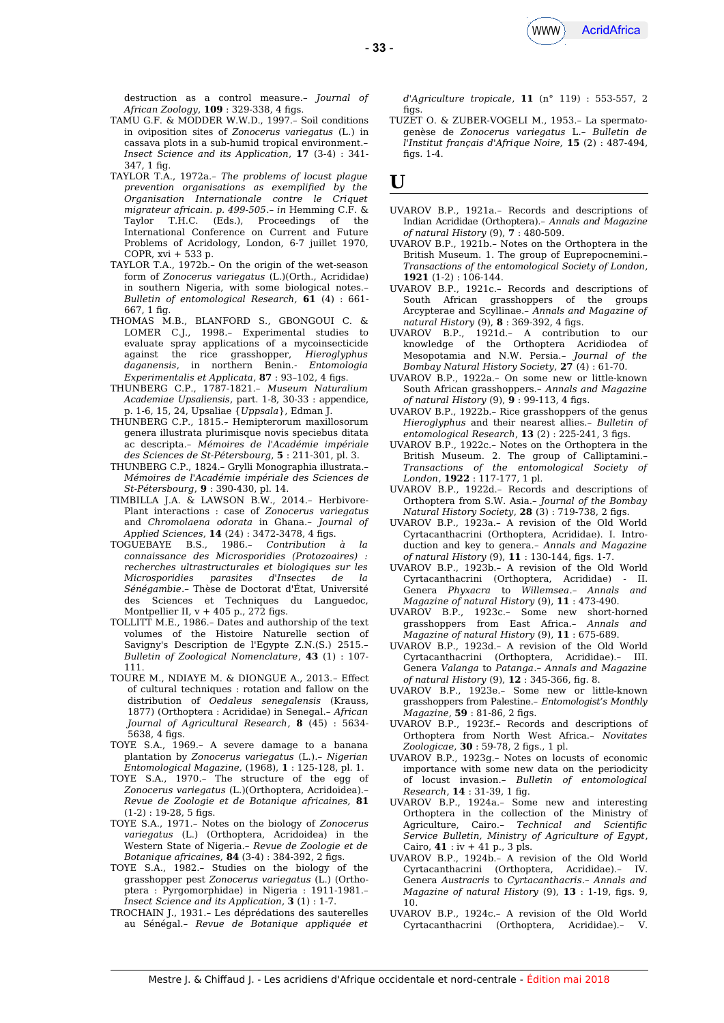

destruction as a control measure.– *Journal of African Zoology*, **109** : 329-338, 4 figs.

- TAMU G.F. & MODDER W.W.D., 1997.– Soil conditions in oviposition sites of *Zonocerus variegatus* (L.) in cassava plots in a sub-humid tropical environment.– *Insect Science and its Application*, **17** (3-4) : 341-  $347, 1$  fig.
- TAYLOR T.A., 1972a.– *The problems of locust plague prevention organisations as exemplifed by the Organisation Internationale contre le Criquet migrateur africain. p. 499-505*.– *in* Hemming C.F. & Taylor T.H.C. (Eds.), Proceedings of the International Conference on Current and Future Problems of Acridology, London, 6-7 juillet 1970, COPR, xvi + 533 p.
- TAYLOR T.A., 1972b.– On the origin of the wet-season form of *Zonocerus variegatus* (L.)(Orth., Acrididae) in southern Nigeria, with some biological notes.– *Bulletin of entomological Research,* **61** (4) : 661- 667, 1 fg.
- THOMAS M.B., BLANFORD S., GBONGOUI C. & LOMER C.J., 1998.– Experimental studies to evaluate spray applications of a mycoinsecticide against the rice grasshopper, *Hieroglyphus daganensis*, in northern Benin.- *Entomologia Experimentalis et Applicata*, 87: 93-102, 4 figs.
- THUNBERG C.P., 1787-1821.– *Museum Naturalium Academiae Upsaliensis*, part. 1-8, 30-33 : appendice, p. 1-6, 15, 24, Upsaliae {*Uppsala*}, Edman J.
- THUNBERG C.P., 1815.– Hemipterorum maxillosorum genera illustrata plurimisque novis speciebus ditata ac descripta.– *Mémoires de l'Académie impériale des Sciences de St-Pétersbourg*, **5** : 211-301, pl. 3.
- THUNBERG C.P., 1824.– Grylli Monographia illustrata.– *Mémoires de l'Académie impériale des Sciences de St-Pétersbourg*, **9** : 390-430, pl. 14.
- TIMBILLA J.A. & LAWSON B.W., 2014.– Herbivore-Plant interactions : case of *Zonocerus variegatus* and *Chromolaena odorata* in Ghana.– *Journal of Applied Sciences*, **14** (24) : 3472-3478, 4 fgs.
- TOGUEBAYE B.S., 1986.– *Contribution à la connaissance des Microsporidies (Protozoaires) : recherches ultrastructurales et biologiques sur les Microsporidies parasites d'Insectes de la Sénégambie*.– Thèse de Doctorat d'État, Université des Sciences et Techniques du Languedoc, Montpellier II,  $v + 405$  p., 272 figs.
- TOLLITT M.E., 1986.– Dates and authorship of the text volumes of the Histoire Naturelle section of Savigny's Description de l'Egypte Z.N.(S.) 2515.– *Bulletin of Zoological Nomenclature*, **43** (1) : 107- 111.
- TOURE M., NDIAYE M. & DIONGUE A., 2013.– Efect of cultural techniques : rotation and fallow on the distribution of *Oedaleus senegalensis* (Krauss, 1877) (Orthoptera : Acrididae) in Senegal.– *African Journal of Agricultural Research*, **8** (45) : 5634- 5638, 4 figs.
- TOYE S.A., 1969.– A severe damage to a banana plantation by *Zonocerus variegatus* (L.).– *Nigerian Entomological Magazine,* (1968), **1** : 125-128, pl. 1.
- TOYE S.A., 1970.– The structure of the egg of *Zonocerus variegatus* (L.)(Orthoptera, Acridoidea).– *Revue de Zoologie et de Botanique africaines,* **81**  $(1-2) : 19-28.5$  figs.
- TOYE S.A., 1971.– Notes on the biology of *Zonocerus variegatus* (L.) (Orthoptera, Acridoidea) in the Western State of Nigeria.– *Revue de Zoologie et de Botanique africaines,* **84** (3-4) : 384-392, 2 fgs.
- TOYE S.A., 1982.– Studies on the biology of the grasshopper pest *Zonocerus variegatus* (L.) (Orthoptera : Pyrgomorphidae) in Nigeria : 1911-1981.– *Insect Science and its Application*, **3** (1) : 1-7.
- TROCHAIN J., 1931.– Les déprédations des sauterelles au Sénégal.– *Revue de Botanique appliquée et*

*d'Agriculture tropicale*, **11** (n° 119) : 553-557, 2  $fias$ .

TUZET O. & ZUBER-VOGELI M., 1953.– La spermatogenèse de *Zonocerus variegatus* L.– *Bulletin de l'Institut français d'Afrique Noire,* **15** (2) : 487-494, figs.  $1-4$ .

## **U**

- UVAROV B.P., 1921a.– Records and descriptions of Indian Acrididae (Orthoptera).– *Annals and Magazine of natural History* (9), **7** : 480-509.
- UVAROV B.P., 1921b.– Notes on the Orthoptera in the British Museum. 1. The group of Euprepocnemini.– *Transactions of the entomological Society of London*, **1921** (1-2) : 106-144.
- UVAROV B.P., 1921c.– Records and descriptions of South African grasshoppers of the groups Arcypterae and Scyllinae.– *Annals and Magazine of natural History* (9), **8** : 369-392, 4 fgs.
- UVAROV B.P., 1921d.– A contribution to our knowledge of the Orthoptera Acridiodea of Mesopotamia and N.W. Persia.– *Journal of the Bombay Natural History Society*, **27** (4) : 61-70.
- UVAROV B.P., 1922a.– On some new or little-known South African grasshoppers.– *Annals and Magazine of natural History* (9), **9** : 99-113, 4 fgs.
- UVAROV B.P., 1922b.– Rice grasshoppers of the genus *Hieroglyphus* and their nearest allies.– *Bulletin of*  $entomological Research$ ,  $13(2):$  225-241, 3 figs.
- UVAROV B.P., 1922c.– Notes on the Orthoptera in the British Museum. 2. The group of Calliptamini.– *Transactions of the entomological Society of London*, **1922** : 117-177, 1 pl.
- UVAROV B.P., 1922d.– Records and descriptions of Orthoptera from S.W. Asia.– *Journal of the Bombay Natural History Society*, **28** (3) : 719-738, 2 fgs.
- UVAROV B.P., 1923a.– A revision of the Old World Cyrtacanthacrini (Orthoptera, Acrididae). I. Introduction and key to genera.– *Annals and Magazine of natural History* (9), **11** : 130-144, fgs. 1-7.
- UVAROV B.P., 1923b.– A revision of the Old World Cyrtacanthacrini (Orthoptera, Acrididae) - II. Genera *Phyxacra* to *Willemsea*.– *Annals and Magazine of natural History* (9), **11** : 473-490.
- UVAROV B.P., 1923c.– Some new short-horned grasshoppers from East Africa.– *Annals and Magazine of natural History* (9), **11** : 675-689.
- UVAROV B.P., 1923d.– A revision of the Old World Cyrtacanthacrini (Orthoptera, Acrididae).– III. Genera *Valanga* to *Patanga*.– *Annals and Magazine of natural History* (9), **12** : 345-366, fg. 8.
- UVAROV B.P., 1923e.– Some new or little-known grasshoppers from Palestine.– *Entomologist's Monthly Magazine*, **59** : 81-86, 2 figs.
- UVAROV B.P., 1923f.– Records and descriptions of Orthoptera from North West Africa.– *Novitates Zoologicae*, **30** : 59-78, 2 fgs., 1 pl.
- UVAROV B.P., 1923g.– Notes on locusts of economic importance with some new data on the periodicity of locust invasion.– *Bulletin of entomological Research*, **14** : 31-39, 1 fg.
- UVAROV B.P., 1924a.– Some new and interesting Orthoptera in the collection of the Ministry of Agriculture, Cairo.– *Technical and Scientifc Service Bulletin, Ministry of Agriculture of Egypt*, Cairo, **41** : iv + 41 p., 3 pls.
- UVAROV B.P., 1924b.– A revision of the Old World Cyrtacanthacrini (Orthoptera, Acrididae).– IV. Genera *Austracris* to *Cyrtacanthacris*.– *Annals and Magazine of natural History* (9), **13** : 1-19, fgs. 9, 10.
- UVAROV B.P., 1924c.– A revision of the Old World Cyrtacanthacrini (Orthoptera, Acrididae).– V.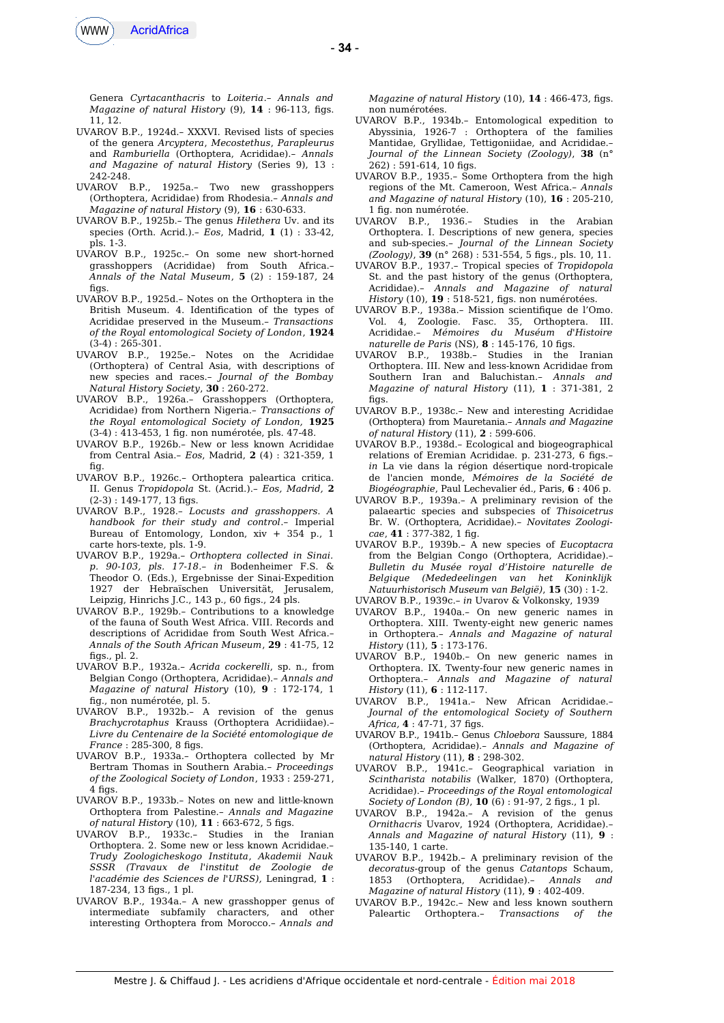

- **34** -

Genera *Cyrtacanthacris* to *Loiteria*.– *Annals and Magazine of natural History* (9), **14** : 96-113, fgs. 11, 12.

- UVAROV B.P., 1924d.– XXXVI. Revised lists of species of the genera *Arcyptera*, *Mecostethus*, *Parapleurus* and *Ramburiella* (Orthoptera, Acrididae).– *Annals and Magazine of natural History* (Series 9), 13 : 242-248.
- UVAROV B.P., 1925a.– Two new grasshoppers (Orthoptera, Acrididae) from Rhodesia.– *Annals and Magazine of natural History* (9), **16** : 630-633.
- UVAROV B.P., 1925b.– The genus *Hilethera* Uv. and its species (Orth. Acrid.).– *Eos*, Madrid, **1** (1) : 33-42, pls. 1-3.
- UVAROV B.P., 1925c.– On some new short-horned grasshoppers (Acrididae) from South Africa.– *Annals of the Natal Museum*, **5** (2) : 159-187, 24  $fias$ .
- UVAROV B.P., 1925d.– Notes on the Orthoptera in the British Museum. 4. Identifcation of the types of Acrididae preserved in the Museum.– *Transactions of the Royal entomological Society of London*, **1924** (3-4) : 265-301.
- UVAROV B.P., 1925e.– Notes on the Acrididae (Orthoptera) of Central Asia, with descriptions of new species and races.– *Journal of the Bombay Natural History Society*, **30** : 260-272.
- UVAROV B.P., 1926a.– Grasshoppers (Orthoptera, Acrididae) from Northern Nigeria.– *Transactions of the Royal entomological Society of London,* **1925** (3-4) : 413-453, 1 fg. non numérotée, pls. 47-48.
- UVAROV B.P., 1926b.– New or less known Acrididae from Central Asia.– *Eos*, Madrid, **2** (4) : 321-359, 1 fig.
- UVAROV B.P., 1926c.– Orthoptera paleartica critica. II. Genus *Tropidopola* St. (Acrid.).– *Eos, Madrid,* **2**  $(2-3): 149-177, 13$  figs.
- UVAROV B.P., 1928.– *Locusts and grasshoppers. A handbook for their study and control*.– Imperial Bureau of Entomology, London, xiv + 354 p., 1 carte hors-texte, pls. 1-9.
- UVAROV B.P., 1929a.– *Orthoptera collected in Sinai. p. 90-103, pls. 17-18.– in* Bodenheimer F.S. & Theodor O. (Eds.), Ergebnisse der Sinai-Expedition 1927 der Hebraïschen Universität, Jerusalem, Leipzig, Hinrichs J.C., 143 p., 60 figs., 24 pls.
- UVAROV B.P., 1929b.– Contributions to a knowledge of the fauna of South West Africa. VIII. Records and descriptions of Acrididae from South West Africa.– *Annals of the South African Museum*, **29** : 41-75, 12 fgs., pl. 2.
- UVAROV B.P., 1932a.– *Acrida cockerelli*, sp. n., from Belgian Congo (Orthoptera, Acrididae).– *Annals and Magazine of natural History* (10), **9** : 172-174, 1 fg., non numérotée, pl. 5.
- UVAROV B.P., 1932b.– A revision of the genus *Brachycrotaphus* Krauss (Orthoptera Acridiidae).– *Livre du Centenaire de la Société entomologique de France* : 285-300, 8 fgs.
- UVAROV B.P., 1933a.– Orthoptera collected by Mr Bertram Thomas in Southern Arabia.– *Proceedings of the Zoological Society of London*, 1933 : 259-271, 4 figs.
- UVAROV B.P., 1933b.– Notes on new and little-known Orthoptera from Palestine.– *Annals and Magazine of natural History* (10), **11** : 663-672, 5 fgs.
- UVAROV B.P., 1933c.– Studies in the Iranian Orthoptera. 2. Some new or less known Acrididae.– *Trudy Zoologicheskogo Instituta*, *Akademii Nauk SSSR (Travaux de l'institut de Zoologie de l'académie des Sciences de l'URSS),* Leningrad, **1** : 187-234, 13 fgs., 1 pl.
- UVAROV B.P., 1934a.– A new grasshopper genus of intermediate subfamily characters, and other interesting Orthoptera from Morocco.– *Annals and*

*Magazine of natural History* (10), **14** : 466-473, fgs. non numérotées.

- UVAROV B.P., 1934b.– Entomological expedition to Abyssinia, 1926-7 : Orthoptera of the families Mantidae, Gryllidae, Tettigoniidae, and Acrididae.– *Journal of the Linnean Society (Zoology)*, **38** (n°  $262$ ): 591-614, 10 figs.
- UVAROV B.P., 1935.– Some Orthoptera from the high regions of the Mt. Cameroon, West Africa.– *Annals and Magazine of natural History* (10), **16** : 205-210, 1 fig. non numérotée.
- UVAROV B.P., 1936.– Studies in the Arabian Orthoptera. I. Descriptions of new genera, species and sub-species.– *Journal of the Linnean Society (Zoology)*, **39** (n° 268) : 531-554, 5 fgs., pls. 10, 11.
- UVAROV B.P., 1937.– Tropical species of *Tropidopola* St. and the past history of the genus (Orthoptera, Acrididae).– *Annals and Magazine of natural History* (10), **19** : 518-521, fgs. non numérotées.
- UVAROV B.P., 1938a.– Mission scientifque de l'Omo. Vol. 4, Zoologie. Fasc. 35, Orthoptera. III. Acrididae.– *Mémoires du Muséum d'Histoire naturelle de Paris* (NS), **8** : 145-176, 10 figs.
- UVAROV B.P., 1938b.– Studies in the Iranian Orthoptera. III. New and less-known Acrididae from Southern Iran and Baluchistan.– *Annals and Magazine of natural History* (11), **1** : 371-381, 2  $fias.$
- UVAROV B.P., 1938c.– New and interesting Acrididae (Orthoptera) from Mauretania.– *Annals and Magazine of natural History* (11), **2** : 599-606.
- UVAROV B.P., 1938d.– Ecological and biogeographical relations of Eremian Acrididae. p. 231-273, 6 figs.*in* La vie dans la région désertique nord-tropicale de l'ancien monde, *Mémoires de la Société de Biogéographie*, Paul Lechevalier éd., Paris, **6** : 406 p.
- UVAROV B.P., 1939a.– A preliminary revision of the palaeartic species and subspecies of *Thisoicetrus* Br. W. (Orthoptera, Acrididae).– *Novitates Zoologicae*, **41** : 377-382, 1 fg.
- UVAROV B.P., 1939b.– A new species of *Eucoptacra* from the Belgian Congo (Orthoptera, Acrididae).– *Bulletin du Musée royal d'Histoire naturelle de Belgique (Mededeelingen van het Koninklijk Natuurhistorisch Museum van België)*, **15** (30) : 1-2.
- UVAROV B.P., 1939c.– *in* Uvarov & Volkonsky, 1939
- UVAROV B.P., 1940a.– On new generic names in Orthoptera. XIII. Twenty-eight new generic names in Orthoptera.– *Annals and Magazine of natural History* (11), **5** : 173-176.
- UVAROV B.P., 1940b.– On new generic names in Orthoptera. IX. Twenty-four new generic names in Orthoptera.– *Annals and Magazine of natural History* (11), **6** : 112-117.
- UVAROV B.P., 1941a.– New African Acrididae.– *Journal of the entomological Society of Southern Africa,* **4** : 47-71, 37 fgs.
- UVAROV B.P., 1941b.– Genus *Chloebora* Saussure, 1884 (Orthoptera, Acrididae).– *Annals and Magazine of natural History* (11), **8** : 298-302.
- UVAROV B.P., 1941c.– Geographical variation in *Scintharista notabilis* (Walker, 1870) (Orthoptera, Acrididae).– *Proceedings of the Royal entomological Society of London (B)*, **10** (6) : 91-97, 2 fgs., 1 pl.
- UVAROV B.P., 1942a.– A revision of the genus *Ornithacris* Uvarov, 1924 (Orthoptera, Acrididae).– *Annals and Magazine of natural History* (11), **9** : 135-140, 1 carte.
- UVAROV B.P., 1942b.– A preliminary revision of the *decoratus-*group of the genus *Catantops* Schaum, 1853 (Orthoptera, Acrididae).– *Annals and Magazine of natural History* (11), **9** : 402-409.
- UVAROV B.P., 1942c.– New and less known southern Paleartic Orthoptera.- Transactions of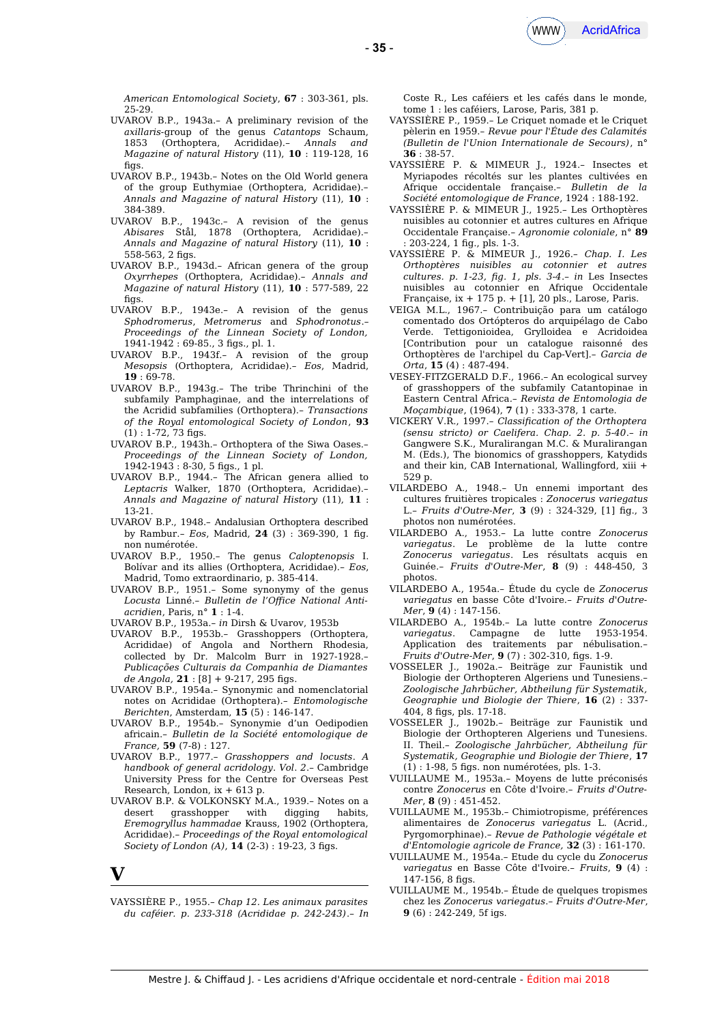

*American Entomological Society*, **67** : 303-361, pls. 25-29.

- UVAROV B.P., 1943a.– A preliminary revision of the *axillaris-*group of the genus *Catantops* Schaum, 1853 (Orthoptera, Acrididae).– *Annals and Magazine of natural History* (11), **10** : 119-128, 16 figs.
- UVAROV B.P., 1943b.– Notes on the Old World genera of the group Euthymiae (Orthoptera, Acrididae).– *Annals and Magazine of natural History* (11), **10** : 384-389.
- UVAROV B.P., 1943c.– A revision of the genus *Abisares* Stål, 1878 (Orthoptera, Acrididae).– *Annals and Magazine of natural History* (11), **10** : 558-563, 2 figs.
- UVAROV B.P., 1943d.– African genera of the group *Oxyrrhepes* (Orthoptera, Acrididae).– *Annals and Magazine of natural History* (11), **10** : 577-589, 22 figs.
- UVAROV B.P., 1943e.– A revision of the genus *Sphodromerus*, *Metromerus* and *Sphodronotus*.– *Proceedings of the Linnean Society of London,* 1941-1942 : 69-85., 3 fgs., pl. 1.
- UVAROV B.P., 1943f.– A revision of the group *Mesopsis* (Orthoptera, Acrididae).– *Eos*, Madrid, **19** : 69-78.
- UVAROV B.P., 1943g.– The tribe Thrinchini of the subfamily Pamphaginae, and the interrelations of the Acridid subfamilies (Orthoptera).– *Transactions of the Royal entomological Society of London*, **93**  $(1)$ : 1-72, 73 figs.
- UVAROV B.P., 1943h.– Orthoptera of the Siwa Oases.– *Proceedings of the Linnean Society of London,* 1942-1943 : 8-30, 5 fgs., 1 pl.
- UVAROV B.P., 1944.– The African genera allied to *Leptacris* Walker, 1870 (Orthoptera, Acrididae).– *Annals and Magazine of natural History* (11), **11** : 13-21.
- UVAROV B.P., 1948.– Andalusian Orthoptera described by Rambur.– *Eos*, Madrid, **24** (3) : 369-390, 1 fg. non numérotée.
- UVAROV B.P., 1950.– The genus *Caloptenopsis* I. Bolívar and its allies (Orthoptera, Acrididae).– *Eos*, Madrid, Tomo extraordinario, p. 385-414.
- UVAROV B.P., 1951.– Some synonymy of the genus *Locusta* Linné.– *Bulletin de l'Ofice National Antiacridien*, Paris, n° **1** : 1-4.
- UVAROV B.P., 1953a.– *in* Dirsh & Uvarov, 1953b
- UVAROV B.P., 1953b.– Grasshoppers (Orthoptera, Acrididae) of Angola and Northern Rhodesia, collected by Dr. Malcolm Burr in 1927-1928.– *Publicações Culturais da Companhia de Diamantes de Angola,* **21** : [8] + 9-217, 295 fgs.
- UVAROV B.P., 1954a.– Synonymic and nomenclatorial notes on Acrididae (Orthoptera).– *Entomologische Berichten*, Amsterdam, **15** (5) : 146-147.
- UVAROV B.P., 1954b.– Synonymie d'un Oedipodien africain.– *Bulletin de la Société entomologique de France,* **59** (7-8) : 127.
- UVAROV B.P., 1977.– *Grasshoppers and locusts*. *A handbook of general acridology*. *Vol*. *2*.– Cambridge University Press for the Centre for Overseas Pest Research, London, ix + 613 p.
- UVAROV B.P. & VOLKONSKY M.A., 1939.– Notes on a desert grasshopper with digging habits, *Eremogryllus hammadae* Krauss, 1902 (Orthoptera, Acrididae).– *Proceedings of the Royal entomological Society of London (A)*, **14** (2-3) : 19-23, 3 figs.

**V**

VAYSSIÈRE P., 1955.– *Chap 12. Les animaux parasites du caféier. p. 233-318 (Acrididae p. 242-243)*.– *In* Coste R., Les caféiers et les cafés dans le monde, tome 1 : les caféiers, Larose, Paris, 381 p.

- VAYSSIÈRE P., 1959.– Le Criquet nomade et le Criquet pèlerin en 1959.– *Revue pour l'Étude des Calamités (Bulletin de l'Union Internationale de Secours)*, n° **36** : 38-57.
- VAYSSIÈRE P. & MIMEUR J., 1924.– Insectes et Myriapodes récoltés sur les plantes cultivées en Afrique occidentale française.– *Bulletin de la Société entomologique de France*, 1924 : 188-192.
- VAYSSIÈRE P. & MIMEUR J., 1925.– Les Orthoptères nuisibles au cotonnier et autres cultures en Afrique Occidentale Française.– *Agronomie coloniale*, n° **89** : 203-224, 1 fg., pls. 1-3.
- VAYSSIÈRE P. & MIMEUR J., 1926.– *Chap. I. Les Orthoptères nuisibles au cotonnier et autres cultures. p. 1-23, fg. 1, pls. 3-4*.– *in* Les Insectes nuisibles au cotonnier en Afrique Occidentale Française, ix + 175 p. + [1], 20 pls., Larose, Paris.
- VEIGA M.L., 1967.– Contribuição para um catálogo comentado dos Ortópteros do arquipélago de Cabo Verde. Tettigonioidea, Grylloidea e Acridoidea [Contribution pour un catalogue raisonné des Orthoptères de l'archipel du Cap-Vert].– *Garcia de Orta*, **15** (4) : 487-494.
- VESEY-FITZGERALD D.F., 1966.– An ecological survey of grasshoppers of the subfamily Catantopinae in Eastern Central Africa*.– Revista de Entomologia de Moçambique*, (1964), **7** (1) : 333-378, 1 carte.
- VICKERY V.R., 1997.– *Classifcation of the Orthoptera (sensu stricto) or Caelifera. Chap. 2. p. 5-40*.– *in* Gangwere S.K., Muralirangan M.C. & Muralirangan M. (Eds.), The bionomics of grasshoppers, Katydids and their kin, CAB International, Wallingford, xiii + 529 p.
- VILARDEBO A., 1948.– Un ennemi important des cultures fruitières tropicales : *Zonocerus variegatus* L.– *Fruits d'Outre-Mer*, **3** (9) : 324-329, [1] fg., 3 photos non numérotées.
- VILARDEBO A., 1953.– La lutte contre *Zonocerus variegatus*. Le problème de la lutte contre *Zonocerus variegatus*. Les résultats acquis en Guinée.– *Fruits d'Outre-Mer*, **8** (9) : 448-450, 3 photos.
- VILARDEBO A., 1954a.– Étude du cycle de *Zonocerus variegatus* en basse Côte d'Ivoire.– *Fruits d'Outre-Mer*, **9** (4) : 147-156.
- VILARDEBO A., 1954b.– La lutte contre *Zonocerus variegatus*. Campagne de lutte 1953-1954. Application des traitements par nébulisation.– *Fruits d'Outre-Mer*, **9** (7) : 302-310, fgs. 1-9.
- VOSSELER J., 1902a.– Beiträge zur Faunistik und Biologie der Orthopteren Algeriens und Tunesiens.– *Zoologische Jahrbücher, Abtheilung für Systematik, Geographie und Biologie der Thiere*, **16** (2) : 337- 404, 8 fgs, pls. 17-18.
- VOSSELER J., 1902b.– Beiträge zur Faunistik und Biologie der Orthopteren Algeriens und Tunesiens. II. Theil.– *Zoologische Jahrbücher, Abtheilung für Systematik, Geographie und Biologie der Thiere*, **17** (1) : 1-98, 5 fgs. non numérotées, pls. 1-3.
- VUILLAUME M., 1953a.– Moyens de lutte préconisés contre *Zonocerus* en Côte d'Ivoire.– *Fruits d'Outre-Mer*, **8** (9) : 451-452.
- VUILLAUME M., 1953b.– Chimiotropisme, préférences alimentaires de *Zonocerus variegatus* L. (Acrid., Pyrgomorphinae).– *Revue de Pathologie végétale et d'Entomologie agricole de France,* **32** (3) : 161-170.
- VUILLAUME M., 1954a.– Etude du cycle du *Zonocerus variegatus* en Basse Côte d'Ivoire.– *Fruits*, **9** (4) :  $147 - 156$ , 8 figs.
- VUILLAUME M., 1954b.– Étude de quelques tropismes chez les *Zonocerus variegatus*.– *Fruits d'Outre-Mer*, **9** (6) : 242-249, 5f igs.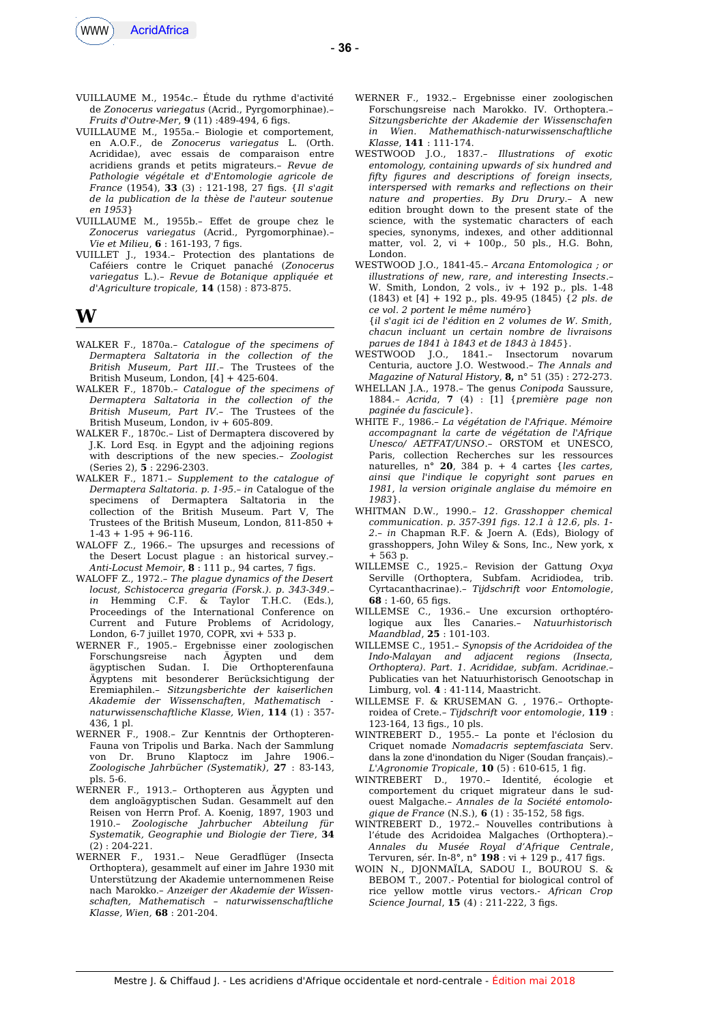

- VUILLAUME M., 1954c.– Étude du rythme d'activité de *Zonocerus variegatus* (Acrid., Pyrgomorphinae).– *Fruits d'Outre-Mer*, **9** (11) :489-494, 6 figs.
- VUILLAUME M., 1955a.– Biologie et comportement, en A.O.F., de *Zonocerus variegatus* L. (Orth. Acrididae), avec essais de comparaison entre acridiens grands et petits migrateurs.– *Revue de Pathologie végétale et d'Entomologie agricole de France* (1954), **33** (3) : 121-198, 27 fgs. {*Il s'agit de la publication de la thèse de l'auteur soutenue en 1953*}
- VUILLAUME M., 1955b.– Efet de groupe chez le *Zonocerus variegatus* (Acrid., Pyrgomorphinae).– *Vie et Milieu*, **6** : 161-193, 7 fgs.
- VUILLET J., 1934.– Protection des plantations de Caféiers contre le Criquet panaché (*Zonocerus variegatus* L.).– *Revue de Botanique appliquée et d'Agriculture tropicale,* **14** (158) : 873-875.

## **W**

- WALKER F., 1870a.– *Catalogue of the specimens of Dermaptera Saltatoria in the collection of the British Museum, Part III*.– The Trustees of the British Museum, London, [4] + 425-604.
- WALKER F., 1870b.– *Catalogue of the specimens of Dermaptera Saltatoria in the collection of the British Museum, Part IV*.– The Trustees of the British Museum, London, iv + 605-809.
- WALKER F., 1870c.– List of Dermaptera discovered by J.K. Lord Esq. in Egypt and the adjoining regions with descriptions of the new species.– *Zoologist* (Series 2), **5** : 2296-2303.
- WALKER F., 1871.– *Supplement to the catalogue of Dermaptera Saltatoria. p. 1-95.– in* Catalogue of the specimens of Dermaptera Saltatoria in the collection of the British Museum. Part V, The Trustees of the British Museum, London, 811-850 +  $1-43 + 1-95 + 96-116$ .
- WALOFF Z., 1966.– The upsurges and recessions of the Desert Locust plague : an historical survey.– *Anti-Locust Memoir*, **8** : 111 p., 94 cartes, 7 fgs.
- WALOFF Z., 1972.– *The plague dynamics of the Desert locust, Schistocerca gregaria (Forsk.). p. 343-349*.–  $\&$  Taylor T.H.C. (Eds.), Proceedings of the International Conference on Current and Future Problems of Acridology, London, 6-7 juillet 1970, COPR, xvi + 533 p.
- WERNER F., 1905.– Ergebnisse einer zoologischen Forschungsreise nach Ägypten und dem ägyptischen Sudan. I. Die Orthopterenfauna Ägyptens mit besonderer Berücksichtigung der Eremiaphilen.– *Sitzungsberichte der kaiserlichen Akademie der Wissenschaften*, *Mathematisch naturwissenschaftliche Klasse, Wien*, **114** (1) : 357- 436, 1 pl.
- WERNER F., 1908.– Zur Kenntnis der Orthopteren-Fauna von Tripolis und Barka. Nach der Sammlung von Dr. Bruno Klaptocz im Jahre 1906.– *Zoologische Jahrbücher (Systematik)*, **27** : 83-143, pls. 5-6.
- WERNER F., 1913.– Orthopteren aus Ägypten und dem angloägyptischen Sudan. Gesammelt auf den Reisen von Herrn Prof. A. Koenig, 1897, 1903 und 1910.– *Zoologische Jahrbucher Abteilung für Systematik, Geographie und Biologie der Tiere*, **34** (2) : 204-221.
- WERNER F., 1931.– Neue Geradflüger (Insecta Orthoptera), gesammelt auf einer im Jahre 1930 mit Unterstützung der Akademie unternommenen Reise nach Marokko.– *Anzeiger der Akademie der Wissenschaften, Mathematisch – naturwissenschaftliche Klasse, Wien,* **68** : 201-204.
- WERNER F., 1932.– Ergebnisse einer zoologischen Forschungsreise nach Marokko. IV. Orthoptera.– *Sitzungsberichte der Akademie der Wissenschafen in Wien. Mathemathisch-naturwissenschaftliche Klasse*, **141** : 111-174.
- WESTWOOD J.O., 1837.– *Illustrations of exotic entomology, containing upwards of six hundred and ffty fgures and descriptions of foreign insects, interspersed with remarks and refections on their nature and properties*. *By Dru Drury*.– A new edition brought down to the present state of the science, with the systematic characters of each species, synonyms, indexes, and other additionnal matter, vol. 2, vi + 100p., 50 pls., H.G. Bohn, London.
- WESTWOOD J.O., 1841-45.– *Arcana Entomologica ; or illustrations of new, rare, and interesting Insects*.– W. Smith, London, 2 vols., iv + 192 p., pls. 1-48 (1843) et [4] + 192 p., pls. 49-95 (1845) {*2 pls. de ce vol. 2 portent le même numéro*}
	- {*il s'agit ici de l'édition en 2 volumes de W. Smith, chacun incluant un certain nombre de livraisons parues de 1841 à 1843 et de 1843 à 1845*}.
- WESTWOOD J.O., 1841.– Insectorum novarum Centuria, auctore J.O. Westwood.– *The Annals and Magazine of Natural History*, **8,** n° 51 (35) : 272-273.
- WHELLAN J.A., 1978.– The genus *Conipoda* Saussure, 1884.– *Acrida*, **7** (4) : [1] {*première page non paginée du fascicule*}.
- WHITE F., 1986.– *La végétation de l'Afrique. Mémoire accompagnant la carte de végétation de l'Afrique Unesco/ AETFAT/UNSO*.– ORSTOM et UNESCO, Paris, collection Recherches sur les ressources naturelles, n° **20**, 384 p. + 4 cartes {*les cartes, ainsi que l'indique le copyright sont parues en 1981, la version originale anglaise du mémoire en 1983*}.
- WHITMAN D.W., 1990.– *12. Grasshopper chemical communication. p. 357-391 fgs. 12.1 à 12.6, pls. 1- 2*.– *in* Chapman R.F. & Joern A. (Eds), Biology of grasshoppers, John Wiley & Sons, Inc., New york, x + 563 p.
- WILLEMSE C., 1925.– Revision der Gattung *Oxya* Serville (Orthoptera, Subfam. Acridiodea, trib. Cyrtacanthacrinae).– *Tijdschrift voor Entomologie*, **68** : 1-60, 65 fgs.
- WILLEMSE C., 1936.– Une excursion orthoptérologique aux Îles Canaries.– *Natuurhistorisch Maandblad*, **25** : 101-103.
- WILLEMSE C., 1951.– *Synopsis of the Acridoidea of the Indo-Malayan and adjacent regions (Insecta, Orthoptera). Part. 1. Acrididae, subfam. Acridinae.*– Publicaties van het Natuurhistorisch Genootschap in Limburg, vol. **4** : 41-114, Maastricht.
- WILLEMSE F. & KRUSEMAN G. , 1976.– Orthopteroidea of Crete.– *Tijdschrift voor entomologie*, **119** : 123-164, 13 fgs., 10 pls.
- WINTREBERT D., 1955.– La ponte et l'éclosion du Criquet nomade *Nomadacris septemfasciata* Serv. dans la zone d'inondation du Niger (Soudan français).– *L'Agronomie Tropicale*, **10** (5) : 610-615, 1 fg.
- WINTREBERT D., 1970.- Identité, écologie comportement du criquet migrateur dans le sudouest Malgache.– *Annales de la Société entomologique de France* (N.S.), **6** (1) : 35-152, 58 fgs.
- WINTREBERT D., 1972.– Nouvelles contributions à l'étude des Acridoidea Malgaches (Orthoptera).– *Annales du Musée Royal d'Afrique Centrale*, Tervuren, sér. In-8°, n° **198** : vi + 129 p., 417 fgs.
- WOIN N., DJONMAÏLA, SADOU I., BOUROU S. & BEBOM T., 2007.- Potential for biological control of rice yellow mottle virus vectors.- *African Crop Science Journal*, **15** (4) : 211-222, 3 figs.